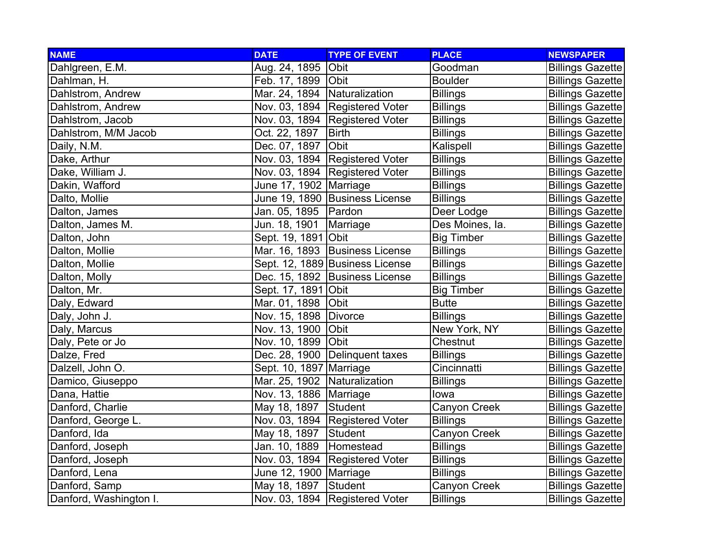| <b>NAME</b>            | <b>DATE</b>                  | <b>TYPE OF EVENT</b>             | <b>PLACE</b>      | <b>NEWSPAPER</b>        |
|------------------------|------------------------------|----------------------------------|-------------------|-------------------------|
| Dahlgreen, E.M.        | Aug. 24, 1895 Obit           |                                  | Goodman           | <b>Billings Gazette</b> |
| Dahlman, H.            | Feb. 17, 1899 Obit           |                                  | <b>Boulder</b>    | <b>Billings Gazette</b> |
| Dahlstrom, Andrew      | Mar. 24, 1894 Naturalization |                                  | <b>Billings</b>   | <b>Billings Gazette</b> |
| Dahlstrom, Andrew      |                              | Nov. 03, 1894 Registered Voter   | <b>Billings</b>   | <b>Billings Gazette</b> |
| Dahlstrom, Jacob       |                              | Nov. 03, 1894 Registered Voter   | <b>Billings</b>   | <b>Billings Gazette</b> |
| Dahlstrom, M/M Jacob   | Oct. 22, 1897                | <b>Birth</b>                     | <b>Billings</b>   | <b>Billings Gazette</b> |
| Daily, N.M.            | Dec. 07, 1897                | Obit                             | Kalispell         | <b>Billings Gazette</b> |
| Dake, Arthur           |                              | Nov. 03, 1894 Registered Voter   | <b>Billings</b>   | <b>Billings Gazette</b> |
| Dake, William J.       |                              | Nov. 03, 1894 Registered Voter   | <b>Billings</b>   | <b>Billings Gazette</b> |
| Dakin, Wafford         | June 17, 1902   Marriage     |                                  | <b>Billings</b>   | <b>Billings Gazette</b> |
| Dalto, Mollie          |                              | June 19, 1890 Business License   | <b>Billings</b>   | <b>Billings Gazette</b> |
| Dalton, James          | Jan. 05, 1895   Pardon       |                                  | Deer Lodge        | <b>Billings Gazette</b> |
| Dalton, James M.       | Jun. 18, 1901                | Marriage                         | Des Moines, la.   | <b>Billings Gazette</b> |
| Dalton, John           | Sept. 19, 1891 Obit          |                                  | <b>Big Timber</b> | <b>Billings Gazette</b> |
| Dalton, Mollie         |                              | Mar. 16, 1893 Business License   | <b>Billings</b>   | <b>Billings Gazette</b> |
| Dalton, Mollie         |                              | Sept. 12, 1889 Business License  | <b>Billings</b>   | <b>Billings Gazette</b> |
| Dalton, Molly          |                              | Dec. 15, 1892 Business License   | <b>Billings</b>   | <b>Billings Gazette</b> |
| Dalton, Mr.            | Sept. 17, 1891 Obit          |                                  | <b>Big Timber</b> | <b>Billings Gazette</b> |
| Daly, Edward           | Mar. 01, 1898 Obit           |                                  | <b>Butte</b>      | <b>Billings Gazette</b> |
| Daly, John J.          | Nov. 15, 1898   Divorce      |                                  | <b>Billings</b>   | <b>Billings Gazette</b> |
| Daly, Marcus           | Nov. 13, 1900 Obit           |                                  | New York, NY      | <b>Billings Gazette</b> |
| Daly, Pete or Jo       | Nov. 10, 1899 Obit           |                                  | Chestnut          | <b>Billings Gazette</b> |
| Dalze, Fred            |                              | Dec. 28, 1900 Delinquent taxes   | <b>Billings</b>   | <b>Billings Gazette</b> |
| Dalzell, John O.       | Sept. 10, 1897 Marriage      |                                  | Cincinnatti       | <b>Billings Gazette</b> |
| Damico, Giuseppo       | Mar. 25, 1902 Naturalization |                                  | <b>Billings</b>   | <b>Billings Gazette</b> |
| Dana, Hattie           | Nov. 13, 1886   Marriage     |                                  | lowa              | <b>Billings Gazette</b> |
| Danford, Charlie       | May 18, 1897 Student         |                                  | Canyon Creek      | <b>Billings Gazette</b> |
| Danford, George L.     |                              | Nov. 03, 1894   Registered Voter | <b>Billings</b>   | <b>Billings Gazette</b> |
| Danford, Ida           | May 18, 1897                 | Student                          | Canyon Creek      | <b>Billings Gazette</b> |
| Danford, Joseph        | Jan. 10, 1889                | Homestead                        | <b>Billings</b>   | <b>Billings Gazette</b> |
| Danford, Joseph        |                              | Nov. 03, 1894   Registered Voter | <b>Billings</b>   | <b>Billings Gazette</b> |
| Danford, Lena          | June 12, 1900   Marriage     |                                  | <b>Billings</b>   | <b>Billings Gazette</b> |
| Danford, Samp          | May 18, 1897                 | Student                          | Canyon Creek      | <b>Billings Gazette</b> |
| Danford, Washington I. |                              | Nov. 03, 1894 Registered Voter   | <b>Billings</b>   | <b>Billings Gazette</b> |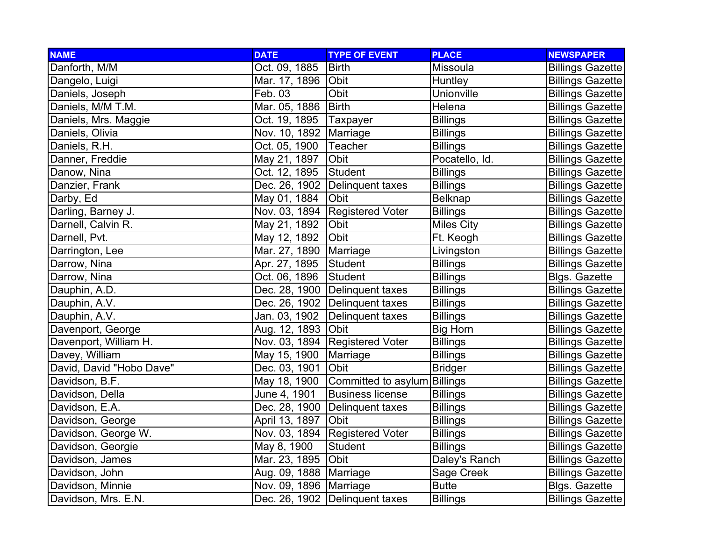| <b>NAME</b>              | <b>DATE</b>              | <b>TYPE OF EVENT</b>           | <b>PLACE</b>      | <b>NEWSPAPER</b>        |
|--------------------------|--------------------------|--------------------------------|-------------------|-------------------------|
| Danforth, M/M            | Oct. 09, 1885            | <b>Birth</b>                   | Missoula          | <b>Billings Gazette</b> |
| Dangelo, Luigi           | Mar. 17, 1896            | Obit                           | Huntley           | <b>Billings Gazette</b> |
| Daniels, Joseph          | Feb. 03                  | Obit                           | <b>Unionville</b> | <b>Billings Gazette</b> |
| Daniels, M/M T.M.        | Mar. 05, 1886            | <b>Birth</b>                   | Helena            | <b>Billings Gazette</b> |
| Daniels, Mrs. Maggie     | Oct. 19, 1895            | Taxpayer                       | <b>Billings</b>   | <b>Billings Gazette</b> |
| Daniels, Olivia          | Nov. 10, 1892   Marriage |                                | <b>Billings</b>   | <b>Billings Gazette</b> |
| Daniels, R.H.            | Oct. 05, 1900            | Teacher                        | <b>Billings</b>   | <b>Billings Gazette</b> |
| Danner, Freddie          | May 21, 1897             | Obit                           | Pocatello, Id.    | <b>Billings Gazette</b> |
| Danow, Nina              | Oct. 12, 1895            | Student                        | <b>Billings</b>   | <b>Billings Gazette</b> |
| Danzier, Frank           | Dec. 26, 1902            | Delinquent taxes               | <b>Billings</b>   | <b>Billings Gazette</b> |
| Darby, Ed                | May 01, 1884             | Obit                           | <b>Belknap</b>    | <b>Billings Gazette</b> |
| Darling, Barney J.       |                          | Nov. 03, 1894 Registered Voter | <b>Billings</b>   | <b>Billings Gazette</b> |
| Darnell, Calvin R.       | May 21, 1892             | Obit                           | <b>Miles City</b> | <b>Billings Gazette</b> |
| Darnell, Pvt.            | May 12, 1892             | Obit                           | Ft. Keogh         | <b>Billings Gazette</b> |
| Darrington, Lee          | Mar. 27, 1890            | Marriage                       | Livingston        | <b>Billings Gazette</b> |
| Darrow, Nina             | Apr. 27, 1895            | Student                        | <b>Billings</b>   | <b>Billings Gazette</b> |
| Darrow, Nina             | Oct. 06, 1896            | Student                        | <b>Billings</b>   | <b>Blgs. Gazette</b>    |
| Dauphin, A.D.            |                          | Dec. 28, 1900 Delinquent taxes | <b>Billings</b>   | <b>Billings Gazette</b> |
| Dauphin, A.V.            |                          | Dec. 26, 1902 Delinquent taxes | <b>Billings</b>   | <b>Billings Gazette</b> |
| Dauphin, A.V.            | Jan. 03, 1902            | Delinquent taxes               | <b>Billings</b>   | <b>Billings Gazette</b> |
| Davenport, George        | Aug. 12, 1893            | Obit                           | <b>Big Horn</b>   | <b>Billings Gazette</b> |
| Davenport, William H.    |                          | Nov. 03, 1894 Registered Voter | <b>Billings</b>   | <b>Billings Gazette</b> |
| Davey, William           | May 15, 1900             | Marriage                       | <b>Billings</b>   | <b>Billings Gazette</b> |
| David, David "Hobo Dave" | Dec. 03, 1901            | Obit                           | <b>Bridger</b>    | <b>Billings Gazette</b> |
| Davidson, B.F.           | May 18, 1900             | Committed to asylum Billings   |                   | <b>Billings Gazette</b> |
| Davidson, Della          | June 4, 1901             | <b>Business license</b>        | <b>Billings</b>   | <b>Billings Gazette</b> |
| Davidson, E.A.           | Dec. 28, 1900            | Delinquent taxes               | <b>Billings</b>   | <b>Billings Gazette</b> |
| Davidson, George         | April 13, 1897           | <b>Obit</b>                    | <b>Billings</b>   | <b>Billings Gazette</b> |
| Davidson, George W.      |                          | Nov. 03, 1894 Registered Voter | <b>Billings</b>   | <b>Billings Gazette</b> |
| Davidson, Georgie        | May 8, 1900              | <b>Student</b>                 | <b>Billings</b>   | <b>Billings Gazette</b> |
| Davidson, James          | Mar. 23, 1895            | <b>Obit</b>                    | Daley's Ranch     | <b>Billings Gazette</b> |
| Davidson, John           | Aug. 09, 1888   Marriage |                                | Sage Creek        | <b>Billings Gazette</b> |
| Davidson, Minnie         | Nov. 09, 1896   Marriage |                                | <b>Butte</b>      | <b>Blgs. Gazette</b>    |
| Davidson, Mrs. E.N.      |                          | Dec. 26, 1902 Delinquent taxes | <b>Billings</b>   | <b>Billings Gazette</b> |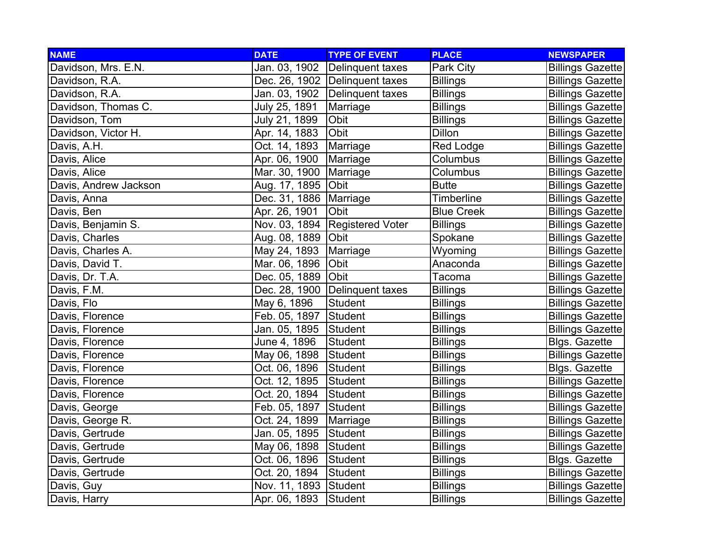| <b>NAME</b>           | <b>DATE</b>              | <b>TYPE OF EVENT</b>             | <b>PLACE</b>      | <b>NEWSPAPER</b>        |
|-----------------------|--------------------------|----------------------------------|-------------------|-------------------------|
| Davidson, Mrs. E.N.   | Jan. 03, 1902            | Delinquent taxes                 | Park City         | <b>Billings Gazette</b> |
| Davidson, R.A.        |                          | Dec. 26, 1902 Delinquent taxes   | <b>Billings</b>   | <b>Billings Gazette</b> |
| Davidson, R.A.        |                          | Jan. 03, 1902 Delinquent taxes   | <b>Billings</b>   | <b>Billings Gazette</b> |
| Davidson, Thomas C.   | July 25, 1891            | Marriage                         | <b>Billings</b>   | <b>Billings Gazette</b> |
| Davidson, Tom         | July 21, 1899            | Obit                             | <b>Billings</b>   | <b>Billings Gazette</b> |
| Davidson, Victor H.   | Apr. 14, 1883            | Obit                             | Dillon            | <b>Billings Gazette</b> |
| Davis, A.H.           | Oct. 14, 1893            | Marriage                         | <b>Red Lodge</b>  | <b>Billings Gazette</b> |
| Davis, Alice          | Apr. 06, 1900            | Marriage                         | Columbus          | <b>Billings Gazette</b> |
| Davis, Alice          | Mar. 30, 1900            | Marriage                         | Columbus          | <b>Billings Gazette</b> |
| Davis, Andrew Jackson | Aug. 17, 1895            | Obit                             | <b>Butte</b>      | <b>Billings Gazette</b> |
| Davis, Anna           | Dec. 31, 1886   Marriage |                                  | <b>Timberline</b> | <b>Billings Gazette</b> |
| Davis, Ben            | Apr. 26, 1901            | Obit                             | <b>Blue Creek</b> | <b>Billings Gazette</b> |
| Davis, Benjamin S.    |                          | Nov. 03, 1894 Registered Voter   | <b>Billings</b>   | <b>Billings Gazette</b> |
| Davis, Charles        | Aug. 08, 1889 Obit       |                                  | Spokane           | <b>Billings Gazette</b> |
| Davis, Charles A.     | May 24, 1893             | Marriage                         | Wyoming           | <b>Billings Gazette</b> |
| Davis, David T.       | Mar. 06, 1896            | Obit                             | Anaconda          | <b>Billings Gazette</b> |
| Davis, Dr. T.A.       | Dec. 05, 1889 Obit       |                                  | Tacoma            | <b>Billings Gazette</b> |
| Davis, F.M.           |                          | Dec. 28, 1900   Delinquent taxes | <b>Billings</b>   | <b>Billings Gazette</b> |
| Davis, Flo            | May 6, 1896              | Student                          | <b>Billings</b>   | <b>Billings Gazette</b> |
| Davis, Florence       | Feb. 05, 1897            | <b>Student</b>                   | <b>Billings</b>   | <b>Billings Gazette</b> |
| Davis, Florence       | Jan. 05, 1895 Student    |                                  | <b>Billings</b>   | <b>Billings Gazette</b> |
| Davis, Florence       | June 4, 1896             | Student                          | <b>Billings</b>   | <b>Blgs. Gazette</b>    |
| Davis, Florence       | May 06, 1898             | Student                          | <b>Billings</b>   | <b>Billings Gazette</b> |
| Davis, Florence       | Oct. 06, 1896            | Student                          | <b>Billings</b>   | <b>Blgs. Gazette</b>    |
| Davis, Florence       | Oct. 12, 1895            | Student                          | <b>Billings</b>   | <b>Billings Gazette</b> |
| Davis, Florence       | Oct. 20, 1894            | Student                          | <b>Billings</b>   | <b>Billings Gazette</b> |
| Davis, George         | Feb. 05, 1897            | Student                          | <b>Billings</b>   | <b>Billings Gazette</b> |
| Davis, George R.      | Oct. 24, 1899            | Marriage                         | <b>Billings</b>   | <b>Billings Gazette</b> |
| Davis, Gertrude       | Jan. 05, 1895            | Student                          | <b>Billings</b>   | <b>Billings Gazette</b> |
| Davis, Gertrude       | May 06, 1898             | Student                          | <b>Billings</b>   | <b>Billings Gazette</b> |
| Davis, Gertrude       | Oct. 06, 1896            | Student                          | <b>Billings</b>   | Blgs. Gazette           |
| Davis, Gertrude       | Oct. 20, 1894            | Student                          | <b>Billings</b>   | <b>Billings Gazette</b> |
| Davis, Guy            | Nov. 11, 1893 Student    |                                  | <b>Billings</b>   | <b>Billings Gazette</b> |
| Davis, Harry          | Apr. 06, 1893            | Student                          | <b>Billings</b>   | <b>Billings Gazette</b> |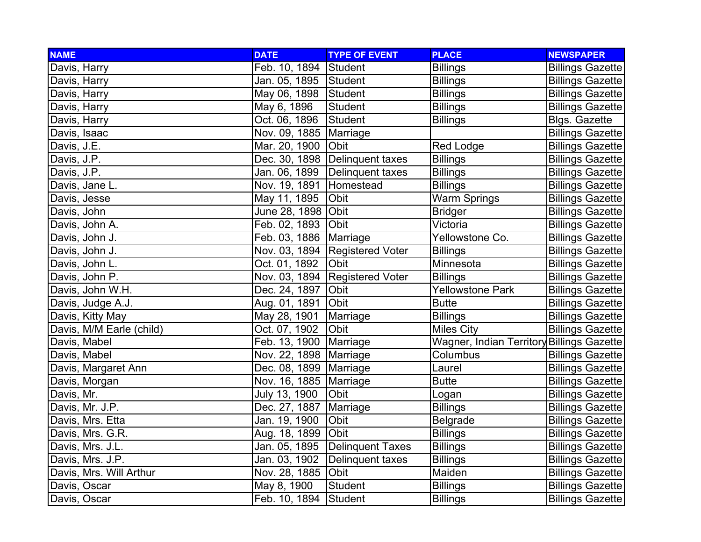| <b>NAME</b>              | <b>DATE</b>              | <b>TYPE OF EVENT</b>             | <b>PLACE</b>                              | <b>NEWSPAPER</b>        |
|--------------------------|--------------------------|----------------------------------|-------------------------------------------|-------------------------|
| Davis, Harry             | Feb. 10, 1894 Student    |                                  | <b>Billings</b>                           | <b>Billings Gazette</b> |
| Davis, Harry             | Jan. 05, 1895 Student    |                                  | <b>Billings</b>                           | <b>Billings Gazette</b> |
| Davis, Harry             | May 06, 1898             | Student                          | <b>Billings</b>                           | <b>Billings Gazette</b> |
| Davis, Harry             | May 6, 1896              | <b>Student</b>                   | <b>Billings</b>                           | <b>Billings Gazette</b> |
| Davis, Harry             | Oct. 06, 1896            | <b>Student</b>                   | <b>Billings</b>                           | <b>Blgs. Gazette</b>    |
| Davis, Isaac             | Nov. 09, 1885            | Marriage                         |                                           | <b>Billings Gazette</b> |
| Davis, J.E.              | Mar. 20, 1900            | Obit                             | Red Lodge                                 | <b>Billings Gazette</b> |
| Davis, J.P.              |                          | Dec. 30, 1898 Delinquent taxes   | <b>Billings</b>                           | <b>Billings Gazette</b> |
| Davis, J.P.              | Jan. 06, 1899            | Delinquent taxes                 | <b>Billings</b>                           | <b>Billings Gazette</b> |
| Davis, Jane L.           | Nov. 19, 1891            | Homestead                        | <b>Billings</b>                           | <b>Billings Gazette</b> |
| Davis, Jesse             | May 11, 1895             | Obit                             | <b>Warm Springs</b>                       | <b>Billings Gazette</b> |
| Davis, John              | June 28, 1898 Obit       |                                  | <b>Bridger</b>                            | <b>Billings Gazette</b> |
| Davis, John A.           | Feb. 02, 1893            | Obit                             | Victoria                                  | <b>Billings Gazette</b> |
| Davis, John J.           | Feb. 03, 1886   Marriage |                                  | Yellowstone Co.                           | <b>Billings Gazette</b> |
| Davis, John J.           |                          | Nov. 03, 1894   Registered Voter | <b>Billings</b>                           | <b>Billings Gazette</b> |
| Davis, John L.           | Oct. 01, 1892            | Obit                             | Minnesota                                 | <b>Billings Gazette</b> |
| Davis, John P.           |                          | Nov. 03, 1894 Registered Voter   | <b>Billings</b>                           | <b>Billings Gazette</b> |
| Davis, John W.H.         | Dec. 24, 1897            | <b>Obit</b>                      | <b>Yellowstone Park</b>                   | <b>Billings Gazette</b> |
| Davis, Judge A.J.        | Aug. 01, 1891            | Obit                             | <b>Butte</b>                              | <b>Billings Gazette</b> |
| Davis, Kitty May         | May 28, 1901             | Marriage                         | <b>Billings</b>                           | <b>Billings Gazette</b> |
| Davis, M/M Earle (child) | Oct. 07, 1902            | Obit                             | <b>Miles City</b>                         | <b>Billings Gazette</b> |
| Davis, Mabel             | Feb. 13, 1900            | Marriage                         | Wagner, Indian Territory Billings Gazette |                         |
| Davis, Mabel             | Nov. 22, 1898   Marriage |                                  | Columbus                                  | <b>Billings Gazette</b> |
| Davis, Margaret Ann      | Dec. 08, 1899   Marriage |                                  | Laurel                                    | <b>Billings Gazette</b> |
| Davis, Morgan            | Nov. 16, 1885   Marriage |                                  | <b>Butte</b>                              | <b>Billings Gazette</b> |
| Davis, Mr.               | July 13, 1900            | Obit                             | Logan                                     | <b>Billings Gazette</b> |
| Davis, Mr. J.P.          | Dec. 27, 1887            | Marriage                         | <b>Billings</b>                           | <b>Billings Gazette</b> |
| Davis, Mrs. Etta         | Jan. 19, 1900            | Obit                             | <b>Belgrade</b>                           | <b>Billings Gazette</b> |
| Davis, Mrs. G.R.         | Aug. 18, 1899            | <b>Obit</b>                      | <b>Billings</b>                           | <b>Billings Gazette</b> |
| Davis, Mrs. J.L.         | Jan. 05, 1895            | <b>Delinquent Taxes</b>          | <b>Billings</b>                           | <b>Billings Gazette</b> |
| Davis, Mrs. J.P.         | Jan. 03, 1902            | Delinquent taxes                 | <b>Billings</b>                           | <b>Billings Gazette</b> |
| Davis, Mrs. Will Arthur  | Nov. 28, 1885            | Obit                             | Maiden                                    | <b>Billings Gazette</b> |
| Davis, Oscar             | May 8, 1900              | Student                          | <b>Billings</b>                           | <b>Billings Gazette</b> |
| Davis, Oscar             | Feb. 10, 1894            | Student                          | <b>Billings</b>                           | <b>Billings Gazette</b> |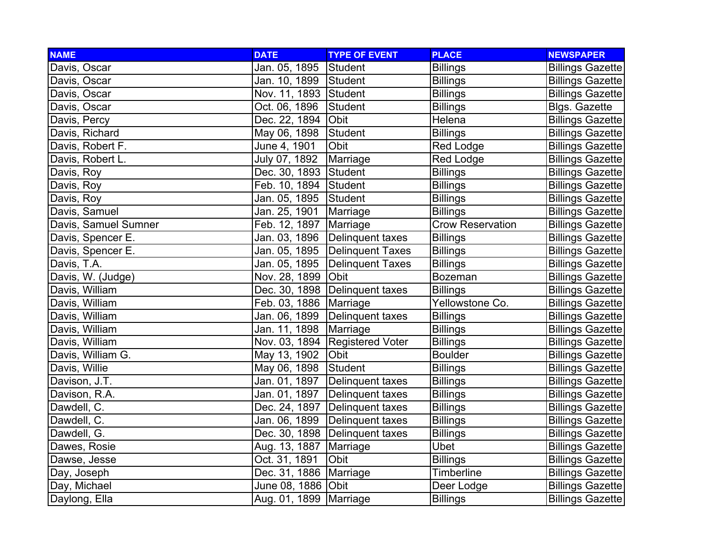| <b>NAME</b>          | <b>DATE</b>              | <b>TYPE OF EVENT</b>             | <b>PLACE</b>            | <b>NEWSPAPER</b>        |
|----------------------|--------------------------|----------------------------------|-------------------------|-------------------------|
| Davis, Oscar         | Jan. 05, 1895            | Student                          | <b>Billings</b>         | <b>Billings Gazette</b> |
| Davis, Oscar         | Jan. 10, 1899            | Student                          | <b>Billings</b>         | <b>Billings Gazette</b> |
| Davis, Oscar         | Nov. 11, 1893 Student    |                                  | <b>Billings</b>         | <b>Billings Gazette</b> |
| Davis, Oscar         | Oct. 06, 1896            | Student                          | <b>Billings</b>         | <b>Blgs. Gazette</b>    |
| Davis, Percy         | Dec. 22, 1894            | Obit                             | Helena                  | <b>Billings Gazette</b> |
| Davis, Richard       | May 06, 1898             | Student                          | <b>Billings</b>         | <b>Billings Gazette</b> |
| Davis, Robert F.     | June 4, 1901             | Obit                             | Red Lodge               | <b>Billings Gazette</b> |
| Davis, Robert L.     | July 07, 1892            | Marriage                         | Red Lodge               | <b>Billings Gazette</b> |
| Davis, Roy           | Dec. 30, 1893 Student    |                                  | <b>Billings</b>         | <b>Billings Gazette</b> |
| Davis, Roy           | Feb. 10, 1894 Student    |                                  | <b>Billings</b>         | <b>Billings Gazette</b> |
| Davis, Roy           | Jan. 05, 1895            | Student                          | <b>Billings</b>         | <b>Billings Gazette</b> |
| Davis, Samuel        | Jan. 25, 1901            | Marriage                         | <b>Billings</b>         | <b>Billings Gazette</b> |
| Davis, Samuel Sumner | Feb. 12, 1897            | Marriage                         | <b>Crow Reservation</b> | <b>Billings Gazette</b> |
| Davis, Spencer E.    | Jan. 03, 1896            | TDelinquent taxes                | <b>Billings</b>         | <b>Billings Gazette</b> |
| Davis, Spencer E.    | Jan. 05, 1895            | Delinquent Taxes                 | <b>Billings</b>         | <b>Billings Gazette</b> |
| Davis, T.A.          | Jan. 05, 1895            | Delinquent Taxes                 | <b>Billings</b>         | <b>Billings Gazette</b> |
| Davis, W. (Judge)    | Nov. 28, 1899 Obit       |                                  | <b>Bozeman</b>          | <b>Billings Gazette</b> |
| Davis, William       |                          | Dec. 30, 1898   Delinquent taxes | <b>Billings</b>         | <b>Billings Gazette</b> |
| Davis, William       | Feb. 03, 1886   Marriage |                                  | Yellowstone Co.         | <b>Billings Gazette</b> |
| Davis, William       | Jan. 06, 1899            | Delinquent taxes                 | <b>Billings</b>         | <b>Billings Gazette</b> |
| Davis, William       | Jan. 11, 1898            | Marriage                         | <b>Billings</b>         | <b>Billings Gazette</b> |
| Davis, William       |                          | Nov. 03, 1894 Registered Voter   | <b>Billings</b>         | <b>Billings Gazette</b> |
| Davis, William G.    | May 13, 1902             | Obit                             | <b>Boulder</b>          | <b>Billings Gazette</b> |
| Davis, Willie        | May 06, 1898             | Student                          | <b>Billings</b>         | <b>Billings Gazette</b> |
| Davison, J.T.        | Jan. 01, 1897            | Delinquent taxes                 | <b>Billings</b>         | <b>Billings Gazette</b> |
| Davison, R.A.        | Jan. 01, 1897            | Delinquent taxes                 | <b>Billings</b>         | <b>Billings Gazette</b> |
| Dawdell, C.          | Dec. 24, 1897            | <b>TDelinquent taxes</b>         | <b>Billings</b>         | <b>Billings Gazette</b> |
| Dawdell, C.          | Jan. 06, 1899            | Delinquent taxes                 | <b>Billings</b>         | <b>Billings Gazette</b> |
| Dawdell, G.          |                          | Dec. 30, 1898 Delinquent taxes   | <b>Billings</b>         | <b>Billings Gazette</b> |
| Dawes, Rosie         | Aug. 13, 1887            | Marriage                         | <b>Ubet</b>             | <b>Billings Gazette</b> |
| Dawse, Jesse         | Oct. 31, 1891            | Obit                             | <b>Billings</b>         | <b>Billings Gazette</b> |
| Day, Joseph          | Dec. 31, 1886   Marriage |                                  | Timberline              | <b>Billings Gazette</b> |
| Day, Michael         | June 08, 1886 Obit       |                                  | Deer Lodge              | <b>Billings Gazette</b> |
| Daylong, Ella        | Aug. 01, 1899   Marriage |                                  | <b>Billings</b>         | <b>Billings Gazette</b> |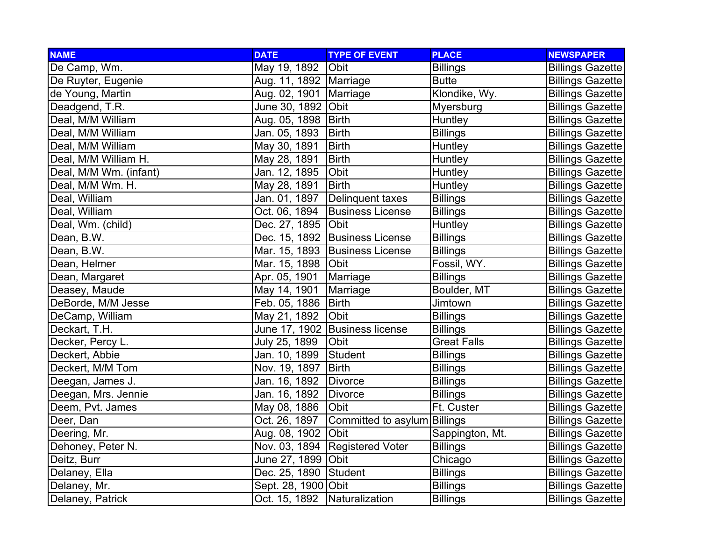| <b>NAME</b>            | <b>DATE</b>              | <b>TYPE OF EVENT</b>           | <b>PLACE</b>       | <b>NEWSPAPER</b>        |
|------------------------|--------------------------|--------------------------------|--------------------|-------------------------|
| De Camp, Wm.           | May 19, 1892             | Obit                           | <b>Billings</b>    | <b>Billings Gazette</b> |
| De Ruyter, Eugenie     | Aug. 11, 1892   Marriage |                                | <b>Butte</b>       | <b>Billings Gazette</b> |
| de Young, Martin       | Aug. 02, 1901            | Marriage                       | Klondike, Wy.      | <b>Billings Gazette</b> |
| Deadgend, T.R.         | June 30, 1892 Obit       |                                | Myersburg          | <b>Billings Gazette</b> |
| Deal, M/M William      | Aug. 05, 1898            | Birth                          | Huntley            | <b>Billings Gazette</b> |
| Deal, M/M William      | Jan. 05, 1893            | <b>Birth</b>                   | <b>Billings</b>    | <b>Billings Gazette</b> |
| Deal, M/M William      | May 30, 1891             | <b>Birth</b>                   | Huntley            | <b>Billings Gazette</b> |
| Deal, M/M William H.   | May 28, 1891             | <b>Birth</b>                   | Huntley            | <b>Billings Gazette</b> |
| Deal, M/M Wm. (infant) | Jan. 12, 1895            | Obit                           | Huntley            | <b>Billings Gazette</b> |
| Deal, M/M Wm. H.       | May 28, 1891             | <b>Birth</b>                   | Huntley            | <b>Billings Gazette</b> |
| Deal, William          | Jan. 01, 1897            | Delinquent taxes               | <b>Billings</b>    | <b>Billings Gazette</b> |
| Deal, William          | Oct. 06, 1894            | <b>Business License</b>        | <b>Billings</b>    | <b>Billings Gazette</b> |
| Deal, Wm. (child)      | Dec. 27, 1895 Obit       |                                | Huntley            | <b>Billings Gazette</b> |
| Dean, B.W.             |                          | Dec. 15, 1892 Business License | <b>Billings</b>    | <b>Billings Gazette</b> |
| Dean, B.W.             |                          | Mar. 15, 1893 Business License | <b>Billings</b>    | <b>Billings Gazette</b> |
| Dean, Helmer           | Mar. 15, 1898            | Obit                           | Fossil, WY.        | <b>Billings Gazette</b> |
| Dean, Margaret         | Apr. 05, 1901            | Marriage                       | <b>Billings</b>    | <b>Billings Gazette</b> |
| Deasey, Maude          | May 14, 1901             | Marriage                       | Boulder, MT        | <b>Billings Gazette</b> |
| DeBorde, M/M Jesse     | Feb. 05, 1886            | <b>Birth</b>                   | Jimtown            | <b>Billings Gazette</b> |
| DeCamp, William        | May 21, 1892             | Obit                           | <b>Billings</b>    | <b>Billings Gazette</b> |
| Deckart, T.H.          |                          | June 17, 1902 Business license | <b>Billings</b>    | <b>Billings Gazette</b> |
| Decker, Percy L.       | July 25, 1899            | Obit                           | <b>Great Falls</b> | <b>Billings Gazette</b> |
| Deckert, Abbie         | Jan. 10, 1899            | <b>Student</b>                 | <b>Billings</b>    | <b>Billings Gazette</b> |
| Deckert, M/M Tom       | Nov. 19, 1897            | <b>Birth</b>                   | <b>Billings</b>    | <b>Billings Gazette</b> |
| Deegan, James J.       | Jan. 16, 1892            | <b>Divorce</b>                 | <b>Billings</b>    | <b>Billings Gazette</b> |
| Deegan, Mrs. Jennie    | Jan. 16, 1892            | <b>Divorce</b>                 | <b>Billings</b>    | <b>Billings Gazette</b> |
| Deem, Pvt. James       | May 08, 1886             | Obit                           | Ft. Custer         | <b>Billings Gazette</b> |
| Deer, Dan              | Oct. 26, 1897            | Committed to asylum Billings   |                    | <b>Billings Gazette</b> |
| Deering, Mr.           | Aug. 08, 1902            | Obit                           | Sappington, Mt.    | <b>Billings Gazette</b> |
| Dehoney, Peter N.      |                          | Nov. 03, 1894 Registered Voter | <b>Billings</b>    | <b>Billings Gazette</b> |
| Deitz, Burr            | June 27, 1899 Obit       |                                | Chicago            | <b>Billings Gazette</b> |
| Delaney, Ella          | Dec. 25, 1890            | Student                        | <b>Billings</b>    | <b>Billings Gazette</b> |
| Delaney, Mr.           | Sept. 28, 1900 Obit      |                                | <b>Billings</b>    | <b>Billings Gazette</b> |
| Delaney, Patrick       | Oct. 15, 1892            | Naturalization                 | <b>Billings</b>    | <b>Billings Gazette</b> |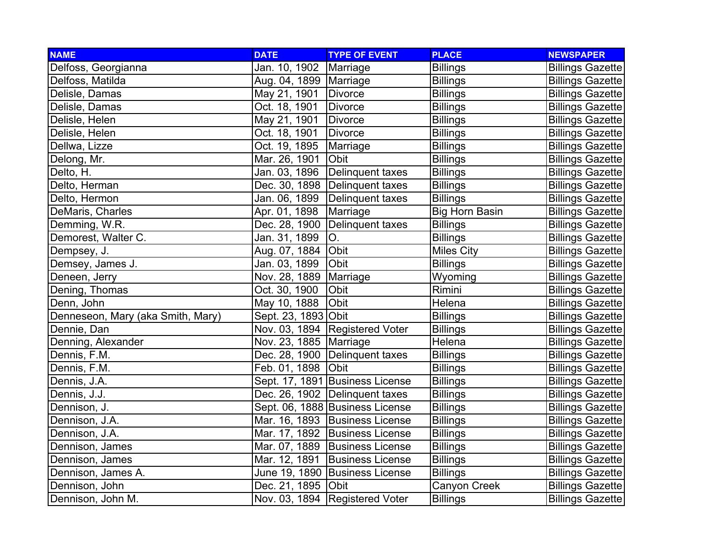| <b>NAME</b>                       | <b>DATE</b>              | <b>TYPE OF EVENT</b>             | <b>PLACE</b>          | <b>NEWSPAPER</b>        |
|-----------------------------------|--------------------------|----------------------------------|-----------------------|-------------------------|
| Delfoss, Georgianna               | Jan. 10, 1902            | Marriage                         | <b>Billings</b>       | <b>Billings Gazette</b> |
| Delfoss, Matilda                  | Aug. 04, 1899   Marriage |                                  | <b>Billings</b>       | <b>Billings Gazette</b> |
| Delisle, Damas                    | May 21, 1901             | Divorce                          | <b>Billings</b>       | <b>Billings Gazette</b> |
| Delisle, Damas                    | Oct. 18, 1901            | <b>Divorce</b>                   | <b>Billings</b>       | <b>Billings Gazette</b> |
| Delisle, Helen                    | May 21, 1901             | <b>Divorce</b>                   | <b>Billings</b>       | <b>Billings Gazette</b> |
| Delisle, Helen                    | Oct. 18, 1901            | Divorce                          | <b>Billings</b>       | <b>Billings Gazette</b> |
| Dellwa, Lizze                     | Oct. 19, 1895            | Marriage                         | <b>Billings</b>       | <b>Billings Gazette</b> |
| Delong, Mr.                       | Mar. 26, 1901            | Obit                             | <b>Billings</b>       | <b>Billings Gazette</b> |
| Delto, H.                         |                          | Jan. 03, 1896   Delinquent taxes | <b>Billings</b>       | <b>Billings Gazette</b> |
| Delto, Herman                     |                          | Dec. 30, 1898   Delinquent taxes | <b>Billings</b>       | <b>Billings Gazette</b> |
| Delto, Hermon                     |                          | Jan. 06, 1899 Delinquent taxes   | <b>Billings</b>       | <b>Billings Gazette</b> |
| DeMaris, Charles                  | Apr. 01, 1898            | Marriage                         | <b>Big Horn Basin</b> | <b>Billings Gazette</b> |
| Demming, W.R.                     |                          | Dec. 28, 1900   Delinquent taxes | <b>Billings</b>       | <b>Billings Gazette</b> |
| Demorest, Walter C.               | Jan. 31, 1899            | O.                               | <b>Billings</b>       | <b>Billings Gazette</b> |
| Dempsey, J.                       | Aug. 07, 1884            | Obit                             | <b>Miles City</b>     | <b>Billings Gazette</b> |
| Demsey, James J.                  | Jan. 03, 1899            | Obit                             | <b>Billings</b>       | <b>Billings Gazette</b> |
| Deneen, Jerry                     | Nov. 28, 1889   Marriage |                                  | Wyoming               | <b>Billings Gazette</b> |
| Dening, Thomas                    | Oct. 30, 1900            | Obit                             | Rimini                | <b>Billings Gazette</b> |
| Denn, John                        | May 10, 1888             | Obit                             | Helena                | <b>Billings Gazette</b> |
| Denneseon, Mary (aka Smith, Mary) | Sept. 23, 1893 Obit      |                                  | <b>Billings</b>       | <b>Billings Gazette</b> |
| Dennie, Dan                       |                          | Nov. 03, 1894 Registered Voter   | <b>Billings</b>       | <b>Billings Gazette</b> |
| Denning, Alexander                | Nov. 23, 1885   Marriage |                                  | Helena                | <b>Billings Gazette</b> |
| Dennis, F.M.                      |                          | Dec. 28, 1900   Delinquent taxes | <b>Billings</b>       | <b>Billings Gazette</b> |
| Dennis, F.M.                      | Feb. 01, 1898 Obit       |                                  | <b>Billings</b>       | <b>Billings Gazette</b> |
| Dennis, J.A.                      |                          | Sept. 17, 1891 Business License  | <b>Billings</b>       | <b>Billings Gazette</b> |
| Dennis, J.J.                      |                          | Dec. 26, 1902   Delinquent taxes | <b>Billings</b>       | <b>Billings Gazette</b> |
| Dennison, J.                      |                          | Sept. 06, 1888 Business License  | <b>Billings</b>       | <b>Billings Gazette</b> |
| Dennison, J.A.                    |                          | Mar. 16, 1893   Business License | <b>Billings</b>       | <b>Billings Gazette</b> |
| Dennison, J.A.                    |                          | Mar. 17, 1892 Business License   | <b>Billings</b>       | <b>Billings Gazette</b> |
| Dennison, James                   |                          | Mar. 07, 1889 Business License   | <b>Billings</b>       | <b>Billings Gazette</b> |
| Dennison, James                   |                          | Mar. 12, 1891 Business License   | <b>Billings</b>       | <b>Billings Gazette</b> |
| Dennison, James A.                |                          | June 19, 1890 Business License   | <b>Billings</b>       | <b>Billings Gazette</b> |
| Dennison, John                    | Dec. 21, 1895 Obit       |                                  | Canyon Creek          | <b>Billings Gazette</b> |
| Dennison, John M.                 |                          | Nov. 03, 1894   Registered Voter | <b>Billings</b>       | <b>Billings Gazette</b> |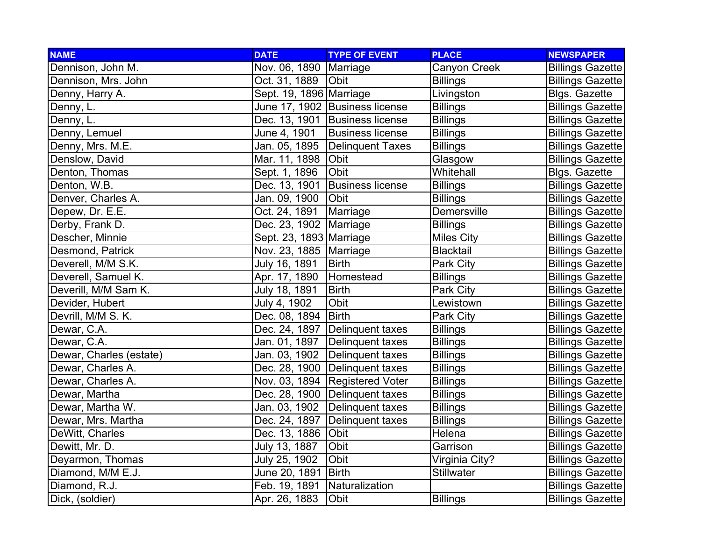| <b>NAME</b>             | <b>DATE</b>               | <b>TYPE OF EVENT</b>             | <b>PLACE</b>       | <b>NEWSPAPER</b>        |
|-------------------------|---------------------------|----------------------------------|--------------------|-------------------------|
| Dennison, John M.       | Nov. 06, 1890   Marriage  |                                  | Canyon Creek       | <b>Billings Gazette</b> |
| Dennison, Mrs. John     | Oct. 31, 1889             | <b>Obit</b>                      | <b>Billings</b>    | <b>Billings Gazette</b> |
| Denny, Harry A.         | Sept. 19, 1896 Marriage   |                                  | Livingston         | <b>Blgs. Gazette</b>    |
| Denny, L.               |                           | June 17, 1902 Business license   | <b>Billings</b>    | <b>Billings Gazette</b> |
| Denny, L.               |                           | Dec. 13, 1901 Business license   | <b>Billings</b>    | <b>Billings Gazette</b> |
| Denny, Lemuel           | June 4, 1901              | <b>Business license</b>          | <b>Billings</b>    | <b>Billings Gazette</b> |
| Denny, Mrs. M.E.        | Jan. 05, 1895             | <b>Delinquent Taxes</b>          | <b>Billings</b>    | <b>Billings Gazette</b> |
| Denslow, David          | Mar. 11, 1898             | Obit                             | Glasgow            | <b>Billings Gazette</b> |
| Denton, Thomas          | Sept. 1, 1896             | Obit                             | Whitehall          | <b>Blgs. Gazette</b>    |
| Denton, W.B.            | Dec. 13, 1901             | <b>Business license</b>          | <b>Billings</b>    | <b>Billings Gazette</b> |
| Denver, Charles A.      | Jan. 09, 1900             | Obit                             | <b>Billings</b>    | <b>Billings Gazette</b> |
| Depew, Dr. E.E.         | Oct. 24, 1891             | Marriage                         | <b>Demersville</b> | <b>Billings Gazette</b> |
| Derby, Frank D.         | Dec. 23, 1902   Marriage  |                                  | <b>Billings</b>    | <b>Billings Gazette</b> |
| Descher, Minnie         | Sept. 23, 1893   Marriage |                                  | <b>Miles City</b>  | <b>Billings Gazette</b> |
| Desmond, Patrick        | Nov. 23, 1885   Marriage  |                                  | <b>Blacktail</b>   | <b>Billings Gazette</b> |
| Deverell, M/M S.K.      | July 16, 1891             | <b>Birth</b>                     | Park City          | <b>Billings Gazette</b> |
| Deverell, Samuel K.     | Apr. 17, 1890             | Homestead                        | <b>Billings</b>    | <b>Billings Gazette</b> |
| Deverill, M/M Sam K.    | July 18, 1891             | <b>Birth</b>                     | Park City          | <b>Billings Gazette</b> |
| Devider, Hubert         | July 4, 1902              | Obit                             | Lewistown          | <b>Billings Gazette</b> |
| Devrill, M/M S. K.      | Dec. 08, 1894             | <b>Birth</b>                     | Park City          | <b>Billings Gazette</b> |
| Dewar, C.A.             | Dec. 24, 1897             | Delinquent taxes                 | <b>Billings</b>    | <b>Billings Gazette</b> |
| Dewar, C.A.             | Jan. 01, 1897             | Delinquent taxes                 | <b>Billings</b>    | <b>Billings Gazette</b> |
| Dewar, Charles (estate) | Jan. 03, 1902             | Delinquent taxes                 | <b>Billings</b>    | <b>Billings Gazette</b> |
| Dewar, Charles A.       |                           | Dec. 28, 1900 Delinquent taxes   | <b>Billings</b>    | <b>Billings Gazette</b> |
| Dewar, Charles A.       |                           | Nov. 03, 1894   Registered Voter | <b>Billings</b>    | <b>Billings Gazette</b> |
| Dewar, Martha           |                           | Dec. 28, 1900 Delinquent taxes   | <b>Billings</b>    | <b>Billings Gazette</b> |
| Dewar, Martha W.        | Jan. 03, 1902             | Delinquent taxes                 | <b>Billings</b>    | <b>Billings Gazette</b> |
| Dewar, Mrs. Martha      | Dec. 24, 1897             | Delinquent taxes                 | <b>Billings</b>    | <b>Billings Gazette</b> |
| DeWitt, Charles         | Dec. 13, 1886             | Obit                             | Helena             | <b>Billings Gazette</b> |
| Dewitt, Mr. D.          | July 13, 1887             | Obit                             | Garrison           | <b>Billings Gazette</b> |
| Deyarmon, Thomas        | July 25, 1902             | Obit                             | Virginia City?     | <b>Billings Gazette</b> |
| Diamond, M/M E.J.       | June 20, 1891             | Birth                            | <b>Stillwater</b>  | <b>Billings Gazette</b> |
| Diamond, R.J.           | Feb. 19, 1891             | Naturalization                   |                    | <b>Billings Gazette</b> |
| Dick, (soldier)         | Apr. 26, 1883             | Obit                             | <b>Billings</b>    | <b>Billings Gazette</b> |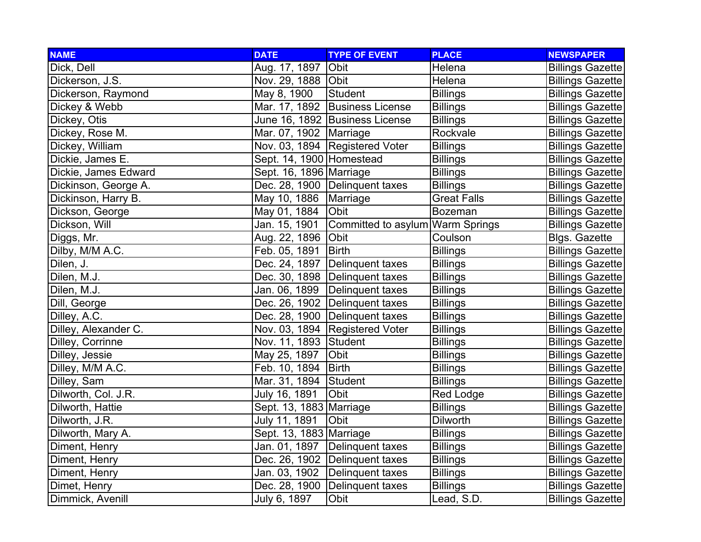| <b>NAME</b>          | <b>DATE</b>                | <b>TYPE OF EVENT</b>             | <b>PLACE</b>       | <b>NEWSPAPER</b>        |
|----------------------|----------------------------|----------------------------------|--------------------|-------------------------|
| Dick, Dell           | Aug. 17, 1897              | Obit                             | Helena             | <b>Billings Gazette</b> |
| Dickerson, J.S.      | Nov. 29, 1888 Obit         |                                  | Helena             | <b>Billings Gazette</b> |
| Dickerson, Raymond   | May 8, 1900                | <b>Student</b>                   | <b>Billings</b>    | <b>Billings Gazette</b> |
| Dickey & Webb        |                            | Mar. 17, 1892 Business License   | <b>Billings</b>    | <b>Billings Gazette</b> |
| Dickey, Otis         |                            | June 16, 1892 Business License   | <b>Billings</b>    | <b>Billings Gazette</b> |
| Dickey, Rose M.      | Mar. 07, 1902   Marriage   |                                  | Rockvale           | <b>Billings Gazette</b> |
| Dickey, William      |                            | Nov. 03, 1894   Registered Voter | <b>Billings</b>    | <b>Billings Gazette</b> |
| Dickie, James E.     | Sept. 14, 1900   Homestead |                                  | <b>Billings</b>    | <b>Billings Gazette</b> |
| Dickie, James Edward | Sept. 16, 1896 Marriage    |                                  | <b>Billings</b>    | <b>Billings Gazette</b> |
| Dickinson, George A. |                            | Dec. 28, 1900 Delinquent taxes   | <b>Billings</b>    | <b>Billings Gazette</b> |
| Dickinson, Harry B.  | May 10, 1886 Marriage      |                                  | <b>Great Falls</b> | <b>Billings Gazette</b> |
| Dickson, George      | May 01, 1884               | Obit                             | <b>Bozeman</b>     | <b>Billings Gazette</b> |
| Dickson, Will        | Jan. 15, 1901              | Committed to asylum Warm Springs |                    | <b>Billings Gazette</b> |
| Diggs, Mr.           | Aug. 22, 1896 Obit         |                                  | Coulson            | Blgs. Gazette           |
| Dilby, M/M A.C.      | Feb. 05, 1891              | Birth                            | <b>Billings</b>    | <b>Billings Gazette</b> |
| Dilen, J.            |                            | Dec. 24, 1897   Delinquent taxes | <b>Billings</b>    | <b>Billings Gazette</b> |
| Dilen, M.J.          |                            | Dec. 30, 1898   Delinguent taxes | <b>Billings</b>    | <b>Billings Gazette</b> |
| Dilen, M.J.          |                            | Jan. 06, 1899 Delinquent taxes   | <b>Billings</b>    | <b>Billings Gazette</b> |
| Dill, George         |                            | Dec. 26, 1902   Delinquent taxes | <b>Billings</b>    | <b>Billings Gazette</b> |
| Dilley, A.C.         |                            | Dec. 28, 1900   Delinquent taxes | <b>Billings</b>    | <b>Billings Gazette</b> |
| Dilley, Alexander C. |                            | Nov. 03, 1894 Registered Voter   | <b>Billings</b>    | <b>Billings Gazette</b> |
| Dilley, Corrinne     | Nov. 11, 1893 Student      |                                  | <b>Billings</b>    | <b>Billings Gazette</b> |
| Dilley, Jessie       | May 25, 1897               | Obit                             | <b>Billings</b>    | <b>Billings Gazette</b> |
| Dilley, M/M A.C.     | Feb. 10, 1894              | <b>Birth</b>                     | <b>Billings</b>    | <b>Billings Gazette</b> |
| Dilley, Sam          | Mar. 31, 1894 Student      |                                  | <b>Billings</b>    | <b>Billings Gazette</b> |
| Dilworth, Col. J.R.  | July 16, 1891              | Obit                             | Red Lodge          | <b>Billings Gazette</b> |
| Dilworth, Hattie     | Sept. 13, 1883   Marriage  |                                  | <b>Billings</b>    | <b>Billings Gazette</b> |
| Dilworth, J.R.       | July 11, 1891              | Obit                             | <b>Dilworth</b>    | <b>Billings Gazette</b> |
| Dilworth, Mary A.    | Sept. 13, 1883 Marriage    |                                  | <b>Billings</b>    | <b>Billings Gazette</b> |
| Diment, Henry        |                            | Jan. 01, 1897   Delinquent taxes | <b>Billings</b>    | <b>Billings Gazette</b> |
| Diment, Henry        |                            | Dec. 26, 1902 Delinquent taxes   | <b>Billings</b>    | <b>Billings Gazette</b> |
| Diment, Henry        |                            | Jan. 03, 1902 Delinquent taxes   | <b>Billings</b>    | <b>Billings Gazette</b> |
| Dimet, Henry         |                            | Dec. 28, 1900 Delinquent taxes   | <b>Billings</b>    | <b>Billings Gazette</b> |
| Dimmick, Avenill     | July 6, 1897               | Obit                             | Lead, S.D.         | <b>Billings Gazette</b> |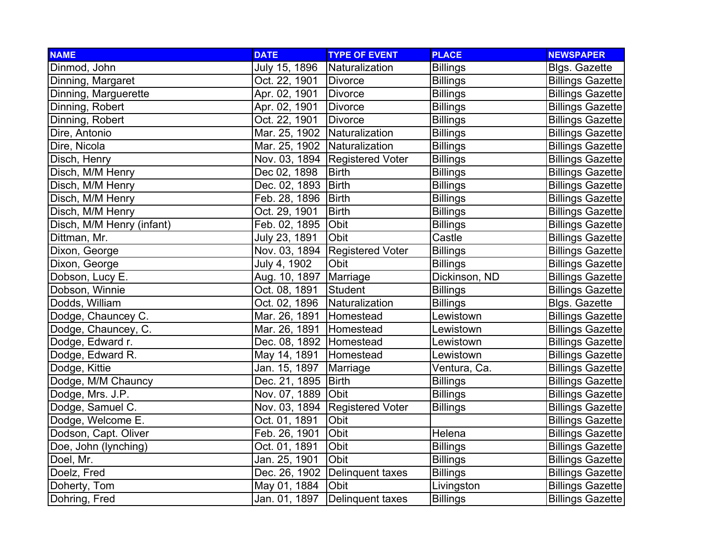| <b>NAME</b>               | <b>DATE</b>                    | <b>TYPE OF EVENT</b>             | <b>PLACE</b>    | <b>NEWSPAPER</b>        |
|---------------------------|--------------------------------|----------------------------------|-----------------|-------------------------|
| Dinmod, John              | July 15, 1896                  | Naturalization                   | <b>Billings</b> | <b>Blgs. Gazette</b>    |
| Dinning, Margaret         | Oct. 22, 1901                  | Divorce                          | <b>Billings</b> | <b>Billings Gazette</b> |
| Dinning, Marguerette      | Apr. 02, 1901                  | Divorce                          | <b>Billings</b> | <b>Billings Gazette</b> |
| Dinning, Robert           | Apr. 02, 1901                  | Divorce                          | <b>Billings</b> | <b>Billings Gazette</b> |
| Dinning, Robert           | Oct. 22, 1901                  | Divorce                          | <b>Billings</b> | <b>Billings Gazette</b> |
| Dire, Antonio             | Mar. 25, 1902 Naturalization   |                                  | <b>Billings</b> | <b>Billings Gazette</b> |
| Dire, Nicola              | Mar. 25, 1902   Naturalization |                                  | <b>Billings</b> | <b>Billings Gazette</b> |
| Disch, Henry              |                                | Nov. 03, 1894   Registered Voter | <b>Billings</b> | <b>Billings Gazette</b> |
| Disch, M/M Henry          | Dec 02, 1898                   | <b>Birth</b>                     | <b>Billings</b> | <b>Billings Gazette</b> |
| Disch, M/M Henry          | Dec. 02, 1893                  | <b>Birth</b>                     | <b>Billings</b> | <b>Billings Gazette</b> |
| Disch, M/M Henry          | Feb. 28, 1896                  | <b>Birth</b>                     | <b>Billings</b> | <b>Billings Gazette</b> |
| Disch, M/M Henry          | Oct. 29, 1901                  | <b>Birth</b>                     | <b>Billings</b> | <b>Billings Gazette</b> |
| Disch, M/M Henry (infant) | Feb. 02, 1895                  | Obit                             | <b>Billings</b> | <b>Billings Gazette</b> |
| Dittman, Mr.              | July 23, 1891                  | Obit                             | Castle          | <b>Billings Gazette</b> |
| Dixon, George             |                                | Nov. 03, 1894 Registered Voter   | <b>Billings</b> | <b>Billings Gazette</b> |
| Dixon, George             | July 4, 1902                   | Obit                             | <b>Billings</b> | <b>Billings Gazette</b> |
| Dobson, Lucy E.           | Aug. 10, 1897 Marriage         |                                  | Dickinson, ND   | <b>Billings Gazette</b> |
| Dobson, Winnie            | Oct. 08, 1891                  | Student                          | <b>Billings</b> | <b>Billings Gazette</b> |
| Dodds, William            | Oct. 02, 1896                  | Naturalization                   | <b>Billings</b> | <b>Blgs. Gazette</b>    |
| Dodge, Chauncey C.        | Mar. 26, 1891                  | Homestead                        | Lewistown       | <b>Billings Gazette</b> |
| Dodge, Chauncey, C.       | Mar. 26, 1891                  | Homestead                        | Lewistown       | <b>Billings Gazette</b> |
| Dodge, Edward r.          | Dec. 08, 1892 Homestead        |                                  | Lewistown       | <b>Billings Gazette</b> |
| Dodge, Edward R.          | May 14, 1891                   | Homestead                        | Lewistown       | <b>Billings Gazette</b> |
| Dodge, Kittie             | Jan. 15, 1897                  | Marriage                         | Ventura, Ca.    | <b>Billings Gazette</b> |
| Dodge, M/M Chauncy        | Dec. 21, 1895   Birth          |                                  | <b>Billings</b> | <b>Billings Gazette</b> |
| Dodge, Mrs. J.P.          | Nov. 07, 1889 Obit             |                                  | <b>Billings</b> | <b>Billings Gazette</b> |
| Dodge, Samuel C.          | Nov. 03, 1894                  | <b>Registered Voter</b>          | <b>Billings</b> | <b>Billings Gazette</b> |
| Dodge, Welcome E.         | Oct. 01, 1891                  | Obit                             |                 | <b>Billings Gazette</b> |
| Dodson, Capt. Oliver      | Feb. 26, 1901                  | Obit                             | Helena          | <b>Billings Gazette</b> |
| Doe, John (lynching)      | Oct. 01, 1891                  | Obit                             | <b>Billings</b> | <b>Billings Gazette</b> |
| Doel, Mr.                 | Jan. 25, 1901                  | Obit                             | <b>Billings</b> | <b>Billings Gazette</b> |
| Doelz, Fred               |                                | Dec. 26, 1902   Delinquent taxes | <b>Billings</b> | <b>Billings Gazette</b> |
| Doherty, Tom              | May 01, 1884                   | Obit                             | Livingston      | <b>Billings Gazette</b> |
| Dohring, Fred             | Jan. 01, 1897                  | Delinquent taxes                 | <b>Billings</b> | <b>Billings Gazette</b> |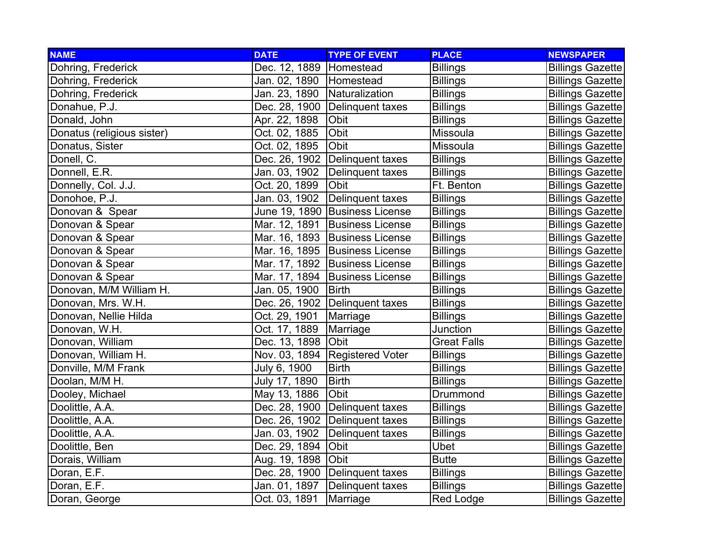| <b>NAME</b>                | <b>DATE</b>                  | <b>TYPE OF EVENT</b>             | <b>PLACE</b>       | <b>NEWSPAPER</b>        |
|----------------------------|------------------------------|----------------------------------|--------------------|-------------------------|
| Dohring, Frederick         | Dec. 12, 1889   Homestead    |                                  | <b>Billings</b>    | <b>Billings Gazette</b> |
| Dohring, Frederick         | Jan. 02, 1890   Homestead    |                                  | <b>Billings</b>    | <b>Billings Gazette</b> |
| Dohring, Frederick         | Jan. 23, 1890 Naturalization |                                  | <b>Billings</b>    | <b>Billings Gazette</b> |
| Donahue, P.J.              |                              | Dec. 28, 1900   Delinquent taxes | <b>Billings</b>    | <b>Billings Gazette</b> |
| Donald, John               | Apr. 22, 1898                | Obit                             | <b>Billings</b>    | <b>Billings Gazette</b> |
| Donatus (religious sister) | Oct. 02, 1885                | Obit                             | Missoula           | <b>Billings Gazette</b> |
| Donatus, Sister            | Oct. 02, 1895                | Obit                             | Missoula           | <b>Billings Gazette</b> |
| Donell, C.                 |                              | Dec. 26, 1902 Delinquent taxes   | <b>Billings</b>    | <b>Billings Gazette</b> |
| Donnell, E.R.              | Jan. 03, 1902                | Delinquent taxes                 | <b>Billings</b>    | <b>Billings Gazette</b> |
| Donnelly, Col. J.J.        | Oct. 20, 1899                | Obit                             | Ft. Benton         | <b>Billings Gazette</b> |
| Donohoe, P.J.              | Jan. 03, 1902                | Delinquent taxes                 | <b>Billings</b>    | <b>Billings Gazette</b> |
| Donovan & Spear            |                              | June 19, 1890 Business License   | <b>Billings</b>    | <b>Billings Gazette</b> |
| Donovan & Spear            |                              | Mar. 12, 1891 Business License   | <b>Billings</b>    | <b>Billings Gazette</b> |
| Donovan & Spear            |                              | Mar. 16, 1893 Business License   | <b>Billings</b>    | <b>Billings Gazette</b> |
| Donovan & Spear            |                              | Mar. 16, 1895 Business License   | <b>Billings</b>    | <b>Billings Gazette</b> |
| Donovan & Spear            |                              | Mar. 17, 1892 Business License   | <b>Billings</b>    | <b>Billings Gazette</b> |
| Donovan & Spear            |                              | Mar. 17, 1894   Business License | <b>Billings</b>    | <b>Billings Gazette</b> |
| Donovan, M/M William H.    | Jan. 05, 1900                | Birth                            | <b>Billings</b>    | <b>Billings Gazette</b> |
| Donovan, Mrs. W.H.         |                              | Dec. 26, 1902   Delinquent taxes | <b>Billings</b>    | <b>Billings Gazette</b> |
| Donovan, Nellie Hilda      | Oct. 29, 1901                | Marriage                         | <b>Billings</b>    | <b>Billings Gazette</b> |
| Donovan, W.H.              | Oct. 17, 1889                | Marriage                         | Junction           | <b>Billings Gazette</b> |
| Donovan, William           | Dec. 13, 1898 Obit           |                                  | <b>Great Falls</b> | <b>Billings Gazette</b> |
| Donovan, William H.        |                              | Nov. 03, 1894 Registered Voter   | <b>Billings</b>    | <b>Billings Gazette</b> |
| Donville, M/M Frank        | July 6, 1900                 | <b>Birth</b>                     | <b>Billings</b>    | <b>Billings Gazette</b> |
| Doolan, M/M H.             | July 17, 1890                | Birth                            | <b>Billings</b>    | <b>Billings Gazette</b> |
| Dooley, Michael            | May 13, 1886                 | Obit                             | Drummond           | <b>Billings Gazette</b> |
| Doolittle, A.A.            | Dec. 28, 1900                | Delinquent taxes                 | <b>Billings</b>    | <b>Billings Gazette</b> |
| Doolittle, A.A.            |                              | Dec. 26, 1902 Delinquent taxes   | <b>Billings</b>    | <b>Billings Gazette</b> |
| Doolittle, A.A.            | Jan. 03, 1902                | Delinquent taxes                 | <b>Billings</b>    | <b>Billings Gazette</b> |
| Doolittle, Ben             | Dec. 29, 1894                | Obit                             | <b>Ubet</b>        | <b>Billings Gazette</b> |
| Dorais, William            | Aug. 19, 1898 Obit           |                                  | <b>Butte</b>       | <b>Billings Gazette</b> |
| Doran, E.F.                |                              | Dec. 28, 1900   Delinquent taxes | <b>Billings</b>    | <b>Billings Gazette</b> |
| Doran, E.F.                | Jan. 01, 1897                | Delinquent taxes                 | <b>Billings</b>    | <b>Billings Gazette</b> |
| Doran, George              | Oct. 03, 1891                | Marriage                         | <b>Red Lodge</b>   | <b>Billings Gazette</b> |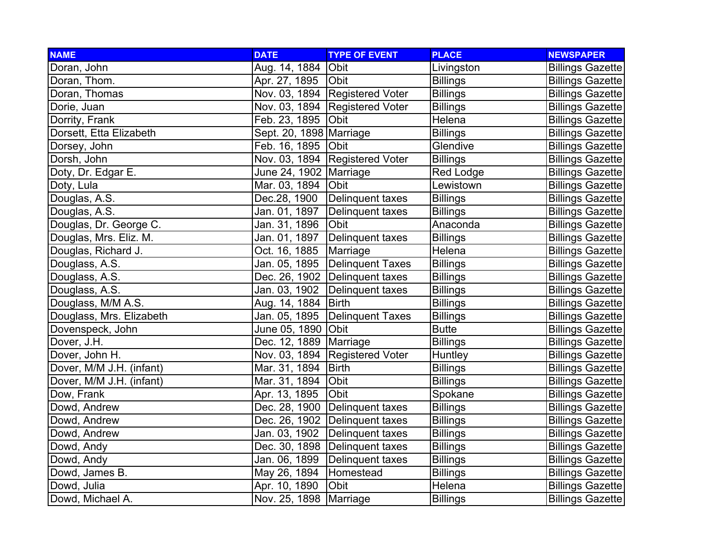| <b>NAME</b>              | <b>DATE</b>              | <b>TYPE OF EVENT</b>             | <b>PLACE</b>    | <b>NEWSPAPER</b>        |
|--------------------------|--------------------------|----------------------------------|-----------------|-------------------------|
| Doran, John              | Aug. 14, 1884 Obit       |                                  | Livingston      | <b>Billings Gazette</b> |
| Doran, Thom.             | Apr. 27, 1895   Obit     |                                  | <b>Billings</b> | <b>Billings Gazette</b> |
| Doran, Thomas            |                          | Nov. 03, 1894 Registered Voter   | <b>Billings</b> | <b>Billings Gazette</b> |
| Dorie, Juan              |                          | Nov. 03, 1894 Registered Voter   | <b>Billings</b> | <b>Billings Gazette</b> |
| Dorrity, Frank           | Feb. 23, 1895   Obit     |                                  | Helena          | <b>Billings Gazette</b> |
| Dorsett, Etta Elizabeth  | Sept. 20, 1898 Marriage  |                                  | <b>Billings</b> | <b>Billings Gazette</b> |
| Dorsey, John             | Feb. 16, 1895   Obit     |                                  | Glendive        | <b>Billings Gazette</b> |
| Dorsh, John              |                          | Nov. 03, 1894 Registered Voter   | <b>Billings</b> | <b>Billings Gazette</b> |
| Doty, Dr. Edgar E.       | June 24, 1902   Marriage |                                  | Red Lodge       | <b>Billings Gazette</b> |
| Doty, Lula               | Mar. 03, 1894 Obit       |                                  | Lewistown       | <b>Billings Gazette</b> |
| Douglas, A.S.            | Dec.28, 1900             | Delinquent taxes                 | <b>Billings</b> | <b>Billings Gazette</b> |
| Douglas, A.S.            | Jan. 01, 1897            | Delinquent taxes                 | <b>Billings</b> | <b>Billings Gazette</b> |
| Douglas, Dr. George C.   | Jan. 31, 1896            | Obit                             | Anaconda        | <b>Billings Gazette</b> |
| Douglas, Mrs. Eliz. M.   | Jan. 01, 1897            | Delinquent taxes                 | <b>Billings</b> | <b>Billings Gazette</b> |
| Douglas, Richard J.      | Oct. 16, 1885            | Marriage                         | Helena          | <b>Billings Gazette</b> |
| Douglass, A.S.           |                          | Jan. 05, 1895 Delinquent Taxes   | <b>Billings</b> | <b>Billings Gazette</b> |
| Douglass, A.S.           |                          | Dec. 26, 1902 Delinquent taxes   | <b>Billings</b> | <b>Billings Gazette</b> |
| Douglass, A.S.           | Jan. 03, 1902            | Delinquent taxes                 | <b>Billings</b> | <b>Billings Gazette</b> |
| Douglass, M/M A.S.       | Aug. 14, 1884            | <b>Birth</b>                     | <b>Billings</b> | <b>Billings Gazette</b> |
| Douglass, Mrs. Elizabeth | Jan. 05, 1895            | <b>Delinquent Taxes</b>          | <b>Billings</b> | <b>Billings Gazette</b> |
| Dovenspeck, John         | June 05, 1890 Obit       |                                  | <b>Butte</b>    | <b>Billings Gazette</b> |
| Dover, J.H.              | Dec. 12, 1889   Marriage |                                  | <b>Billings</b> | <b>Billings Gazette</b> |
| Dover, John H.           |                          | Nov. 03, 1894 Registered Voter   | <b>Huntley</b>  | <b>Billings Gazette</b> |
| Dover, M/M J.H. (infant) | Mar. 31, 1894            | <b>Birth</b>                     | <b>Billings</b> | <b>Billings Gazette</b> |
| Dover, M/M J.H. (infant) | Mar. 31, 1894 Obit       |                                  | <b>Billings</b> | <b>Billings Gazette</b> |
| Dow, Frank               | Apr. 13, 1895            | <b>Obit</b>                      | Spokane         | <b>Billings Gazette</b> |
| Dowd, Andrew             |                          | Dec. 28, 1900   Delinquent taxes | <b>Billings</b> | <b>Billings Gazette</b> |
| Dowd, Andrew             |                          | Dec. 26, 1902   Delinquent taxes | <b>Billings</b> | <b>Billings Gazette</b> |
| Dowd, Andrew             |                          | Jan. 03, 1902   Delinquent taxes | <b>Billings</b> | <b>Billings Gazette</b> |
| Dowd, Andy               |                          | Dec. 30, 1898   Delinquent taxes | <b>Billings</b> | <b>Billings Gazette</b> |
| Dowd, Andy               | Jan. 06, 1899            | Delinquent taxes                 | <b>Billings</b> | <b>Billings Gazette</b> |
| Dowd, James B.           | May 26, 1894             | Homestead                        | <b>Billings</b> | <b>Billings Gazette</b> |
| Dowd, Julia              | Apr. 10, 1890            | Obit                             | Helena          | <b>Billings Gazette</b> |
| Dowd, Michael A.         | Nov. 25, 1898   Marriage |                                  | <b>Billings</b> | <b>Billings Gazette</b> |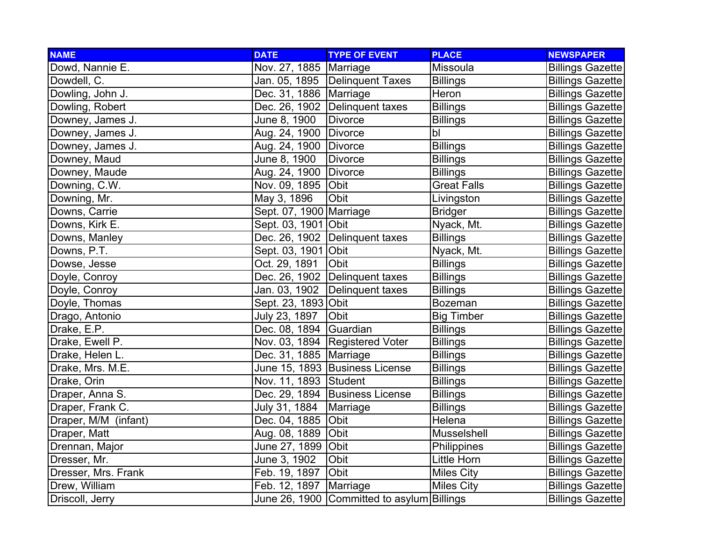| <b>NAME</b>          | <b>DATE</b>              | <b>TYPE OF EVENT</b>                       | <b>PLACE</b>       | <b>NEWSPAPER</b>        |
|----------------------|--------------------------|--------------------------------------------|--------------------|-------------------------|
| Dowd, Nannie E.      | Nov. 27, 1885   Marriage |                                            | Missoula           | <b>Billings Gazette</b> |
| Dowdell, C.          |                          | Jan. 05, 1895   Delinquent Taxes           | <b>Billings</b>    | <b>Billings Gazette</b> |
| Dowling, John J.     | Dec. 31, 1886   Marriage |                                            | Heron              | <b>Billings Gazette</b> |
| Dowling, Robert      |                          | Dec. 26, 1902   Delinquent taxes           | <b>Billings</b>    | <b>Billings Gazette</b> |
| Downey, James J.     | June 8, 1900             | <b>Divorce</b>                             | <b>Billings</b>    | <b>Billings Gazette</b> |
| Downey, James J.     | Aug. 24, 1900            | Divorce                                    | bl                 | <b>Billings Gazette</b> |
| Downey, James J.     | Aug. 24, 1900   Divorce  |                                            | <b>Billings</b>    | <b>Billings Gazette</b> |
| Downey, Maud         | June 8, 1900             | <b>Divorce</b>                             | <b>Billings</b>    | <b>Billings Gazette</b> |
| Downey, Maude        | Aug. 24, 1900            | Divorce                                    | <b>Billings</b>    | <b>Billings Gazette</b> |
| Downing, C.W.        | Nov. 09, 1895            | Obit                                       | <b>Great Falls</b> | <b>Billings Gazette</b> |
| Downing, Mr.         | May 3, 1896              | Obit                                       | Livingston         | <b>Billings Gazette</b> |
| Downs, Carrie        | Sept. 07, 1900 Marriage  |                                            | <b>Bridger</b>     | <b>Billings Gazette</b> |
| Downs, Kirk E.       | Sept. 03, 1901 Obit      |                                            | Nyack, Mt.         | <b>Billings Gazette</b> |
| Downs, Manley        |                          | Dec. 26, 1902   Delinquent taxes           | <b>Billings</b>    | <b>Billings Gazette</b> |
| Downs, P.T.          | Sept. 03, 1901 Obit      |                                            | Nyack, Mt.         | <b>Billings Gazette</b> |
| Dowse, Jesse         | Oct. 29, 1891            | Obit                                       | <b>Billings</b>    | <b>Billings Gazette</b> |
| Doyle, Conroy        |                          | Dec. 26, 1902 Delinquent taxes             | <b>Billings</b>    | <b>Billings Gazette</b> |
| Doyle, Conroy        |                          | Jan. 03, 1902 Delinquent taxes             | <b>Billings</b>    | <b>Billings Gazette</b> |
| Doyle, Thomas        | Sept. 23, 1893 Obit      |                                            | <b>Bozeman</b>     | <b>Billings Gazette</b> |
| Drago, Antonio       | July 23, 1897            | Obit                                       | <b>Big Timber</b>  | <b>Billings Gazette</b> |
| Drake, E.P.          | Dec. 08, 1894 Guardian   |                                            | <b>Billings</b>    | <b>Billings Gazette</b> |
| Drake, Ewell P.      |                          | Nov. 03, 1894 Registered Voter             | <b>Billings</b>    | <b>Billings Gazette</b> |
| Drake, Helen L.      | Dec. 31, 1885   Marriage |                                            | <b>Billings</b>    | <b>Billings Gazette</b> |
| Drake, Mrs. M.E.     |                          | June 15, 1893 Business License             | <b>Billings</b>    | <b>Billings Gazette</b> |
| Drake, Orin          | Nov. 11, 1893 Student    |                                            | <b>Billings</b>    | <b>Billings Gazette</b> |
| Draper, Anna S.      |                          | Dec. 29, 1894 Business License             | <b>Billings</b>    | <b>Billings Gazette</b> |
| Draper, Frank C.     | July 31, 1884            | Marriage                                   | <b>Billings</b>    | <b>Billings Gazette</b> |
| Draper, M/M (infant) | Dec. 04, 1885            | Obit                                       | Helena             | <b>Billings Gazette</b> |
| Draper, Matt         | Aug. 08, 1889 Obit       |                                            | Musselshell        | <b>Billings Gazette</b> |
| Drennan, Major       | June 27, 1899 Obit       |                                            | Philippines        | <b>Billings Gazette</b> |
| Dresser, Mr.         | June 3, 1902             | Obit                                       | Little Horn        | <b>Billings Gazette</b> |
| Dresser, Mrs. Frank  | Feb. 19, 1897            | Obit                                       | <b>Miles City</b>  | <b>Billings Gazette</b> |
| Drew, William        | Feb. 12, 1897            | Marriage                                   | <b>Miles City</b>  | <b>Billings Gazette</b> |
| Driscoll, Jerry      |                          | June 26, 1900 Committed to asylum Billings |                    | <b>Billings Gazette</b> |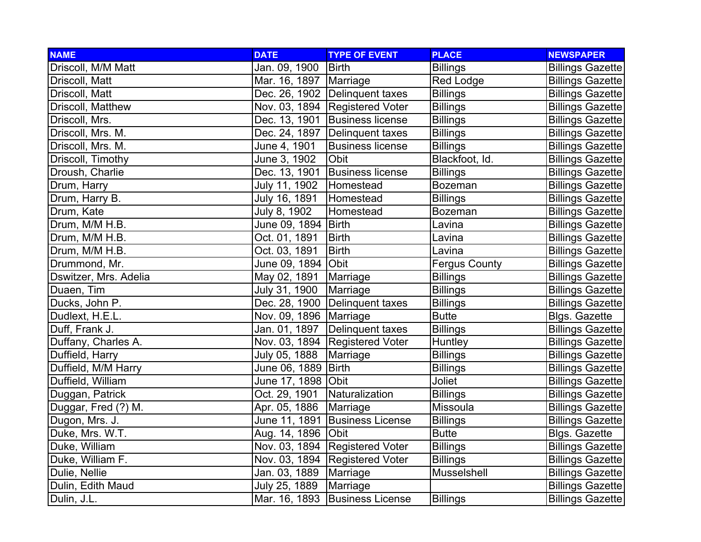| <b>NAME</b>           | <b>DATE</b>                    | <b>TYPE OF EVENT</b>             | <b>PLACE</b>         | <b>NEWSPAPER</b>        |
|-----------------------|--------------------------------|----------------------------------|----------------------|-------------------------|
| Driscoll, M/M Matt    | Jan. 09, 1900                  | Birth                            | <b>Billings</b>      | <b>Billings Gazette</b> |
| Driscoll, Matt        | Mar. 16, 1897   Marriage       |                                  | Red Lodge            | <b>Billings Gazette</b> |
| Driscoll, Matt        |                                | Dec. 26, 1902 Delinquent taxes   | <b>Billings</b>      | <b>Billings Gazette</b> |
| Driscoll, Matthew     |                                | Nov. 03, 1894 Registered Voter   | <b>Billings</b>      | <b>Billings Gazette</b> |
| Driscoll, Mrs.        |                                | Dec. 13, 1901 Business license   | <b>Billings</b>      | <b>Billings Gazette</b> |
| Driscoll, Mrs. M.     |                                | Dec. 24, 1897 Delinquent taxes   | <b>Billings</b>      | <b>Billings Gazette</b> |
| Driscoll, Mrs. M.     | June 4, 1901                   | <b>Business license</b>          | <b>Billings</b>      | <b>Billings Gazette</b> |
| Driscoll, Timothy     | June 3, 1902                   | Obit                             | Blackfoot, Id.       | <b>Billings Gazette</b> |
| Droush, Charlie       | Dec. 13, 1901                  | <b>Business license</b>          | <b>Billings</b>      | <b>Billings Gazette</b> |
| Drum, Harry           | July 11, 1902                  | Homestead                        | <b>Bozeman</b>       | <b>Billings Gazette</b> |
| Drum, Harry B.        | July 16, 1891                  | Homestead                        | <b>Billings</b>      | <b>Billings Gazette</b> |
| Drum, Kate            | July 8, 1902                   | Homestead                        | <b>Bozeman</b>       | <b>Billings Gazette</b> |
| Drum, M/M H.B.        | June 09, 1894   Birth          |                                  | Lavina               | <b>Billings Gazette</b> |
| Drum, M/M H.B.        | Oct. 01, 1891                  | <b>Birth</b>                     | Lavina               | <b>Billings Gazette</b> |
| Drum, M/M H.B.        | Oct. 03, 1891                  | <b>Birth</b>                     | Lavina               | <b>Billings Gazette</b> |
| Drummond, Mr.         | June 09, 1894 Obit             |                                  | <b>Fergus County</b> | <b>Billings Gazette</b> |
| Dswitzer, Mrs. Adelia | May 02, 1891                   | Marriage                         | <b>Billings</b>      | <b>Billings Gazette</b> |
| Duaen, Tim            | July 31, 1900                  | Marriage                         | <b>Billings</b>      | <b>Billings Gazette</b> |
| Ducks, John P.        |                                | Dec. 28, 1900   Delinquent taxes | <b>Billings</b>      | <b>Billings Gazette</b> |
| Dudlext, H.E.L.       | Nov. 09, 1896   Marriage       |                                  | <b>Butte</b>         | <b>Blgs. Gazette</b>    |
| Duff, Frank J.        |                                | Jan. 01, 1897   Delinquent taxes | <b>Billings</b>      | <b>Billings Gazette</b> |
| Duffany, Charles A.   |                                | Nov. 03, 1894 Registered Voter   | Huntley              | <b>Billings Gazette</b> |
| Duffield, Harry       | July 05, 1888                  | Marriage                         | <b>Billings</b>      | <b>Billings Gazette</b> |
| Duffield, M/M Harry   | June 06, 1889                  | <b>Birth</b>                     | <b>Billings</b>      | <b>Billings Gazette</b> |
| Duffield, William     | June 17, 1898 Obit             |                                  | Joliet               | <b>Billings Gazette</b> |
| Duggan, Patrick       | Oct. 29, 1901   Naturalization |                                  | <b>Billings</b>      | <b>Billings Gazette</b> |
| Duggar, Fred (?) M.   | Apr. 05, 1886                  | Marriage                         | Missoula             | <b>Billings Gazette</b> |
| Dugon, Mrs. J.        |                                | June 11, 1891 Business License   | <b>Billings</b>      | <b>Billings Gazette</b> |
| Duke, Mrs. W.T.       | Aug. 14, 1896 Obit             |                                  | <b>Butte</b>         | Blgs. Gazette           |
| Duke, William         |                                | Nov. 03, 1894 Registered Voter   | <b>Billings</b>      | <b>Billings Gazette</b> |
| Duke, William F.      |                                | Nov. 03, 1894 Registered Voter   | <b>Billings</b>      | <b>Billings Gazette</b> |
| Dulie, Nellie         | Jan. 03, 1889                  | Marriage                         | Musselshell          | <b>Billings Gazette</b> |
| Dulin, Edith Maud     | July 25, 1889                  | Marriage                         |                      | <b>Billings Gazette</b> |
| Dulin, J.L.           |                                | Mar. 16, 1893 Business License   | <b>Billings</b>      | <b>Billings Gazette</b> |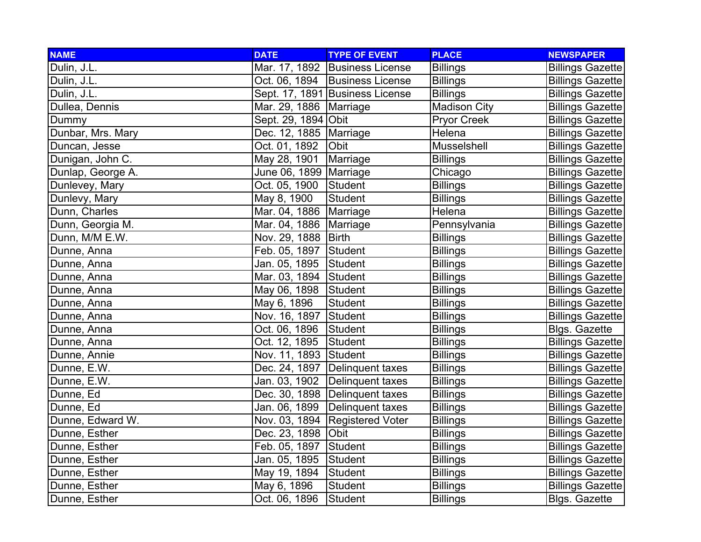| <b>NAME</b>       | <b>DATE</b>              | <b>TYPE OF EVENT</b>             | <b>PLACE</b>        | <b>NEWSPAPER</b>        |
|-------------------|--------------------------|----------------------------------|---------------------|-------------------------|
| Dulin, J.L.       |                          | Mar. 17, 1892 Business License   | <b>Billings</b>     | <b>Billings Gazette</b> |
| Dulin, J.L.       |                          | Oct. 06, 1894   Business License | <b>Billings</b>     | <b>Billings Gazette</b> |
| Dulin, J.L.       |                          | Sept. 17, 1891 Business License  | <b>Billings</b>     | <b>Billings Gazette</b> |
| Dullea, Dennis    | Mar. 29, 1886   Marriage |                                  | <b>Madison City</b> | <b>Billings Gazette</b> |
| Dummy             | Sept. 29, 1894 Obit      |                                  | Pryor Creek         | <b>Billings Gazette</b> |
| Dunbar, Mrs. Mary | Dec. 12, 1885   Marriage |                                  | Helena              | <b>Billings Gazette</b> |
| Duncan, Jesse     | Oct. 01, 1892            | Obit                             | Musselshell         | <b>Billings Gazette</b> |
| Dunigan, John C.  | May 28, 1901             | Marriage                         | <b>Billings</b>     | <b>Billings Gazette</b> |
| Dunlap, George A. | June 06, 1899   Marriage |                                  | Chicago             | <b>Billings Gazette</b> |
| Dunlevey, Mary    | Oct. 05, 1900            | Student                          | <b>Billings</b>     | <b>Billings Gazette</b> |
| Dunlevy, Mary     | May 8, 1900              | Student                          | <b>Billings</b>     | <b>Billings Gazette</b> |
| Dunn, Charles     | Mar. 04, 1886   Marriage |                                  | Helena              | <b>Billings Gazette</b> |
| Dunn, Georgia M.  | Mar. 04, 1886   Marriage |                                  | Pennsylvania        | <b>Billings Gazette</b> |
| Dunn, M/M E.W.    | Nov. 29, 1888   Birth    |                                  | <b>Billings</b>     | <b>Billings Gazette</b> |
| Dunne, Anna       | Feb. 05, 1897 Student    |                                  | <b>Billings</b>     | <b>Billings Gazette</b> |
| Dunne, Anna       | Jan. 05, 1895            | Student                          | <b>Billings</b>     | <b>Billings Gazette</b> |
| Dunne, Anna       | Mar. 03, 1894 Student    |                                  | <b>Billings</b>     | <b>Billings Gazette</b> |
| Dunne, Anna       | May 06, 1898 Student     |                                  | <b>Billings</b>     | <b>Billings Gazette</b> |
| Dunne, Anna       | May 6, 1896              | <b>Student</b>                   | <b>Billings</b>     | <b>Billings Gazette</b> |
| Dunne, Anna       | Nov. 16, 1897            | Student                          | <b>Billings</b>     | <b>Billings Gazette</b> |
| Dunne, Anna       | Oct. 06, 1896            | Student                          | <b>Billings</b>     | <b>Blgs. Gazette</b>    |
| Dunne, Anna       | Oct. 12, 1895            | Student                          | <b>Billings</b>     | <b>Billings Gazette</b> |
| Dunne, Annie      | Nov. 11, 1893 Student    |                                  | <b>Billings</b>     | <b>Billings Gazette</b> |
| Dunne, E.W.       |                          | Dec. 24, 1897   Delinquent taxes | <b>Billings</b>     | <b>Billings Gazette</b> |
| Dunne, E.W.       |                          | Jan. 03, 1902 Delinquent taxes   | <b>Billings</b>     | <b>Billings Gazette</b> |
| Dunne, Ed         |                          | Dec. 30, 1898   Delinquent taxes | <b>Billings</b>     | <b>Billings Gazette</b> |
| Dunne, Ed         | Jan. 06, 1899            | Delinquent taxes                 | <b>Billings</b>     | <b>Billings Gazette</b> |
| Dunne, Edward W.  | Nov. 03, 1894            | <b>Registered Voter</b>          | <b>Billings</b>     | <b>Billings Gazette</b> |
| Dunne, Esther     | Dec. 23, 1898 Obit       |                                  | <b>Billings</b>     | <b>Billings Gazette</b> |
| Dunne, Esther     | Feb. 05, 1897            | Student                          | <b>Billings</b>     | <b>Billings Gazette</b> |
| Dunne, Esther     | Jan. 05, 1895            | Student                          | <b>Billings</b>     | <b>Billings Gazette</b> |
| Dunne, Esther     | May 19, 1894             | Student                          | <b>Billings</b>     | <b>Billings Gazette</b> |
| Dunne, Esther     | May 6, 1896              | <b>Student</b>                   | <b>Billings</b>     | <b>Billings Gazette</b> |
| Dunne, Esther     | Oct. 06, 1896            | Student                          | <b>Billings</b>     | <b>Blgs. Gazette</b>    |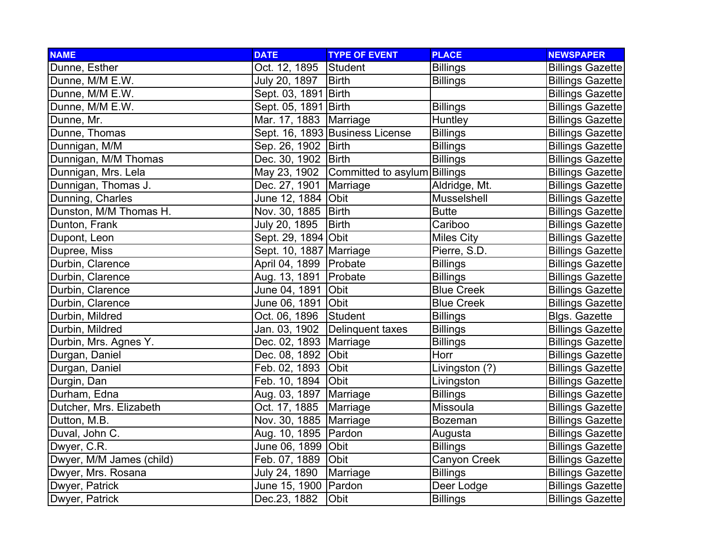| <b>NAME</b>              | <b>DATE</b>              | <b>TYPE OF EVENT</b>                      | <b>PLACE</b>      | <b>NEWSPAPER</b>        |
|--------------------------|--------------------------|-------------------------------------------|-------------------|-------------------------|
| Dunne, Esther            | Oct. 12, 1895            | Student                                   | <b>Billings</b>   | <b>Billings Gazette</b> |
| Dunne, M/M E.W.          | July 20, 1897            | <b>Birth</b>                              | <b>Billings</b>   | <b>Billings Gazette</b> |
| Dunne, M/M E.W.          | Sept. 03, 1891 Birth     |                                           |                   | <b>Billings Gazette</b> |
| Dunne, M/M E.W.          | Sept. 05, 1891 Birth     |                                           | <b>Billings</b>   | <b>Billings Gazette</b> |
| Dunne, Mr.               | Mar. 17, 1883   Marriage |                                           | Huntley           | <b>Billings Gazette</b> |
| Dunne, Thomas            |                          | Sept. 16, 1893 Business License           | <b>Billings</b>   | <b>Billings Gazette</b> |
| Dunnigan, M/M            | Sep. 26, 1902   Birth    |                                           | <b>Billings</b>   | <b>Billings Gazette</b> |
| Dunnigan, M/M Thomas     | Dec. 30, 1902   Birth    |                                           | <b>Billings</b>   | <b>Billings Gazette</b> |
| Dunnigan, Mrs. Lela      |                          | May 23, 1902 Committed to asylum Billings |                   | <b>Billings Gazette</b> |
| Dunnigan, Thomas J.      | Dec. 27, 1901   Marriage |                                           | Aldridge, Mt.     | <b>Billings Gazette</b> |
| Dunning, Charles         | June 12, 1884 Obit       |                                           | Musselshell       | <b>Billings Gazette</b> |
| Dunston, M/M Thomas H.   | Nov. 30, 1885   Birth    |                                           | <b>Butte</b>      | <b>Billings Gazette</b> |
| Dunton, Frank            | July 20, 1895            | Birth                                     | Cariboo           | <b>Billings Gazette</b> |
| Dupont, Leon             | Sept. 29, 1894 Obit      |                                           | <b>Miles City</b> | <b>Billings Gazette</b> |
| Dupree, Miss             | Sept. 10, 1887 Marriage  |                                           | Pierre, S.D.      | <b>Billings Gazette</b> |
| Durbin, Clarence         | April 04, 1899   Probate |                                           | <b>Billings</b>   | <b>Billings Gazette</b> |
| Durbin, Clarence         | Aug. 13, 1891   Probate  |                                           | <b>Billings</b>   | <b>Billings Gazette</b> |
| Durbin, Clarence         | June 04, 1891 Obit       |                                           | <b>Blue Creek</b> | <b>Billings Gazette</b> |
| Durbin, Clarence         | June 06, 1891 Obit       |                                           | <b>Blue Creek</b> | <b>Billings Gazette</b> |
| Durbin, Mildred          | Oct. 06, 1896            | Student                                   | <b>Billings</b>   | <b>Blgs. Gazette</b>    |
| Durbin, Mildred          |                          | Jan. 03, 1902 Delinquent taxes            | <b>Billings</b>   | <b>Billings Gazette</b> |
| Durbin, Mrs. Agnes Y.    | Dec. 02, 1893   Marriage |                                           | <b>Billings</b>   | <b>Billings Gazette</b> |
| Durgan, Daniel           | Dec. 08, 1892            | Obit                                      | Horr              | <b>Billings Gazette</b> |
| Durgan, Daniel           | Feb. 02, 1893            | Obit                                      | Livingston (?)    | <b>Billings Gazette</b> |
| Durgin, Dan              | Feb. 10, 1894 Obit       |                                           | Livingston        | <b>Billings Gazette</b> |
| Durham, Edna             | Aug. 03, 1897   Marriage |                                           | <b>Billings</b>   | <b>Billings Gazette</b> |
| Dutcher, Mrs. Elizabeth  | Oct. 17, 1885   Marriage |                                           | Missoula          | <b>Billings Gazette</b> |
| Dutton, M.B.             | Nov. 30, 1885   Marriage |                                           | <b>Bozeman</b>    | <b>Billings Gazette</b> |
| Duval, John C.           | Aug. 10, 1895   Pardon   |                                           | Augusta           | <b>Billings Gazette</b> |
| Dwyer, C.R.              | June 06, 1899 Obit       |                                           | <b>Billings</b>   | <b>Billings Gazette</b> |
| Dwyer, M/M James (child) | Feb. 07, 1889            | Obit                                      | Canyon Creek      | <b>Billings Gazette</b> |
| Dwyer, Mrs. Rosana       | July 24, 1890            | Marriage                                  | <b>Billings</b>   | <b>Billings Gazette</b> |
| Dwyer, Patrick           | June 15, 1900 Pardon     |                                           | Deer Lodge        | <b>Billings Gazette</b> |
| Dwyer, Patrick           | Dec.23, 1882             | Obit                                      | <b>Billings</b>   | <b>Billings Gazette</b> |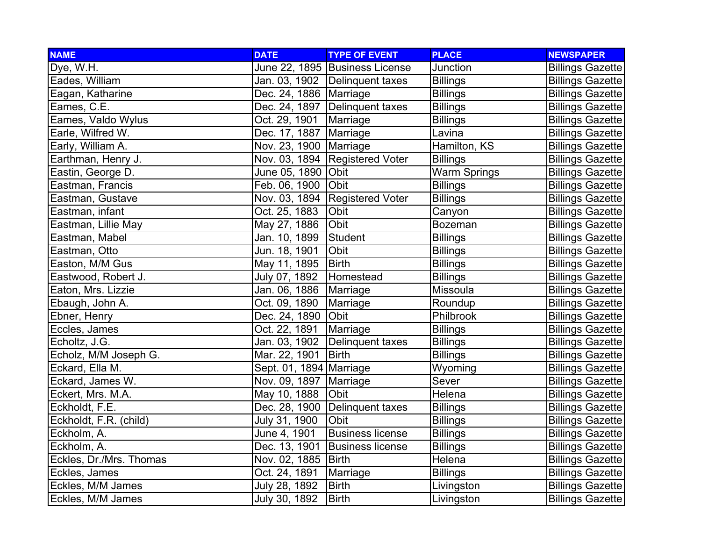| <b>NAME</b>             | <b>DATE</b>              | <b>TYPE OF EVENT</b>             | <b>PLACE</b>        | <b>NEWSPAPER</b>        |
|-------------------------|--------------------------|----------------------------------|---------------------|-------------------------|
| Dye, W.H.               |                          | June 22, 1895 Business License   | Junction            | <b>Billings Gazette</b> |
| Eades, William          |                          | Jan. 03, 1902 Delinquent taxes   | <b>Billings</b>     | <b>Billings Gazette</b> |
| Eagan, Katharine        | Dec. 24, 1886   Marriage |                                  | <b>Billings</b>     | <b>Billings Gazette</b> |
| Eames, C.E.             |                          | Dec. 24, 1897 Delinquent taxes   | <b>Billings</b>     | <b>Billings Gazette</b> |
| Eames, Valdo Wylus      | Oct. 29, 1901            | Marriage                         | <b>Billings</b>     | <b>Billings Gazette</b> |
| Earle, Wilfred W.       | Dec. 17, 1887            | Marriage                         | Lavina              | <b>Billings Gazette</b> |
| Early, William A.       | Nov. 23, 1900   Marriage |                                  | Hamilton, KS        | <b>Billings Gazette</b> |
| Earthman, Henry J.      |                          | Nov. 03, 1894   Registered Voter | <b>Billings</b>     | <b>Billings Gazette</b> |
| Eastin, George D.       | June 05, 1890  Obit      |                                  | <b>Warm Springs</b> | <b>Billings Gazette</b> |
| Eastman, Francis        | Feb. 06, 1900            | Obit                             | <b>Billings</b>     | <b>Billings Gazette</b> |
| Eastman, Gustave        |                          | Nov. 03, 1894 Registered Voter   | <b>Billings</b>     | <b>Billings Gazette</b> |
| Eastman, infant         | Oct. 25, 1883            | Obit                             | Canyon              | <b>Billings Gazette</b> |
| Eastman, Lillie May     | May 27, 1886             | Obit                             | <b>Bozeman</b>      | <b>Billings Gazette</b> |
| Eastman, Mabel          | Jan. 10, 1899            | Student                          | <b>Billings</b>     | <b>Billings Gazette</b> |
| Eastman, Otto           | Jun. 18, 1901            | Obit                             | <b>Billings</b>     | <b>Billings Gazette</b> |
| Easton, M/M Gus         | May 11, 1895             | <b>Birth</b>                     | <b>Billings</b>     | <b>Billings Gazette</b> |
| Eastwood, Robert J.     | July 07, 1892            | Homestead                        | <b>Billings</b>     | <b>Billings Gazette</b> |
| Eaton, Mrs. Lizzie      | Jan. 06, 1886            | Marriage                         | Missoula            | <b>Billings Gazette</b> |
| Ebaugh, John A.         | Oct. 09, 1890            | Marriage                         | Roundup             | <b>Billings Gazette</b> |
| Ebner, Henry            | Dec. 24, 1890            | <b>Obit</b>                      | Philbrook           | <b>Billings Gazette</b> |
| Eccles, James           | Oct. 22, 1891            | Marriage                         | <b>Billings</b>     | <b>Billings Gazette</b> |
| Echoltz, J.G.           | Jan. 03, 1902            | Delinquent taxes                 | <b>Billings</b>     | <b>Billings Gazette</b> |
| Echolz, M/M Joseph G.   | Mar. 22, 1901            | <b>Birth</b>                     | <b>Billings</b>     | <b>Billings Gazette</b> |
| Eckard, Ella M.         | Sept. 01, 1894 Marriage  |                                  | Wyoming             | <b>Billings Gazette</b> |
| Eckard, James W.        | Nov. 09, 1897   Marriage |                                  | Sever               | <b>Billings Gazette</b> |
| Eckert, Mrs. M.A.       | May 10, 1888             | <b>Obit</b>                      | Helena              | <b>Billings Gazette</b> |
| Eckholdt, F.E.          | Dec. 28, 1900            | Delinquent taxes                 | <b>Billings</b>     | <b>Billings Gazette</b> |
| Eckholdt, F.R. (child)  | July 31, 1900            | Obit                             | <b>Billings</b>     | <b>Billings Gazette</b> |
| Eckholm, A.             | June 4, 1901             | <b>Business license</b>          | <b>Billings</b>     | <b>Billings Gazette</b> |
| Eckholm, A.             | Dec. 13, 1901            | <b>Business license</b>          | <b>Billings</b>     | <b>Billings Gazette</b> |
| Eckles, Dr./Mrs. Thomas | Nov. 02, 1885            | Birth                            | Helena              | <b>Billings Gazette</b> |
| Eckles, James           | Oct. 24, 1891            | Marriage                         | <b>Billings</b>     | <b>Billings Gazette</b> |
| Eckles, M/M James       | July 28, 1892            | <b>Birth</b>                     | Livingston          | <b>Billings Gazette</b> |
| Eckles, M/M James       | July 30, 1892            | <b>Birth</b>                     | Livingston          | <b>Billings Gazette</b> |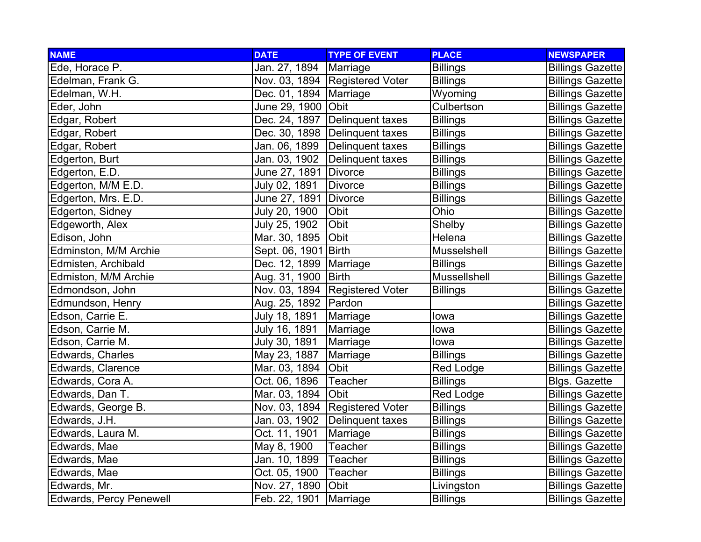| <b>NAME</b>             | <b>DATE</b>              | <b>TYPE OF EVENT</b>             | <b>PLACE</b>     | <b>NEWSPAPER</b>        |
|-------------------------|--------------------------|----------------------------------|------------------|-------------------------|
| Ede, Horace P.          | Jan. 27, 1894            | Marriage                         | <b>Billings</b>  | <b>Billings Gazette</b> |
| Edelman, Frank G.       |                          | Nov. 03, 1894 Registered Voter   | <b>Billings</b>  | <b>Billings Gazette</b> |
| Edelman, W.H.           | Dec. 01, 1894   Marriage |                                  | Wyoming          | <b>Billings Gazette</b> |
| Eder, John              | June 29, 1900   Obit     |                                  | Culbertson       | <b>Billings Gazette</b> |
| Edgar, Robert           |                          | Dec. 24, 1897   Delinquent taxes | <b>Billings</b>  | <b>Billings Gazette</b> |
| Edgar, Robert           |                          | Dec. 30, 1898   Delinquent taxes | <b>Billings</b>  | <b>Billings Gazette</b> |
| Edgar, Robert           | Jan. 06, 1899            | Delinquent taxes                 | <b>Billings</b>  | <b>Billings Gazette</b> |
| Edgerton, Burt          | Jan. 03, 1902            | Delinquent taxes                 | <b>Billings</b>  | <b>Billings Gazette</b> |
| Edgerton, E.D.          | June 27, 1891 Divorce    |                                  | <b>Billings</b>  | <b>Billings Gazette</b> |
| Edgerton, M/M E.D.      | July 02, 1891            | <b>Divorce</b>                   | <b>Billings</b>  | <b>Billings Gazette</b> |
| Edgerton, Mrs. E.D.     | June 27, 1891            | <b>Divorce</b>                   | <b>Billings</b>  | <b>Billings Gazette</b> |
| Edgerton, Sidney        | July 20, 1900            | Obit                             | Ohio             | <b>Billings Gazette</b> |
| Edgeworth, Alex         | July 25, 1902            | Obit                             | Shelby           | <b>Billings Gazette</b> |
| Edison, John            | Mar. 30, 1895            | <b>Obit</b>                      | Helena           | <b>Billings Gazette</b> |
| Edminston, M/M Archie   | Sept. 06, 1901 Birth     |                                  | Musselshell      | <b>Billings Gazette</b> |
| Edmisten, Archibald     | Dec. 12, 1899   Marriage |                                  | <b>Billings</b>  | <b>Billings Gazette</b> |
| Edmiston, M/M Archie    | Aug. 31, 1900   Birth    |                                  | Mussellshell     | <b>Billings Gazette</b> |
| Edmondson, John         |                          | Nov. 03, 1894 Registered Voter   | <b>Billings</b>  | <b>Billings Gazette</b> |
| Edmundson, Henry        | Aug. 25, 1892   Pardon   |                                  |                  | <b>Billings Gazette</b> |
| Edson, Carrie E.        | July 18, 1891            | Marriage                         | lowa             | <b>Billings Gazette</b> |
| Edson, Carrie M.        | July 16, 1891            | Marriage                         | lowa             | <b>Billings Gazette</b> |
| Edson, Carrie M.        | July 30, 1891            | Marriage                         | lowa             | <b>Billings Gazette</b> |
| Edwards, Charles        | May 23, 1887             | Marriage                         | <b>Billings</b>  | <b>Billings Gazette</b> |
| Edwards, Clarence       | Mar. 03, 1894            | Obit                             | <b>Red Lodge</b> | <b>Billings Gazette</b> |
| Edwards, Cora A.        | Oct. 06, 1896            | Teacher                          | <b>Billings</b>  | <b>Blgs. Gazette</b>    |
| Edwards, Dan T.         | Mar. 03, 1894            | <b>Obit</b>                      | <b>Red Lodge</b> | <b>Billings Gazette</b> |
| Edwards, George B.      |                          | Nov. 03, 1894 Registered Voter   | <b>Billings</b>  | <b>Billings Gazette</b> |
| Edwards, J.H.           | Jan. 03, 1902            | Delinquent taxes                 | <b>Billings</b>  | <b>Billings Gazette</b> |
| Edwards, Laura M.       | Oct. 11, 1901            | Marriage                         | <b>Billings</b>  | <b>Billings Gazette</b> |
| Edwards, Mae            | May 8, 1900              | <b>Teacher</b>                   | <b>Billings</b>  | <b>Billings Gazette</b> |
| Edwards, Mae            | Jan. 10, 1899            | Teacher                          | <b>Billings</b>  | <b>Billings Gazette</b> |
| Edwards, Mae            | Oct. 05, 1900            | Teacher                          | <b>Billings</b>  | <b>Billings Gazette</b> |
| Edwards, Mr.            | Nov. 27, 1890            | Obit                             | Livingston       | <b>Billings Gazette</b> |
| Edwards, Percy Penewell | Feb. 22, 1901            | Marriage                         | <b>Billings</b>  | <b>Billings Gazette</b> |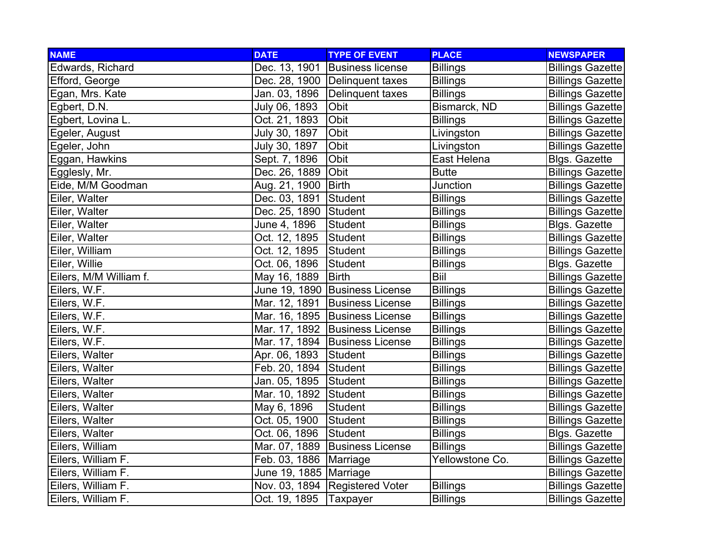| <b>NAME</b>            | <b>DATE</b>              | <b>TYPE OF EVENT</b>             | <b>PLACE</b>    | <b>NEWSPAPER</b>        |
|------------------------|--------------------------|----------------------------------|-----------------|-------------------------|
| Edwards, Richard       | Dec. 13, 1901            | <b>Business license</b>          | <b>Billings</b> | <b>Billings Gazette</b> |
| Efford, George         |                          | Dec. 28, 1900   Delinquent taxes | <b>Billings</b> | <b>Billings Gazette</b> |
| Egan, Mrs. Kate        |                          | Jan. 03, 1896 Delinquent taxes   | <b>Billings</b> | <b>Billings Gazette</b> |
| Egbert, D.N.           | July 06, 1893            | Obit                             | Bismarck, ND    | <b>Billings Gazette</b> |
| Egbert, Lovina L.      | Oct. 21, 1893            | Obit                             | <b>Billings</b> | <b>Billings Gazette</b> |
| Egeler, August         | July 30, 1897            | Obit                             | Livingston      | <b>Billings Gazette</b> |
| Egeler, John           | July 30, 1897            | Obit                             | Livingston      | <b>Billings Gazette</b> |
| Eggan, Hawkins         | Sept. 7, 1896            | Obit                             | East Helena     | Blgs. Gazette           |
| Egglesly, Mr.          | Dec. 26, 1889            | Obit                             | <b>Butte</b>    | <b>Billings Gazette</b> |
| Eide, M/M Goodman      | Aug. 21, 1900            | <b>Birth</b>                     | Junction        | <b>Billings Gazette</b> |
| Eiler, Walter          | Dec. 03, 1891            | Student                          | <b>Billings</b> | <b>Billings Gazette</b> |
| Eiler, Walter          | Dec. 25, 1890 Student    |                                  | <b>Billings</b> | <b>Billings Gazette</b> |
| Eiler, Walter          | June 4, 1896             | Student                          | <b>Billings</b> | <b>Blgs. Gazette</b>    |
| Eiler, Walter          | Oct. 12, 1895            | Student                          | <b>Billings</b> | <b>Billings Gazette</b> |
| Eiler, William         | Oct. 12, 1895            | Student                          | <b>Billings</b> | <b>Billings Gazette</b> |
| Eiler, Willie          | Oct. 06, 1896            | Student                          | <b>Billings</b> | Blgs. Gazette           |
| Eilers, M/M William f. | May 16, 1889             | <b>Birth</b>                     | Biil            | <b>Billings Gazette</b> |
| Eilers, W.F.           |                          | June 19, 1890 Business License   | <b>Billings</b> | <b>Billings Gazette</b> |
| Eilers, W.F.           |                          | Mar. 12, 1891 Business License   | <b>Billings</b> | <b>Billings Gazette</b> |
| Eilers, W.F.           |                          | Mar. 16, 1895 Business License   | <b>Billings</b> | <b>Billings Gazette</b> |
| Eilers, W.F.           |                          | Mar. 17, 1892 Business License   | <b>Billings</b> | <b>Billings Gazette</b> |
| Eilers, W.F.           |                          | Mar. 17, 1894 Business License   | <b>Billings</b> | <b>Billings Gazette</b> |
| Eilers, Walter         | Apr. 06, 1893            | Student                          | <b>Billings</b> | <b>Billings Gazette</b> |
| Eilers, Walter         | Feb. 20, 1894            | Student                          | <b>Billings</b> | <b>Billings Gazette</b> |
| Eilers, Walter         | Jan. 05, 1895            | Student                          | <b>Billings</b> | <b>Billings Gazette</b> |
| Eilers, Walter         | Mar. 10, 1892            | Student                          | <b>Billings</b> | <b>Billings Gazette</b> |
| Eilers, Walter         | May 6, 1896              | <b>Student</b>                   | <b>Billings</b> | <b>Billings Gazette</b> |
| Eilers, Walter         | Oct. 05, 1900            | Student                          | <b>Billings</b> | <b>Billings Gazette</b> |
| Eilers, Walter         | Oct. 06, 1896            | Student                          | <b>Billings</b> | <b>Blgs. Gazette</b>    |
| Eilers, William        |                          | Mar. 07, 1889 Business License   | <b>Billings</b> | <b>Billings Gazette</b> |
| Eilers, William F.     | Feb. 03, 1886   Marriage |                                  | Yellowstone Co. | <b>Billings Gazette</b> |
| Eilers, William F.     | June 19, 1885 Marriage   |                                  |                 | <b>Billings Gazette</b> |
| Eilers, William F.     |                          | Nov. 03, 1894 Registered Voter   | <b>Billings</b> | <b>Billings Gazette</b> |
| Eilers, William F.     | Oct. 19, 1895            | Taxpayer                         | <b>Billings</b> | <b>Billings Gazette</b> |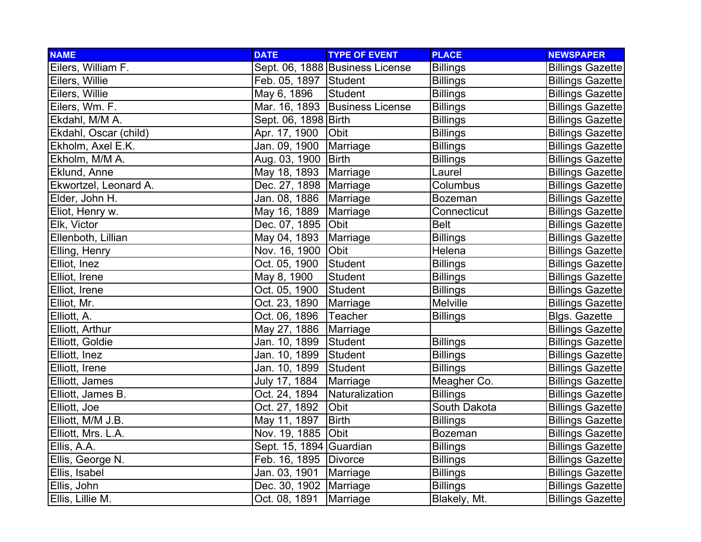| <b>NAME</b>           | <b>DATE</b>              | <b>TYPE OF EVENT</b>            | <b>PLACE</b>    | <b>NEWSPAPER</b>        |
|-----------------------|--------------------------|---------------------------------|-----------------|-------------------------|
| Eilers, William F.    |                          | Sept. 06, 1888 Business License | <b>Billings</b> | <b>Billings Gazette</b> |
| Eilers, Willie        | Feb. 05, 1897 Student    |                                 | <b>Billings</b> | <b>Billings Gazette</b> |
| Eilers, Willie        | May 6, 1896              | <b>Student</b>                  | <b>Billings</b> | <b>Billings Gazette</b> |
| Eilers, Wm. F.        |                          | Mar. 16, 1893 Business License  | <b>Billings</b> | <b>Billings Gazette</b> |
| Ekdahl, M/M A.        | Sept. 06, 1898 Birth     |                                 | <b>Billings</b> | <b>Billings Gazette</b> |
| Ekdahl, Oscar (child) | Apr. 17, 1900            | Obit                            | <b>Billings</b> | <b>Billings Gazette</b> |
| Ekholm, Axel E.K.     | Jan. 09, 1900            | Marriage                        | <b>Billings</b> | <b>Billings Gazette</b> |
| Ekholm, M/M A.        | Aug. 03, 1900   Birth    |                                 | <b>Billings</b> | <b>Billings Gazette</b> |
| Eklund, Anne          | May 18, 1893             | Marriage                        | Laurel          | <b>Billings Gazette</b> |
| Ekwortzel, Leonard A. | Dec. 27, 1898   Marriage |                                 | Columbus        | <b>Billings Gazette</b> |
| Elder, John H.        | Jan. 08, 1886   Marriage |                                 | <b>Bozeman</b>  | <b>Billings Gazette</b> |
| Eliot, Henry w.       | May 16, 1889             | Marriage                        | Connecticut     | <b>Billings Gazette</b> |
| Elk, Victor           | Dec. 07, 1895            | Obit                            | <b>Belt</b>     | <b>Billings Gazette</b> |
| Ellenboth, Lillian    | May 04, 1893             | Marriage                        | <b>Billings</b> | <b>Billings Gazette</b> |
| Elling, Henry         | Nov. 16, 1900            | Obit                            | Helena          | <b>Billings Gazette</b> |
| Elliot, Inez          | Oct. 05, 1900            | Student                         | <b>Billings</b> | <b>Billings Gazette</b> |
| Elliot, Irene         | May 8, 1900              | <b>Student</b>                  | <b>Billings</b> | <b>Billings Gazette</b> |
| Elliot, Irene         | Oct. 05, 1900            | Student                         | <b>Billings</b> | <b>Billings Gazette</b> |
| Elliot, Mr.           | Oct. 23, 1890            | Marriage                        | <b>Melville</b> | <b>Billings Gazette</b> |
| Elliott, A.           | Oct. 06, 1896            | Teacher                         | <b>Billings</b> | <b>Blgs. Gazette</b>    |
| Elliott, Arthur       | May 27, 1886             | Marriage                        |                 | <b>Billings Gazette</b> |
| Elliott, Goldie       | Jan. 10, 1899            | Student                         | <b>Billings</b> | <b>Billings Gazette</b> |
| Elliott, Inez         | Jan. 10, 1899            | Student                         | <b>Billings</b> | <b>Billings Gazette</b> |
| Elliott, Irene        | Jan. 10, 1899            | Student                         | <b>Billings</b> | <b>Billings Gazette</b> |
| Elliott, James        | July 17, 1884            | Marriage                        | Meagher Co.     | <b>Billings Gazette</b> |
| Elliott, James B.     | Oct. 24, 1894            | Naturalization                  | <b>Billings</b> | <b>Billings Gazette</b> |
| Elliott, Joe          | Oct. 27, 1892            | Obit                            | South Dakota    | <b>Billings Gazette</b> |
| Elliott, M/M J.B.     | May 11, 1897             | <b>Birth</b>                    | <b>Billings</b> | <b>Billings Gazette</b> |
| Elliott, Mrs. L.A.    | Nov. 19, 1885            | <b>Obit</b>                     | <b>Bozeman</b>  | <b>Billings Gazette</b> |
| Ellis, A.A.           | Sept. 15, 1894 Guardian  |                                 | <b>Billings</b> | <b>Billings Gazette</b> |
| Ellis, George N.      | Feb. 16, 1895 Divorce    |                                 | <b>Billings</b> | <b>Billings Gazette</b> |
| Ellis, Isabel         | Jan. 03, 1901            | Marriage                        | <b>Billings</b> | <b>Billings Gazette</b> |
| Ellis, John           | Dec. 30, 1902 Marriage   |                                 | <b>Billings</b> | <b>Billings Gazette</b> |
| Ellis, Lillie M.      | Oct. 08, 1891            | Marriage                        | Blakely, Mt.    | <b>Billings Gazette</b> |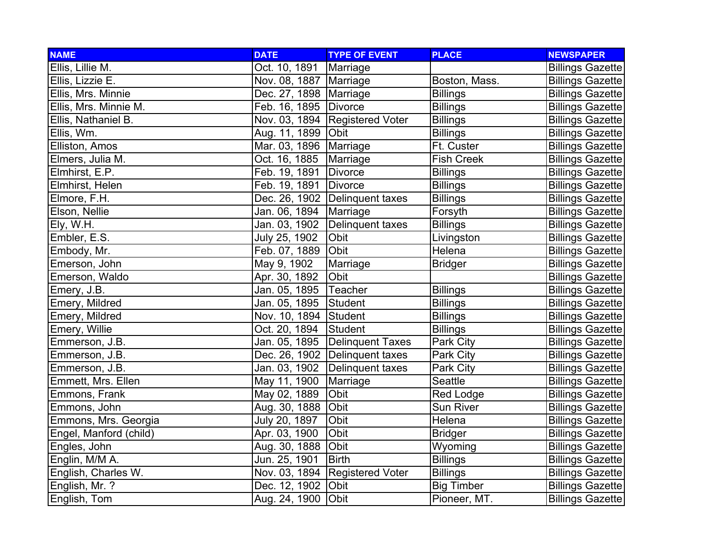| <b>NAME</b>            | <b>DATE</b>              | <b>TYPE OF EVENT</b>             | <b>PLACE</b>      | <b>NEWSPAPER</b>        |
|------------------------|--------------------------|----------------------------------|-------------------|-------------------------|
| Ellis, Lillie M.       | Oct. 10, 1891            | Marriage                         |                   | <b>Billings Gazette</b> |
| Ellis, Lizzie E.       | Nov. 08, 1887   Marriage |                                  | Boston, Mass.     | <b>Billings Gazette</b> |
| Ellis, Mrs. Minnie     | Dec. 27, 1898   Marriage |                                  | <b>Billings</b>   | <b>Billings Gazette</b> |
| Ellis, Mrs. Minnie M.  | Feb. 16, 1895 Divorce    |                                  | <b>Billings</b>   | <b>Billings Gazette</b> |
| Ellis, Nathaniel B.    |                          | Nov. 03, 1894   Registered Voter | <b>Billings</b>   | <b>Billings Gazette</b> |
| Ellis, Wm.             | Aug. 11, 1899 Obit       |                                  | <b>Billings</b>   | <b>Billings Gazette</b> |
| Elliston, Amos         | Mar. 03, 1896            | Marriage                         | Ft. Custer        | <b>Billings Gazette</b> |
| Elmers, Julia M.       | Oct. 16, 1885            | Marriage                         | <b>Fish Creek</b> | <b>Billings Gazette</b> |
| Elmhirst, E.P.         | Feb. 19, 1891            | <b>Divorce</b>                   | <b>Billings</b>   | <b>Billings Gazette</b> |
| Elmhirst, Helen        | Feb. 19, 1891            | <b>Divorce</b>                   | <b>Billings</b>   | <b>Billings Gazette</b> |
| Elmore, F.H.           |                          | Dec. 26, 1902 Delinquent taxes   | <b>Billings</b>   | <b>Billings Gazette</b> |
| Elson, Nellie          | Jan. 06, 1894            | Marriage                         | Forsyth           | <b>Billings Gazette</b> |
| Ely, W.H.              | Jan. 03, 1902            | Delinquent taxes                 | <b>Billings</b>   | <b>Billings Gazette</b> |
| Embler, E.S.           | July 25, 1902            | Obit                             | Livingston        | <b>Billings Gazette</b> |
| Embody, Mr.            | Feb. 07, 1889            | Obit                             | Helena            | <b>Billings Gazette</b> |
| Emerson, John          | May 9, 1902              | Marriage                         | <b>Bridger</b>    | <b>Billings Gazette</b> |
| Emerson, Waldo         | Apr. 30, 1892            | Obit                             |                   | <b>Billings Gazette</b> |
| Emery, J.B.            | Jan. 05, 1895            | Teacher                          | <b>Billings</b>   | <b>Billings Gazette</b> |
| Emery, Mildred         | Jan. 05, 1895            | Student                          | <b>Billings</b>   | <b>Billings Gazette</b> |
| Emery, Mildred         | Nov. 10, 1894 Student    |                                  | <b>Billings</b>   | <b>Billings Gazette</b> |
| Emery, Willie          | Oct. 20, 1894            | Student                          | <b>Billings</b>   | <b>Billings Gazette</b> |
| Emmerson, J.B.         | Jan. 05, 1895            | <b>Delinquent Taxes</b>          | Park City         | <b>Billings Gazette</b> |
| Emmerson, J.B.         |                          | Dec. 26, 1902 Delinquent taxes   | Park City         | <b>Billings Gazette</b> |
| Emmerson, J.B.         | Jan. 03, 1902            | Delinquent taxes                 | Park City         | <b>Billings Gazette</b> |
| Emmett, Mrs. Ellen     | May 11, 1900             | Marriage                         | Seattle           | <b>Billings Gazette</b> |
| Emmons, Frank          | May 02, 1889             | Obit                             | Red Lodge         | <b>Billings Gazette</b> |
| Emmons, John           | Aug. 30, 1888            | Obit                             | <b>Sun River</b>  | <b>Billings Gazette</b> |
| Emmons, Mrs. Georgia   | July 20, 1897            | Obit                             | Helena            | <b>Billings Gazette</b> |
| Engel, Manford (child) | Apr. 03, 1900            | Obit                             | <b>Bridger</b>    | <b>Billings Gazette</b> |
| Engles, John           | Aug. 30, 1888            | Obit                             | Wyoming           | <b>Billings Gazette</b> |
| Englin, M/M A.         | Jun. 25, 1901            | <b>Birth</b>                     | <b>Billings</b>   | <b>Billings Gazette</b> |
| English, Charles W.    |                          | Nov. 03, 1894 Registered Voter   | <b>Billings</b>   | <b>Billings Gazette</b> |
| English, Mr. ?         | Dec. 12, 1902            | Obit                             | <b>Big Timber</b> | <b>Billings Gazette</b> |
| English, Tom           | Aug. 24, 1900            | Obit                             | Pioneer, MT.      | <b>Billings Gazette</b> |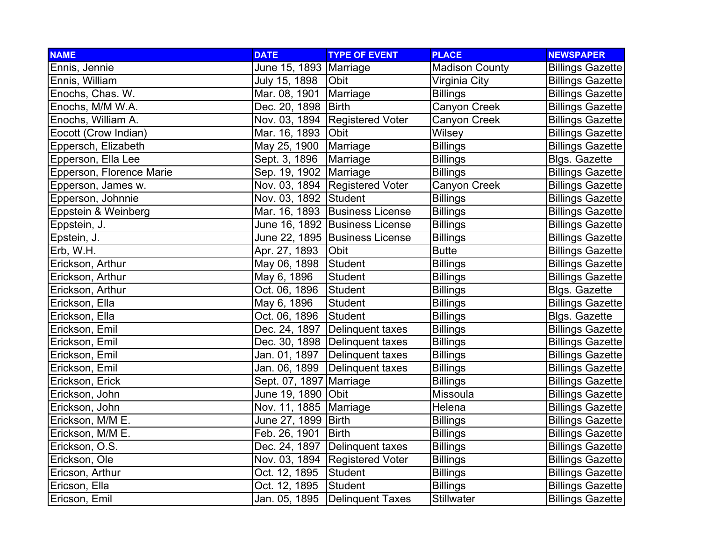| <b>NAME</b>              | <b>DATE</b>              | <b>TYPE OF EVENT</b>             | <b>PLACE</b>          | <b>NEWSPAPER</b>        |
|--------------------------|--------------------------|----------------------------------|-----------------------|-------------------------|
| Ennis, Jennie            | June 15, 1893   Marriage |                                  | <b>Madison County</b> | <b>Billings Gazette</b> |
| Ennis, William           | July 15, 1898            | <b>Obit</b>                      | Virginia City         | <b>Billings Gazette</b> |
| Enochs, Chas. W.         | Mar. 08, 1901            | Marriage                         | <b>Billings</b>       | <b>Billings Gazette</b> |
| Enochs, M/M W.A.         | Dec. 20, 1898   Birth    |                                  | Canyon Creek          | <b>Billings Gazette</b> |
| Enochs, William A.       |                          | Nov. 03, 1894 Registered Voter   | Canyon Creek          | <b>Billings Gazette</b> |
| Eocott (Crow Indian)     | Mar. 16, 1893   Obit     |                                  | Wilsey                | <b>Billings Gazette</b> |
| Eppersch, Elizabeth      | May 25, 1900             | Marriage                         | <b>Billings</b>       | <b>Billings Gazette</b> |
| Epperson, Ella Lee       | Sept. 3, 1896            | Marriage                         | <b>Billings</b>       | <b>Blgs. Gazette</b>    |
| Epperson, Florence Marie | Sep. 19, 1902   Marriage |                                  | <b>Billings</b>       | <b>Billings Gazette</b> |
| Epperson, James w.       |                          | Nov. 03, 1894   Registered Voter | Canyon Creek          | <b>Billings Gazette</b> |
| Epperson, Johnnie        | Nov. 03, 1892 Student    |                                  | <b>Billings</b>       | <b>Billings Gazette</b> |
| Eppstein & Weinberg      |                          | Mar. 16, 1893 Business License   | <b>Billings</b>       | <b>Billings Gazette</b> |
| Eppstein, J.             |                          | June 16, 1892 Business License   | <b>Billings</b>       | <b>Billings Gazette</b> |
| Epstein, J.              |                          | June 22, 1895 Business License   | <b>Billings</b>       | <b>Billings Gazette</b> |
| Erb, W.H.                | Apr. 27, 1893            | Obit                             | <b>Butte</b>          | <b>Billings Gazette</b> |
| Erickson, Arthur         | May 06, 1898             | Student                          | <b>Billings</b>       | <b>Billings Gazette</b> |
| Erickson, Arthur         | May 6, 1896              | <b>Student</b>                   | <b>Billings</b>       | <b>Billings Gazette</b> |
| Erickson, Arthur         | Oct. 06, 1896            | Student                          | <b>Billings</b>       | Blgs. Gazette           |
| Erickson, Ella           | May 6, 1896              | <b>Student</b>                   | <b>Billings</b>       | <b>Billings Gazette</b> |
| Erickson, Ella           | Oct. 06, 1896            | Student                          | <b>Billings</b>       | <b>Blgs. Gazette</b>    |
| Erickson, Emil           |                          | Dec. 24, 1897   Delinguent taxes | <b>Billings</b>       | <b>Billings Gazette</b> |
| Erickson, Emil           |                          | Dec. 30, 1898   Delinquent taxes | <b>Billings</b>       | <b>Billings Gazette</b> |
| Erickson, Emil           |                          | Jan. 01, 1897   Delinquent taxes | <b>Billings</b>       | <b>Billings Gazette</b> |
| Erickson, Emil           | Jan. 06, 1899            | Delinquent taxes                 | <b>Billings</b>       | <b>Billings Gazette</b> |
| Erickson, Erick          | Sept. 07, 1897 Marriage  |                                  | <b>Billings</b>       | <b>Billings Gazette</b> |
| Erickson, John           | June 19, 1890 Obit       |                                  | Missoula              | <b>Billings Gazette</b> |
| Erickson, John           | Nov. 11, 1885   Marriage |                                  | Helena                | <b>Billings Gazette</b> |
| Erickson, M/M E.         | June 27, 1899   Birth    |                                  | <b>Billings</b>       | <b>Billings Gazette</b> |
| Erickson, M/M E.         | Feb. 26, 1901            | <b>Birth</b>                     | <b>Billings</b>       | <b>Billings Gazette</b> |
| Erickson, O.S.           | Dec. 24, 1897            | Delinquent taxes                 | <b>Billings</b>       | <b>Billings Gazette</b> |
| Erickson, Ole            |                          | Nov. 03, 1894 Registered Voter   | <b>Billings</b>       | <b>Billings Gazette</b> |
| Ericson, Arthur          | Oct. 12, 1895            | Student                          | <b>Billings</b>       | <b>Billings Gazette</b> |
| Ericson, Ella            | Oct. 12, 1895            | Student                          | <b>Billings</b>       | <b>Billings Gazette</b> |
| Ericson, Emil            | Jan. 05, 1895            | Delinquent Taxes                 | Stillwater            | <b>Billings Gazette</b> |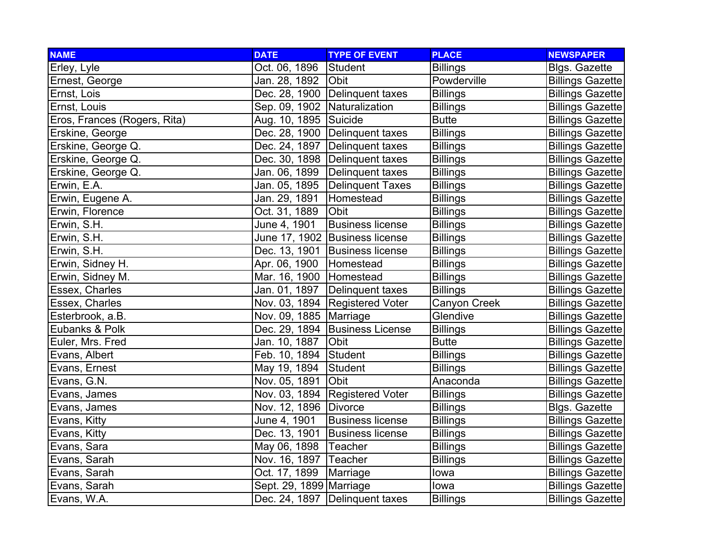| <b>NAME</b>                  | <b>DATE</b>                  | <b>TYPE OF EVENT</b>             | <b>PLACE</b>    | <b>NEWSPAPER</b>        |
|------------------------------|------------------------------|----------------------------------|-----------------|-------------------------|
| Erley, Lyle                  | Oct. 06, 1896                | Student                          | <b>Billings</b> | <b>Blgs. Gazette</b>    |
| Ernest, George               | Jan. 28, 1892                | <b>Obit</b>                      | Powderville     | <b>Billings Gazette</b> |
| Ernst, Lois                  |                              | Dec. 28, 1900 Delinquent taxes   | <b>Billings</b> | <b>Billings Gazette</b> |
| Ernst, Louis                 | Sep. 09, 1902 Naturalization |                                  | <b>Billings</b> | <b>Billings Gazette</b> |
| Eros, Frances (Rogers, Rita) | Aug. 10, 1895 Suicide        |                                  | <b>Butte</b>    | <b>Billings Gazette</b> |
| Erskine, George              |                              | Dec. 28, 1900 Delinquent taxes   | <b>Billings</b> | <b>Billings Gazette</b> |
| Erskine, George Q.           | Dec. 24, 1897                | Delinquent taxes                 | <b>Billings</b> | <b>Billings Gazette</b> |
| Erskine, George Q.           |                              | Dec. 30, 1898   Delinquent taxes | <b>Billings</b> | <b>Billings Gazette</b> |
| Erskine, George Q.           | Jan. 06, 1899                | Delinquent taxes                 | <b>Billings</b> | <b>Billings Gazette</b> |
| Erwin, E.A.                  | Jan. 05, 1895                | Delinquent Taxes                 | <b>Billings</b> | <b>Billings Gazette</b> |
| Erwin, Eugene A.             | Jan. 29, 1891                | Homestead                        | <b>Billings</b> | <b>Billings Gazette</b> |
| Erwin, Florence              | Oct. 31, 1889                | Obit                             | <b>Billings</b> | <b>Billings Gazette</b> |
| Erwin, S.H.                  | June 4, 1901                 | <b>Business license</b>          | <b>Billings</b> | <b>Billings Gazette</b> |
| Erwin, S.H.                  |                              | June 17, 1902 Business license   | <b>Billings</b> | <b>Billings Gazette</b> |
| Erwin, S.H.                  |                              | Dec. 13, 1901 Business license   | <b>Billings</b> | <b>Billings Gazette</b> |
| Erwin, Sidney H.             | Apr. 06, 1900                | Homestead                        | <b>Billings</b> | <b>Billings Gazette</b> |
| Erwin, Sidney M.             | Mar. 16, 1900   Homestead    |                                  | <b>Billings</b> | <b>Billings Gazette</b> |
| Essex, Charles               | Jan. 01, 1897                | Delinquent taxes                 | <b>Billings</b> | <b>Billings Gazette</b> |
| Essex, Charles               |                              | Nov. 03, 1894 Registered Voter   | Canyon Creek    | <b>Billings Gazette</b> |
| Esterbrook, a.B.             | Nov. 09, 1885   Marriage     |                                  | Glendive        | <b>Billings Gazette</b> |
| Eubanks & Polk               |                              | Dec. 29, 1894 Business License   | <b>Billings</b> | <b>Billings Gazette</b> |
| Euler, Mrs. Fred             | Jan. 10, 1887                | Obit                             | <b>Butte</b>    | <b>Billings Gazette</b> |
| Evans, Albert                | Feb. 10, 1894 Student        |                                  | <b>Billings</b> | <b>Billings Gazette</b> |
| Evans, Ernest                | May 19, 1894                 | Student                          | <b>Billings</b> | <b>Billings Gazette</b> |
| Evans, G.N.                  | Nov. 05, 1891                | Obit                             | Anaconda        | <b>Billings Gazette</b> |
| Evans, James                 |                              | Nov. 03, 1894 Registered Voter   | <b>Billings</b> | <b>Billings Gazette</b> |
| Evans, James                 | Nov. 12, 1896 Divorce        |                                  | <b>Billings</b> | Blgs. Gazette           |
| Evans, Kitty                 | June 4, 1901                 | <b>Business license</b>          | <b>Billings</b> | <b>Billings Gazette</b> |
| Evans, Kitty                 | Dec. 13, 1901                | <b>Business license</b>          | <b>Billings</b> | <b>Billings Gazette</b> |
| Evans, Sara                  | May 06, 1898                 | Teacher                          | <b>Billings</b> | <b>Billings Gazette</b> |
| Evans, Sarah                 | Nov. 16, 1897   Teacher      |                                  | <b>Billings</b> | <b>Billings Gazette</b> |
| Evans, Sarah                 | Oct. 17, 1899                | Marriage                         | lowa            | <b>Billings Gazette</b> |
| Evans, Sarah                 | Sept. 29, 1899 Marriage      |                                  | lowa            | <b>Billings Gazette</b> |
| Evans, W.A.                  |                              | Dec. 24, 1897   Delinquent taxes | <b>Billings</b> | <b>Billings Gazette</b> |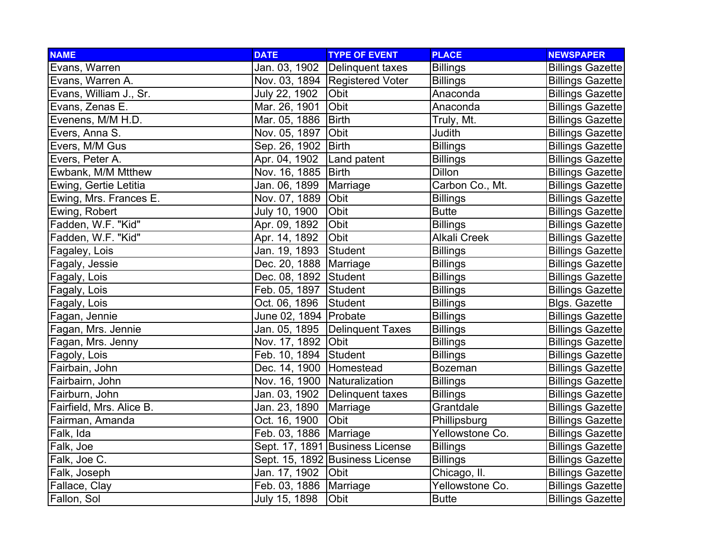| <b>NAME</b>              | <b>DATE</b>                  | <b>TYPE OF EVENT</b>             | <b>PLACE</b>        | <b>NEWSPAPER</b>        |
|--------------------------|------------------------------|----------------------------------|---------------------|-------------------------|
| Evans, Warren            | Jan. 03, 1902                | Delinquent taxes                 | <b>Billings</b>     | <b>Billings Gazette</b> |
| Evans, Warren A.         |                              | Nov. 03, 1894   Registered Voter | <b>Billings</b>     | <b>Billings Gazette</b> |
| Evans, William J., Sr.   | July 22, 1902                | Obit                             | Anaconda            | <b>Billings Gazette</b> |
| Evans, Zenas E.          | Mar. 26, 1901                | Obit                             | Anaconda            | <b>Billings Gazette</b> |
| Evenens, M/M H.D.        | Mar. 05, 1886                | <b>Birth</b>                     | Truly, Mt.          | <b>Billings Gazette</b> |
| Evers, Anna S.           | Nov. 05, 1897                | Obit                             | Judith              | <b>Billings Gazette</b> |
| Evers, M/M Gus           | Sep. 26, 1902                | Birth                            | <b>Billings</b>     | <b>Billings Gazette</b> |
| Evers, Peter A.          | Apr. 04, 1902                | Land patent                      | <b>Billings</b>     | <b>Billings Gazette</b> |
| Ewbank, M/M Mtthew       | Nov. 16, 1885   Birth        |                                  | Dillon              | <b>Billings Gazette</b> |
| Ewing, Gertie Letitia    | Jan. 06, 1899                | Marriage                         | Carbon Co., Mt.     | <b>Billings Gazette</b> |
| Ewing, Mrs. Frances E.   | Nov. 07, 1889                | Obit                             | <b>Billings</b>     | <b>Billings Gazette</b> |
| Ewing, Robert            | July 10, 1900                | Obit                             | <b>Butte</b>        | <b>Billings Gazette</b> |
| Fadden, W.F. "Kid"       | Apr. 09, 1892                | Obit                             | <b>Billings</b>     | <b>Billings Gazette</b> |
| Fadden, W.F. "Kid"       | Apr. 14, 1892                | Obit                             | <b>Alkali Creek</b> | <b>Billings Gazette</b> |
| Fagaley, Lois            | Jan. 19, 1893                | Student                          | <b>Billings</b>     | <b>Billings Gazette</b> |
| Fagaly, Jessie           | Dec. 20, 1888   Marriage     |                                  | <b>Billings</b>     | <b>Billings Gazette</b> |
| Fagaly, Lois             | Dec. 08, 1892 Student        |                                  | <b>Billings</b>     | <b>Billings Gazette</b> |
| Fagaly, Lois             | Feb. 05, 1897 Student        |                                  | <b>Billings</b>     | <b>Billings Gazette</b> |
| Fagaly, Lois             | Oct. 06, 1896                | Student                          | <b>Billings</b>     | <b>Blgs. Gazette</b>    |
| Fagan, Jennie            | June 02, 1894   Probate      |                                  | <b>Billings</b>     | <b>Billings Gazette</b> |
| Fagan, Mrs. Jennie       |                              | Jan. 05, 1895 Delinquent Taxes   | <b>Billings</b>     | <b>Billings Gazette</b> |
| Fagan, Mrs. Jenny        | Nov. 17, 1892 Obit           |                                  | <b>Billings</b>     | <b>Billings Gazette</b> |
| Fagoly, Lois             | Feb. 10, 1894 Student        |                                  | <b>Billings</b>     | <b>Billings Gazette</b> |
| Fairbain, John           | Dec. 14, 1900   Homestead    |                                  | Bozeman             | <b>Billings Gazette</b> |
| Fairbairn, John          | Nov. 16, 1900 Naturalization |                                  | <b>Billings</b>     | <b>Billings Gazette</b> |
| Fairburn, John           |                              | Jan. 03, 1902 Delinquent taxes   | <b>Billings</b>     | <b>Billings Gazette</b> |
| Fairfield, Mrs. Alice B. | Jan. 23, 1890                | Marriage                         | Grantdale           | <b>Billings Gazette</b> |
| Fairman, Amanda          | Oct. 16, 1900                | <b>Obit</b>                      | Phillipsburg        | <b>Billings Gazette</b> |
| Falk, Ida                | Feb. 03, 1886   Marriage     |                                  | Yellowstone Co.     | <b>Billings Gazette</b> |
| Falk, Joe                |                              | Sept. 17, 1891 Business License  | <b>Billings</b>     | <b>Billings Gazette</b> |
| Falk, Joe C.             |                              | Sept. 15, 1892 Business License  | <b>Billings</b>     | <b>Billings Gazette</b> |
| Falk, Joseph             | Jan. 17, 1902                | Obit                             | Chicago, II.        | <b>Billings Gazette</b> |
| Fallace, Clay            | Feb. 03, 1886   Marriage     |                                  | Yellowstone Co.     | <b>Billings Gazette</b> |
| Fallon, Sol              | July 15, 1898                | Obit                             | <b>Butte</b>        | <b>Billings Gazette</b> |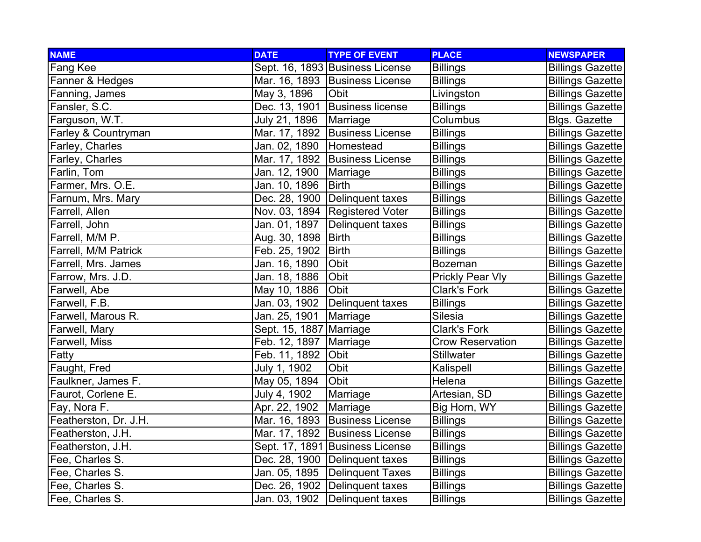| <b>NAME</b>           | <b>DATE</b>             | <b>TYPE OF EVENT</b>            | <b>PLACE</b>            | <b>NEWSPAPER</b>        |
|-----------------------|-------------------------|---------------------------------|-------------------------|-------------------------|
| Fang Kee              |                         | Sept. 16, 1893 Business License | <b>Billings</b>         | <b>Billings Gazette</b> |
| Fanner & Hedges       |                         | Mar. 16, 1893 Business License  | <b>Billings</b>         | <b>Billings Gazette</b> |
| Fanning, James        | May 3, 1896             | Obit                            | Livingston              | <b>Billings Gazette</b> |
| Fansler, S.C.         |                         | Dec. 13, 1901 Business license  | <b>Billings</b>         | <b>Billings Gazette</b> |
| Farguson, W.T.        | July 21, 1896           | Marriage                        | Columbus                | <b>Blgs. Gazette</b>    |
| Farley & Countryman   |                         | Mar. 17, 1892 Business License  | <b>Billings</b>         | <b>Billings Gazette</b> |
| Farley, Charles       | Jan. 02, 1890           | Homestead                       | <b>Billings</b>         | <b>Billings Gazette</b> |
| Farley, Charles       |                         | Mar. 17, 1892 Business License  | <b>Billings</b>         | <b>Billings Gazette</b> |
| Farlin, Tom           | Jan. 12, 1900           | Marriage                        | <b>Billings</b>         | <b>Billings Gazette</b> |
| Farmer, Mrs. O.E.     | Jan. 10, 1896           | <b>Birth</b>                    | <b>Billings</b>         | <b>Billings Gazette</b> |
| Farnum, Mrs. Mary     |                         | Dec. 28, 1900 Delinquent taxes  | <b>Billings</b>         | <b>Billings Gazette</b> |
| Farrell, Allen        |                         | Nov. 03, 1894 Registered Voter  | <b>Billings</b>         | <b>Billings Gazette</b> |
| Farrell, John         | Jan. 01, 1897           | Delinquent taxes                | <b>Billings</b>         | <b>Billings Gazette</b> |
| Farrell, M/M P.       | Aug. 30, 1898           | Birth                           | <b>Billings</b>         | <b>Billings Gazette</b> |
| Farrell, M/M Patrick  | Feb. 25, 1902           | Birth                           | <b>Billings</b>         | <b>Billings Gazette</b> |
| Farrell, Mrs. James   | Jan. 16, 1890           | Obit                            | <b>Bozeman</b>          | <b>Billings Gazette</b> |
| Farrow, Mrs. J.D.     | Jan. 18, 1886           | Obit                            | <b>Prickly Pear Vly</b> | <b>Billings Gazette</b> |
| Farwell, Abe          | May 10, 1886            | Obit                            | <b>Clark's Fork</b>     | <b>Billings Gazette</b> |
| Farwell, F.B.         | Jan. 03, 1902           | Delinquent taxes                | <b>Billings</b>         | <b>Billings Gazette</b> |
| Farwell, Marous R.    | Jan. 25, 1901           | Marriage                        | Silesia                 | <b>Billings Gazette</b> |
| Farwell, Mary         | Sept. 15, 1887 Marriage |                                 | <b>Clark's Fork</b>     | <b>Billings Gazette</b> |
| Farwell, Miss         | Feb. 12, 1897           | Marriage                        | <b>Crow Reservation</b> | <b>Billings Gazette</b> |
| Fatty                 | Feb. 11, 1892           | Obit                            | <b>Stillwater</b>       | <b>Billings Gazette</b> |
| Faught, Fred          | July 1, 1902            | Obit                            | Kalispell               | <b>Billings Gazette</b> |
| Faulkner, James F.    | May 05, 1894            | Obit                            | Helena                  | <b>Billings Gazette</b> |
| Faurot, Corlene E.    | July 4, 1902            | Marriage                        | Artesian, SD            | <b>Billings Gazette</b> |
| Fay, Nora F.          | Apr. 22, 1902           | Marriage                        | Big Horn, WY            | <b>Billings Gazette</b> |
| Featherston, Dr. J.H. |                         | Mar. 16, 1893 Business License  | <b>Billings</b>         | <b>Billings Gazette</b> |
| Featherston, J.H.     |                         | Mar. 17, 1892 Business License  | <b>Billings</b>         | <b>Billings Gazette</b> |
| Featherston, J.H.     |                         | Sept. 17, 1891 Business License | <b>Billings</b>         | <b>Billings Gazette</b> |
| Fee, Charles S.       |                         | Dec. 28, 1900 Delinquent taxes  | <b>Billings</b>         | <b>Billings Gazette</b> |
| Fee, Charles S.       | Jan. 05, 1895           | Delinquent Taxes                | <b>Billings</b>         | <b>Billings Gazette</b> |
| Fee, Charles S.       |                         | Dec. 26, 1902 Delinquent taxes  | <b>Billings</b>         | <b>Billings Gazette</b> |
| Fee, Charles S.       |                         | Jan. 03, 1902 Delinquent taxes  | <b>Billings</b>         | <b>Billings Gazette</b> |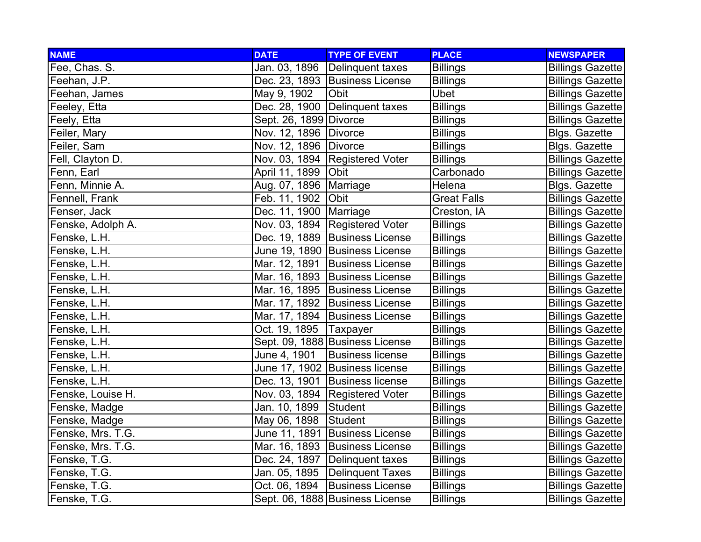| <b>NAME</b>       | <b>DATE</b>              | <b>TYPE OF EVENT</b>             | <b>PLACE</b>       | <b>NEWSPAPER</b>        |
|-------------------|--------------------------|----------------------------------|--------------------|-------------------------|
| Fee, Chas. S.     |                          | Jan. 03, 1896 Delinquent taxes   | <b>Billings</b>    | <b>Billings Gazette</b> |
| Feehan, J.P.      |                          | Dec. 23, 1893 Business License   | <b>Billings</b>    | <b>Billings Gazette</b> |
| Feehan, James     | May 9, 1902              | Obit                             | Ubet               | <b>Billings Gazette</b> |
| Feeley, Etta      |                          | Dec. 28, 1900 Delinquent taxes   | <b>Billings</b>    | <b>Billings Gazette</b> |
| Feely, Etta       | Sept. 26, 1899 Divorce   |                                  | <b>Billings</b>    | <b>Billings Gazette</b> |
| Feiler, Mary      | Nov. 12, 1896   Divorce  |                                  | <b>Billings</b>    | <b>Blgs. Gazette</b>    |
| Feiler, Sam       | Nov. 12, 1896   Divorce  |                                  | <b>Billings</b>    | Blgs. Gazette           |
| Fell, Clayton D.  |                          | Nov. 03, 1894 Registered Voter   | <b>Billings</b>    | <b>Billings Gazette</b> |
| Fenn, Earl        | April 11, 1899 Obit      |                                  | Carbonado          | <b>Billings Gazette</b> |
| Fenn, Minnie A.   | Aug. 07, 1896   Marriage |                                  | Helena             | Blgs. Gazette           |
| Fennell, Frank    | Feb. 11, 1902 Obit       |                                  | <b>Great Falls</b> | <b>Billings Gazette</b> |
| Fenser, Jack      | Dec. 11, 1900   Marriage |                                  | Creston, IA        | <b>Billings Gazette</b> |
| Fenske, Adolph A. |                          | Nov. 03, 1894   Registered Voter | <b>Billings</b>    | <b>Billings Gazette</b> |
| Fenske, L.H.      |                          | Dec. 19, 1889 Business License   | <b>Billings</b>    | <b>Billings Gazette</b> |
| Fenske, L.H.      |                          | June 19, 1890 Business License   | <b>Billings</b>    | <b>Billings Gazette</b> |
| Fenske, L.H.      |                          | Mar. 12, 1891 Business License   | <b>Billings</b>    | <b>Billings Gazette</b> |
| Fenske, L.H.      |                          | Mar. 16, 1893 Business License   | <b>Billings</b>    | <b>Billings Gazette</b> |
| Fenske, L.H.      |                          | Mar. 16, 1895 Business License   | <b>Billings</b>    | <b>Billings Gazette</b> |
| Fenske, L.H.      |                          | Mar. 17, 1892 Business License   | <b>Billings</b>    | <b>Billings Gazette</b> |
| Fenske, L.H.      |                          | Mar. 17, 1894 Business License   | <b>Billings</b>    | <b>Billings Gazette</b> |
| Fenske, L.H.      | Oct. 19, 1895   Taxpayer |                                  | <b>Billings</b>    | <b>Billings Gazette</b> |
| Fenske, L.H.      |                          | Sept. 09, 1888 Business License  | <b>Billings</b>    | <b>Billings Gazette</b> |
| Fenske, L.H.      | June 4, 1901             | <b>Business license</b>          | <b>Billings</b>    | <b>Billings Gazette</b> |
| Fenske, L.H.      |                          | June 17, 1902 Business license   | <b>Billings</b>    | <b>Billings Gazette</b> |
| Fenske, L.H.      |                          | Dec. 13, 1901 Business license   | <b>Billings</b>    | <b>Billings Gazette</b> |
| Fenske, Louise H. |                          | Nov. 03, 1894   Registered Voter | <b>Billings</b>    | <b>Billings Gazette</b> |
| Fenske, Madge     | Jan. 10, 1899 Student    |                                  | <b>Billings</b>    | <b>Billings Gazette</b> |
| Fenske, Madge     | May 06, 1898 Student     |                                  | <b>Billings</b>    | <b>Billings Gazette</b> |
| Fenske, Mrs. T.G. |                          | June 11, 1891 Business License   | <b>Billings</b>    | <b>Billings Gazette</b> |
| Fenske, Mrs. T.G. |                          | Mar. 16, 1893 Business License   | <b>Billings</b>    | <b>Billings Gazette</b> |
| Fenske, T.G.      |                          | Dec. 24, 1897 Delinquent taxes   | <b>Billings</b>    | <b>Billings Gazette</b> |
| Fenske, T.G.      |                          | Jan. 05, 1895 Delinquent Taxes   | <b>Billings</b>    | <b>Billings Gazette</b> |
| Fenske, T.G.      | Oct. 06, 1894            | <b>Business License</b>          | <b>Billings</b>    | <b>Billings Gazette</b> |
| Fenske, T.G.      |                          | Sept. 06, 1888 Business License  | <b>Billings</b>    | <b>Billings Gazette</b> |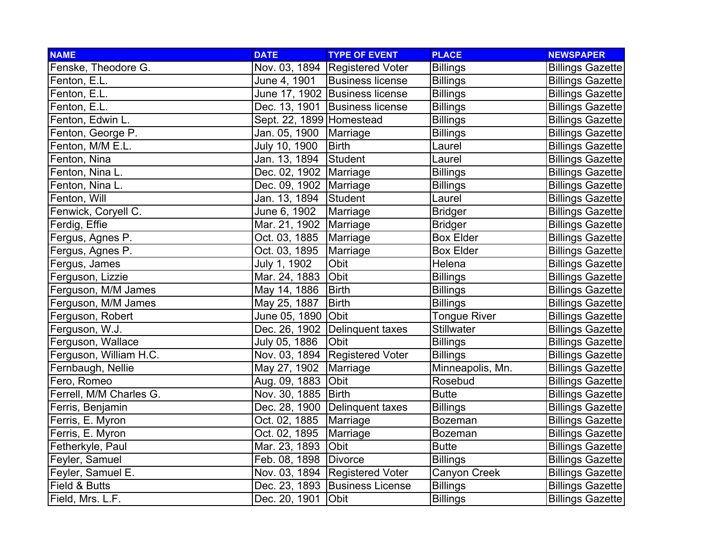| <b>NAME</b>             | <b>DATE</b>              | <b>TYPE OF EVENT</b>             | <b>PLACE</b>        | <b>NEWSPAPER</b>        |
|-------------------------|--------------------------|----------------------------------|---------------------|-------------------------|
| Fenske, Theodore G.     |                          | Nov. 03, 1894 Registered Voter   | <b>Billings</b>     | <b>Billings Gazette</b> |
| Fenton, E.L.            | June 4, 1901             | <b>Business license</b>          | <b>Billings</b>     | <b>Billings Gazette</b> |
| Fenton, E.L.            |                          | June 17, 1902 Business license   | <b>Billings</b>     | <b>Billings Gazette</b> |
| Fenton, E.L.            |                          | Dec. 13, 1901 Business license   | <b>Billings</b>     | <b>Billings Gazette</b> |
| Fenton, Edwin L.        | Sept. 22, 1899 Homestead |                                  | <b>Billings</b>     | <b>Billings Gazette</b> |
| Fenton, George P.       | Jan. 05, 1900   Marriage |                                  | <b>Billings</b>     | <b>Billings Gazette</b> |
| Fenton, M/M E.L.        | July 10, 1900            | <b>Birth</b>                     | Laurel              | <b>Billings Gazette</b> |
| Fenton, Nina            | Jan. 13, 1894            | Student                          | Laurel              | <b>Billings Gazette</b> |
| Fenton, Nina L.         | Dec. 02, 1902   Marriage |                                  | <b>Billings</b>     | <b>Billings Gazette</b> |
| Fenton, Nina L.         | Dec. 09, 1902            | Marriage                         | <b>Billings</b>     | <b>Billings Gazette</b> |
| Fenton, Will            | Jan. 13, 1894            | Student                          | Laurel              | <b>Billings Gazette</b> |
| Fenwick, Coryell C.     | June 6, 1902             | Marriage                         | <b>Bridger</b>      | <b>Billings Gazette</b> |
| Ferdig, Effie           | Mar. 21, 1902 Marriage   |                                  | <b>Bridger</b>      | <b>Billings Gazette</b> |
| Fergus, Agnes P.        | Oct. 03, 1885   Marriage |                                  | <b>Box Elder</b>    | <b>Billings Gazette</b> |
| Fergus, Agnes P.        | Oct. 03, 1895            | Marriage                         | <b>Box Elder</b>    | <b>Billings Gazette</b> |
| Fergus, James           | July 1, 1902             | Obit                             | Helena              | <b>Billings Gazette</b> |
| Ferguson, Lizzie        | Mar. 24, 1883            | Obit                             | <b>Billings</b>     | <b>Billings Gazette</b> |
| Ferguson, M/M James     | May 14, 1886             | <b>Birth</b>                     | <b>Billings</b>     | <b>Billings Gazette</b> |
| Ferguson, M/M James     | May 25, 1887             | <b>Birth</b>                     | <b>Billings</b>     | <b>Billings Gazette</b> |
| Ferguson, Robert        | June 05, 1890 Obit       |                                  | <b>Tongue River</b> | <b>Billings Gazette</b> |
| Ferguson, W.J.          |                          | Dec. 26, 1902 Delinquent taxes   | <b>Stillwater</b>   | <b>Billings Gazette</b> |
| Ferguson, Wallace       | July 05, 1886            | Obit                             | <b>Billings</b>     | <b>Billings Gazette</b> |
| Ferguson, William H.C.  |                          | Nov. 03, 1894 Registered Voter   | <b>Billings</b>     | <b>Billings Gazette</b> |
| Fernbaugh, Nellie       | May 27, 1902             | Marriage                         | Minneapolis, Mn.    | <b>Billings Gazette</b> |
| Fero, Romeo             | Aug. 09, 1883 Obit       |                                  | Rosebud             | <b>Billings Gazette</b> |
| Ferrell, M/M Charles G. | Nov. 30, 1885   Birth    |                                  | <b>Butte</b>        | <b>Billings Gazette</b> |
| Ferris, Benjamin        |                          | Dec. 28, 1900   Delinquent taxes | <b>Billings</b>     | <b>Billings Gazette</b> |
| Ferris, E. Myron        | Oct. 02, 1885            | Marriage                         | <b>Bozeman</b>      | <b>Billings Gazette</b> |
| Ferris, E. Myron        | Oct. 02, 1895            | Marriage                         | <b>Bozeman</b>      | <b>Billings Gazette</b> |
| Fetherkyle, Paul        | Mar. 23, 1893            | <b>Obit</b>                      | <b>Butte</b>        | <b>Billings Gazette</b> |
| Feyler, Samuel          | Feb. 08, 1898            | Divorce                          | <b>Billings</b>     | <b>Billings Gazette</b> |
| Feyler, Samuel E.       |                          | Nov. 03, 1894 Registered Voter   | Canyon Creek        | <b>Billings Gazette</b> |
| Field & Butts           |                          | Dec. 23, 1893 Business License   | <b>Billings</b>     | <b>Billings Gazette</b> |
| Field, Mrs. L.F.        | Dec. 20, 1901            | Obit                             | <b>Billings</b>     | <b>Billings Gazette</b> |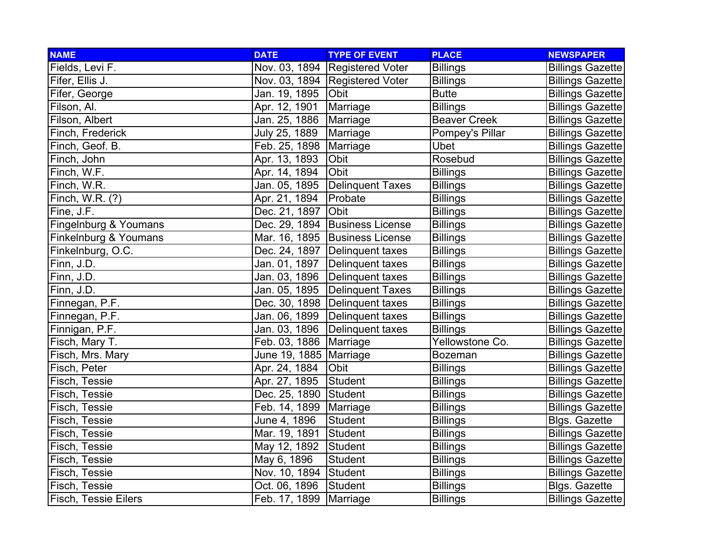| <b>NAME</b>                 | <b>DATE</b>              | <b>TYPE OF EVENT</b>             | <b>PLACE</b>        | <b>NEWSPAPER</b>        |
|-----------------------------|--------------------------|----------------------------------|---------------------|-------------------------|
| Fields, Levi F.             |                          | Nov. 03, 1894   Registered Voter | <b>Billings</b>     | <b>Billings Gazette</b> |
| Fifer, Ellis J.             |                          | Nov. 03, 1894   Registered Voter | <b>Billings</b>     | <b>Billings Gazette</b> |
| Fifer, George               | Jan. 19, 1895            | Obit                             | <b>Butte</b>        | <b>Billings Gazette</b> |
| Filson, Al.                 | Apr. 12, 1901            | Marriage                         | <b>Billings</b>     | <b>Billings Gazette</b> |
| Filson, Albert              | Jan. 25, 1886            | Marriage                         | <b>Beaver Creek</b> | <b>Billings Gazette</b> |
| Finch, Frederick            | July 25, 1889            | Marriage                         | Pompey's Pillar     | <b>Billings Gazette</b> |
| Finch, Geof. B.             | Feb. 25, 1898            | Marriage                         | <b>Ubet</b>         | <b>Billings Gazette</b> |
| Finch, John                 | Apr. 13, 1893            | Obit                             | Rosebud             | <b>Billings Gazette</b> |
| Finch, W.F.                 | Apr. 14, 1894            | Obit                             | <b>Billings</b>     | <b>Billings Gazette</b> |
| Finch, W.R.                 | Jan. 05, 1895            | <b>Delinquent Taxes</b>          | <b>Billings</b>     | <b>Billings Gazette</b> |
| Finch, W.R. (?)             | Apr. 21, 1894            | Probate                          | <b>Billings</b>     | <b>Billings Gazette</b> |
| Fine, J.F.                  | Dec. 21, 1897            | Obit                             | <b>Billings</b>     | <b>Billings Gazette</b> |
| Fingelnburg & Youmans       |                          | Dec. 29, 1894 Business License   | <b>Billings</b>     | <b>Billings Gazette</b> |
| Finkelnburg & Youmans       |                          | Mar. 16, 1895 Business License   | <b>Billings</b>     | <b>Billings Gazette</b> |
| Finkelnburg, O.C.           |                          | Dec. 24, 1897   Delinguent taxes | <b>Billings</b>     | <b>Billings Gazette</b> |
| Finn, J.D.                  | Jan. 01, 1897            | Delinquent taxes                 | <b>Billings</b>     | <b>Billings Gazette</b> |
| Finn, J.D.                  | Jan. 03, 1896            | TDelinquent taxes                | <b>Billings</b>     | <b>Billings Gazette</b> |
| Finn, J.D.                  |                          | Jan. 05, 1895 Delinquent Taxes   | <b>Billings</b>     | <b>Billings Gazette</b> |
| Finnegan, P.F.              |                          | Dec. 30, 1898   Delinquent taxes | <b>Billings</b>     | <b>Billings Gazette</b> |
| Finnegan, P.F.              | Jan. 06, 1899            | Delinquent taxes                 | <b>Billings</b>     | <b>Billings Gazette</b> |
| Finnigan, P.F.              |                          | Jan. 03, 1896 Delinquent taxes   | <b>Billings</b>     | <b>Billings Gazette</b> |
| Fisch, Mary T.              | Feb. 03, 1886   Marriage |                                  | Yellowstone Co.     | <b>Billings Gazette</b> |
| Fisch, Mrs. Mary            | June 19, 1885   Marriage |                                  | <b>Bozeman</b>      | <b>Billings Gazette</b> |
| Fisch, Peter                | Apr. 24, 1884            | Obit                             | <b>Billings</b>     | <b>Billings Gazette</b> |
| Fisch, Tessie               | Apr. 27, 1895            | Student                          | <b>Billings</b>     | <b>Billings Gazette</b> |
| Fisch, Tessie               | Dec. 25, 1890 Student    |                                  | <b>Billings</b>     | <b>Billings Gazette</b> |
| Fisch, Tessie               | Feb. 14, 1899            | Marriage                         | <b>Billings</b>     | <b>Billings Gazette</b> |
| Fisch, Tessie               | June 4, 1896             | <b>Student</b>                   | <b>Billings</b>     | <b>Blgs. Gazette</b>    |
| Fisch, Tessie               | Mar. 19, 1891            | Student                          | <b>Billings</b>     | <b>Billings Gazette</b> |
| Fisch, Tessie               | May 12, 1892             | Student                          | <b>Billings</b>     | <b>Billings Gazette</b> |
| Fisch, Tessie               | May 6, 1896              | <b>Student</b>                   | <b>Billings</b>     | <b>Billings Gazette</b> |
| Fisch, Tessie               | Nov. 10, 1894 Student    |                                  | <b>Billings</b>     | <b>Billings Gazette</b> |
| Fisch, Tessie               | Oct. 06, 1896            | <b>Student</b>                   | <b>Billings</b>     | <b>Blgs. Gazette</b>    |
| <b>Fisch, Tessie Eilers</b> | Feb. 17, 1899   Marriage |                                  | <b>Billings</b>     | <b>Billings Gazette</b> |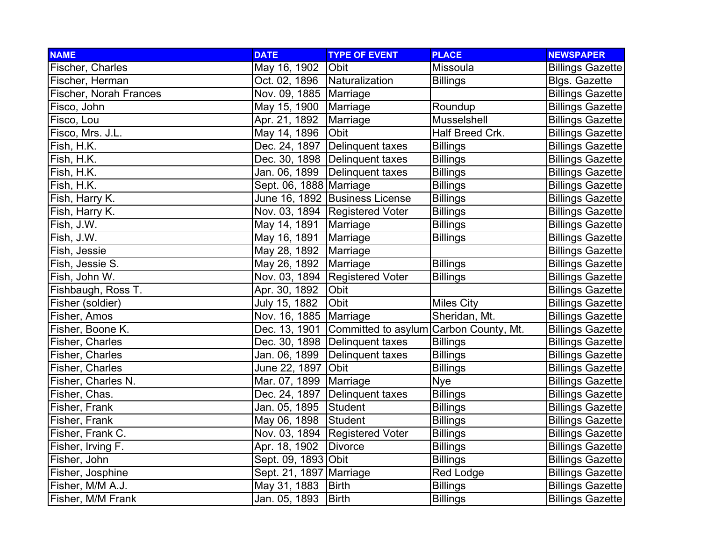| <b>NAME</b>            | <b>DATE</b>               | <b>TYPE OF EVENT</b>                                 | <b>PLACE</b>      | <b>NEWSPAPER</b>        |
|------------------------|---------------------------|------------------------------------------------------|-------------------|-------------------------|
| Fischer, Charles       | May 16, 1902              | Obit                                                 | Missoula          | <b>Billings Gazette</b> |
| Fischer, Herman        | Oct. 02, 1896             | Naturalization                                       | <b>Billings</b>   | <b>Blgs. Gazette</b>    |
| Fischer, Norah Frances | Nov. 09, 1885   Marriage  |                                                      |                   | <b>Billings Gazette</b> |
| Fisco, John            | May 15, 1900   Marriage   |                                                      | Roundup           | <b>Billings Gazette</b> |
| Fisco, Lou             | Apr. 21, 1892             | Marriage                                             | Musselshell       | <b>Billings Gazette</b> |
| Fisco, Mrs. J.L.       | May 14, 1896              | Obit                                                 | Half Breed Crk.   | <b>Billings Gazette</b> |
| Fish, H.K.             |                           | Dec. 24, 1897   Delinquent taxes                     | <b>Billings</b>   | <b>Billings Gazette</b> |
| Fish, H.K.             |                           | Dec. 30, 1898   Delinquent taxes                     | <b>Billings</b>   | <b>Billings Gazette</b> |
| Fish, H.K.             |                           | Jan. 06, 1899 Delinquent taxes                       | <b>Billings</b>   | <b>Billings Gazette</b> |
| Fish, H.K.             | Sept. 06, 1888   Marriage |                                                      | <b>Billings</b>   | <b>Billings Gazette</b> |
| Fish, Harry K.         |                           | June 16, 1892 Business License                       | <b>Billings</b>   | <b>Billings Gazette</b> |
| Fish, Harry K.         |                           | Nov. 03, 1894 Registered Voter                       | <b>Billings</b>   | <b>Billings Gazette</b> |
| Fish, J.W.             | May 14, 1891 Marriage     |                                                      | <b>Billings</b>   | <b>Billings Gazette</b> |
| Fish, J.W.             | May 16, 1891 Marriage     |                                                      | <b>Billings</b>   | <b>Billings Gazette</b> |
| Fish, Jessie           | May 28, 1892 Marriage     |                                                      |                   | <b>Billings Gazette</b> |
| Fish, Jessie S.        | May 26, 1892              | Marriage                                             | <b>Billings</b>   | <b>Billings Gazette</b> |
| Fish, John W.          |                           | Nov. 03, 1894   Registered Voter                     | <b>Billings</b>   | <b>Billings Gazette</b> |
| Fishbaugh, Ross T.     | Apr. 30, 1892             | Obit                                                 |                   | <b>Billings Gazette</b> |
| Fisher (soldier)       | July 15, 1882             | Obit                                                 | <b>Miles City</b> | <b>Billings Gazette</b> |
| Fisher, Amos           | Nov. 16, 1885   Marriage  |                                                      | Sheridan, Mt.     | <b>Billings Gazette</b> |
| Fisher, Boone K.       |                           | Dec. 13, 1901 Committed to asylum Carbon County, Mt. |                   | <b>Billings Gazette</b> |
| Fisher, Charles        |                           | Dec. 30, 1898   Delinquent taxes                     | <b>Billings</b>   | <b>Billings Gazette</b> |
| Fisher, Charles        |                           | Jan. 06, 1899   Delinquent taxes                     | <b>Billings</b>   | <b>Billings Gazette</b> |
| Fisher, Charles        | June 22, 1897 Obit        |                                                      | <b>Billings</b>   | <b>Billings Gazette</b> |
| Fisher, Charles N.     | Mar. 07, 1899   Marriage  |                                                      | <b>Nye</b>        | <b>Billings Gazette</b> |
| Fisher, Chas.          |                           | Dec. 24, 1897   Delinquent taxes                     | <b>Billings</b>   | <b>Billings Gazette</b> |
| Fisher, Frank          | Jan. 05, 1895 Student     |                                                      | <b>Billings</b>   | <b>Billings Gazette</b> |
| Fisher, Frank          | May 06, 1898              | Student                                              | <b>Billings</b>   | <b>Billings Gazette</b> |
| Fisher, Frank C.       |                           | Nov. 03, 1894 Registered Voter                       | <b>Billings</b>   | <b>Billings Gazette</b> |
| Fisher, Irving F.      | Apr. 18, 1902             | Divorce                                              | <b>Billings</b>   | <b>Billings Gazette</b> |
| Fisher, John           | Sept. 09, 1893 Obit       |                                                      | <b>Billings</b>   | <b>Billings Gazette</b> |
| Fisher, Josphine       | Sept. 21, 1897   Marriage |                                                      | <b>Red Lodge</b>  | <b>Billings Gazette</b> |
| Fisher, M/M A.J.       | May 31, 1883              | Birth                                                | <b>Billings</b>   | <b>Billings Gazette</b> |
| Fisher, M/M Frank      | Jan. 05, 1893             | <b>Birth</b>                                         | <b>Billings</b>   | <b>Billings Gazette</b> |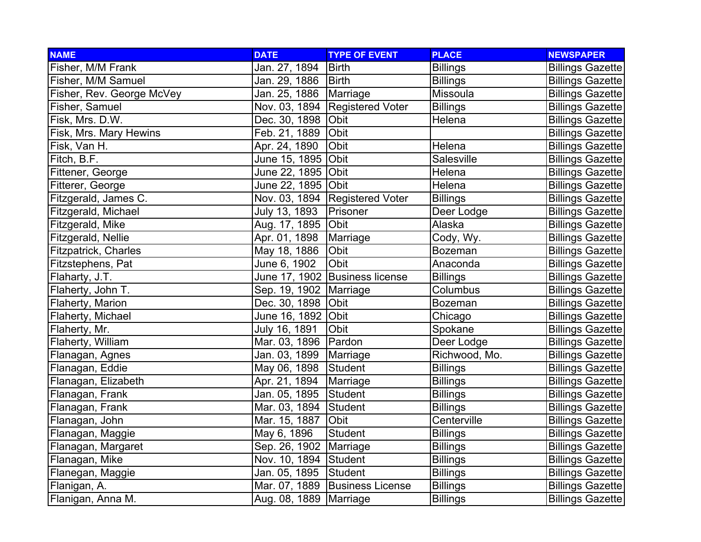| <b>NAME</b>                 | <b>DATE</b>              | <b>TYPE OF EVENT</b>           | <b>PLACE</b>    | <b>NEWSPAPER</b>        |
|-----------------------------|--------------------------|--------------------------------|-----------------|-------------------------|
| Fisher, M/M Frank           | Jan. 27, 1894            | <b>Birth</b>                   | <b>Billings</b> | <b>Billings Gazette</b> |
| Fisher, M/M Samuel          | Jan. 29, 1886            | Birth                          | <b>Billings</b> | <b>Billings Gazette</b> |
| Fisher, Rev. George McVey   | Jan. 25, 1886            | Marriage                       | Missoula        | <b>Billings Gazette</b> |
| Fisher, Samuel              |                          | Nov. 03, 1894 Registered Voter | <b>Billings</b> | <b>Billings Gazette</b> |
| Fisk, Mrs. D.W.             | Dec. 30, 1898            | Obit                           | Helena          | <b>Billings Gazette</b> |
| Fisk, Mrs. Mary Hewins      | Feb. 21, 1889            | Obit                           |                 | <b>Billings Gazette</b> |
| Fisk, Van H.                | Apr. 24, 1890            | Obit                           | Helena          | <b>Billings Gazette</b> |
| Fitch, B.F.                 | June 15, 1895 Obit       |                                | Salesville      | <b>Billings Gazette</b> |
| Fittener, George            | June 22, 1895 Obit       |                                | Helena          | <b>Billings Gazette</b> |
| Fitterer, George            | June 22, 1895  Obit      |                                | Helena          | <b>Billings Gazette</b> |
| Fitzgerald, James C.        |                          | Nov. 03, 1894 Registered Voter | <b>Billings</b> | <b>Billings Gazette</b> |
| Fitzgerald, Michael         | July 13, 1893            | Prisoner                       | Deer Lodge      | <b>Billings Gazette</b> |
| Fitzgerald, Mike            | Aug. 17, 1895 Obit       |                                | Alaska          | <b>Billings Gazette</b> |
| Fitzgerald, Nellie          | Apr. 01, 1898            | Marriage                       | Cody, Wy.       | <b>Billings Gazette</b> |
| <b>Fitzpatrick, Charles</b> | May 18, 1886             | Obit                           | <b>Bozeman</b>  | <b>Billings Gazette</b> |
| Fitzstephens, Pat           | June 6, 1902             | Obit                           | Anaconda        | <b>Billings Gazette</b> |
| Flaharty, J.T.              |                          | June 17, 1902 Business license | <b>Billings</b> | <b>Billings Gazette</b> |
| Flaherty, John T.           | Sep. 19, 1902   Marriage |                                | Columbus        | <b>Billings Gazette</b> |
| Flaherty, Marion            | Dec. 30, 1898            | Obit                           | <b>Bozeman</b>  | <b>Billings Gazette</b> |
| Flaherty, Michael           | June 16, 1892 Obit       |                                | Chicago         | <b>Billings Gazette</b> |
| Flaherty, Mr.               | July 16, 1891            | Obit                           | Spokane         | <b>Billings Gazette</b> |
| Flaherty, William           | Mar. 03, 1896   Pardon   |                                | Deer Lodge      | <b>Billings Gazette</b> |
| Flanagan, Agnes             | Jan. 03, 1899            | Marriage                       | Richwood, Mo.   | <b>Billings Gazette</b> |
| Flanagan, Eddie             | May 06, 1898             | Student                        | <b>Billings</b> | <b>Billings Gazette</b> |
| Flanagan, Elizabeth         | Apr. 21, 1894            | Marriage                       | <b>Billings</b> | <b>Billings Gazette</b> |
| Flanagan, Frank             | Jan. 05, 1895            | Student                        | <b>Billings</b> | <b>Billings Gazette</b> |
| Flanagan, Frank             | Mar. 03, 1894            | Student                        | <b>Billings</b> | <b>Billings Gazette</b> |
| Flanagan, John              | Mar. 15, 1887            | Obit                           | Centerville     | <b>Billings Gazette</b> |
| Flanagan, Maggie            | May 6, 1896              | Student                        | <b>Billings</b> | <b>Billings Gazette</b> |
| Flanagan, Margaret          | Sep. 26, 1902   Marriage |                                | <b>Billings</b> | <b>Billings Gazette</b> |
| Flanagan, Mike              | Nov. 10, 1894 Student    |                                | <b>Billings</b> | <b>Billings Gazette</b> |
| Flanegan, Maggie            | Jan. 05, 1895            | Student                        | <b>Billings</b> | <b>Billings Gazette</b> |
| Flanigan, A.                |                          | Mar. 07, 1889 Business License | <b>Billings</b> | <b>Billings Gazette</b> |
| Flanigan, Anna M.           | Aug. 08, 1889   Marriage |                                | <b>Billings</b> | <b>Billings Gazette</b> |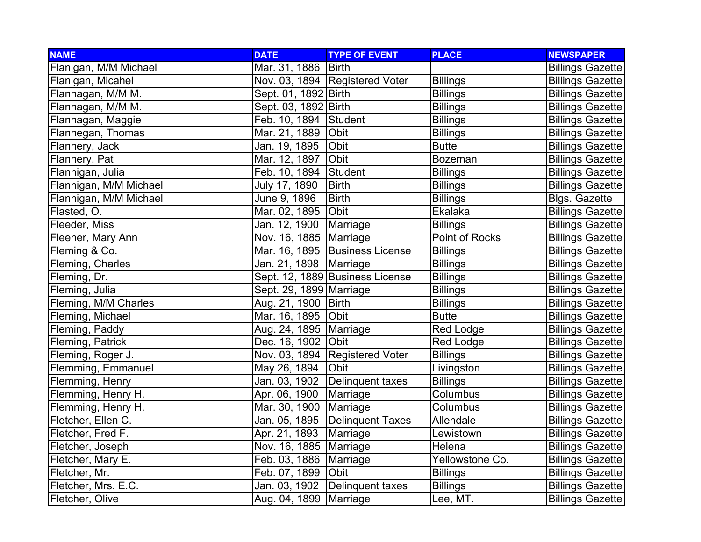| <b>NAME</b>            | <b>DATE</b>              | <b>TYPE OF EVENT</b>            | <b>PLACE</b>    | <b>NEWSPAPER</b>        |
|------------------------|--------------------------|---------------------------------|-----------------|-------------------------|
| Flanigan, M/M Michael  | Mar. 31, 1886   Birth    |                                 |                 | <b>Billings Gazette</b> |
| Flanigan, Micahel      |                          | Nov. 03, 1894 Registered Voter  | <b>Billings</b> | <b>Billings Gazette</b> |
| Flannagan, M/M M.      | Sept. 01, 1892   Birth   |                                 | <b>Billings</b> | <b>Billings Gazette</b> |
| Flannagan, M/M M.      | Sept. 03, 1892   Birth   |                                 | <b>Billings</b> | <b>Billings Gazette</b> |
| Flannagan, Maggie      | Feb. 10, 1894 Student    |                                 | <b>Billings</b> | <b>Billings Gazette</b> |
| Flannegan, Thomas      | Mar. 21, 1889   Obit     |                                 | <b>Billings</b> | <b>Billings Gazette</b> |
| Flannery, Jack         | Jan. 19, 1895            | Obit                            | <b>Butte</b>    | <b>Billings Gazette</b> |
| Flannery, Pat          | Mar. 12, 1897 Obit       |                                 | <b>Bozeman</b>  | <b>Billings Gazette</b> |
| Flannigan, Julia       | Feb. 10, 1894 Student    |                                 | <b>Billings</b> | <b>Billings Gazette</b> |
| Flannigan, M/M Michael | July 17, 1890            | <b>Birth</b>                    | <b>Billings</b> | <b>Billings Gazette</b> |
| Flannigan, M/M Michael | June 9, 1896             | <b>Birth</b>                    | <b>Billings</b> | <b>Blgs. Gazette</b>    |
| Flasted, O.            | Mar. 02, 1895            | <b>Obit</b>                     | Ekalaka         | <b>Billings Gazette</b> |
| Fleeder, Miss          | Jan. 12, 1900 Marriage   |                                 | <b>Billings</b> | <b>Billings Gazette</b> |
| Fleener, Mary Ann      | Nov. 16, 1885   Marriage |                                 | Point of Rocks  | <b>Billings Gazette</b> |
| Fleming & Co.          |                          | Mar. 16, 1895 Business License  | <b>Billings</b> | <b>Billings Gazette</b> |
| Fleming, Charles       | Jan. 21, 1898   Marriage |                                 | <b>Billings</b> | <b>Billings Gazette</b> |
| Fleming, Dr.           |                          | Sept. 12, 1889 Business License | <b>Billings</b> | <b>Billings Gazette</b> |
| Fleming, Julia         | Sept. 29, 1899 Marriage  |                                 | <b>Billings</b> | <b>Billings Gazette</b> |
| Fleming, M/M Charles   | Aug. 21, 1900   Birth    |                                 | <b>Billings</b> | <b>Billings Gazette</b> |
| Fleming, Michael       | Mar. 16, 1895   Obit     |                                 | <b>Butte</b>    | <b>Billings Gazette</b> |
| Fleming, Paddy         | Aug. 24, 1895   Marriage |                                 | Red Lodge       | <b>Billings Gazette</b> |
| Fleming, Patrick       | Dec. 16, 1902 Obit       |                                 | Red Lodge       | <b>Billings Gazette</b> |
| Fleming, Roger J.      |                          | Nov. 03, 1894 Registered Voter  | <b>Billings</b> | <b>Billings Gazette</b> |
| Flemming, Emmanuel     | May 26, 1894             | Obit                            | Livingston      | <b>Billings Gazette</b> |
| Flemming, Henry        |                          | Jan. 03, 1902 Delinquent taxes  | <b>Billings</b> | <b>Billings Gazette</b> |
| Flemming, Henry H.     | Apr. 06, 1900            | Marriage                        | Columbus        | <b>Billings Gazette</b> |
| Flemming, Henry H.     | Mar. 30, 1900            | Marriage                        | Columbus        | <b>Billings Gazette</b> |
| Fletcher, Ellen C.     |                          | Jan. 05, 1895 Delinquent Taxes  | Allendale       | <b>Billings Gazette</b> |
| Fletcher, Fred F.      | Apr. 21, 1893   Marriage |                                 | Lewistown       | <b>Billings Gazette</b> |
| Fletcher, Joseph       | Nov. 16, 1885   Marriage |                                 | Helena          | <b>Billings Gazette</b> |
| Fletcher, Mary E.      | Feb. 03, 1886   Marriage |                                 | Yellowstone Co. | <b>Billings Gazette</b> |
| Fletcher, Mr.          | Feb. 07, 1899 Obit       |                                 | <b>Billings</b> | <b>Billings Gazette</b> |
| Fletcher, Mrs. E.C.    |                          | Jan. 03, 1902 Delinquent taxes  | <b>Billings</b> | <b>Billings Gazette</b> |
| Fletcher, Olive        | Aug. 04, 1899   Marriage |                                 | Lee, MT.        | <b>Billings Gazette</b> |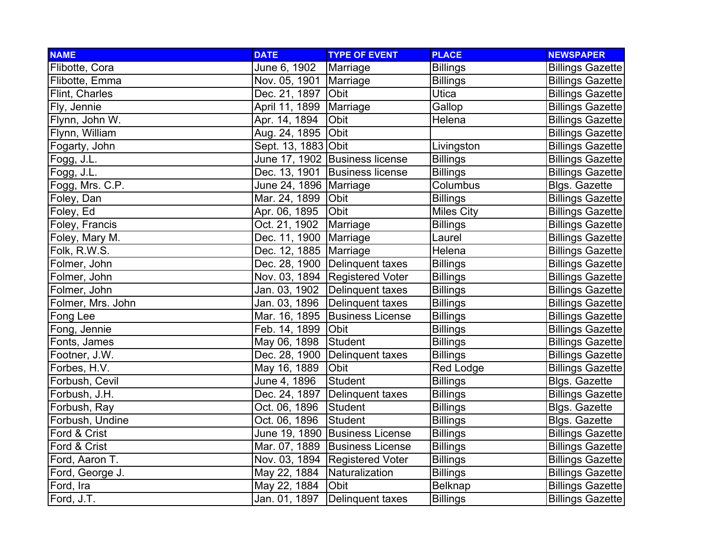| <b>NAME</b>       | <b>DATE</b>              | <b>TYPE OF EVENT</b>             | <b>PLACE</b>      | <b>NEWSPAPER</b>        |
|-------------------|--------------------------|----------------------------------|-------------------|-------------------------|
| Flibotte, Cora    | June 6, 1902             | Marriage                         | <b>Billings</b>   | <b>Billings Gazette</b> |
| Flibotte, Emma    | Nov. 05, 1901   Marriage |                                  | <b>Billings</b>   | <b>Billings Gazette</b> |
| Flint, Charles    | Dec. 21, 1897            | Obit                             | Utica             | <b>Billings Gazette</b> |
| Fly, Jennie       | April 11, 1899 Marriage  |                                  | Gallop            | <b>Billings Gazette</b> |
| Flynn, John W.    | Apr. 14, 1894            | Obit                             | Helena            | <b>Billings Gazette</b> |
| Flynn, William    | Aug. 24, 1895 Obit       |                                  |                   | <b>Billings Gazette</b> |
| Fogarty, John     | Sept. 13, 1883 Obit      |                                  | Livingston        | <b>Billings Gazette</b> |
| Fogg, J.L.        |                          | June 17, 1902 Business license   | <b>Billings</b>   | <b>Billings Gazette</b> |
| Fogg, J.L.        |                          | Dec. 13, 1901 Business license   | <b>Billings</b>   | <b>Billings Gazette</b> |
| Fogg, Mrs. C.P.   | June 24, 1896   Marriage |                                  | Columbus          | <b>Blgs. Gazette</b>    |
| Foley, Dan        | Mar. 24, 1899 Obit       |                                  | <b>Billings</b>   | <b>Billings Gazette</b> |
| Foley, Ed         | Apr. 06, 1895            | <b>Obit</b>                      | <b>Miles City</b> | <b>Billings Gazette</b> |
| Foley, Francis    | Oct. 21, 1902            | Marriage                         | <b>Billings</b>   | <b>Billings Gazette</b> |
| Foley, Mary M.    | Dec. 11, 1900   Marriage |                                  | Laurel            | <b>Billings Gazette</b> |
| Folk, R.W.S.      | Dec. 12, 1885 Marriage   |                                  | Helena            | <b>Billings Gazette</b> |
| Folmer, John      |                          | Dec. 28, 1900 Delinquent taxes   | <b>Billings</b>   | <b>Billings Gazette</b> |
| Folmer, John      |                          | Nov. 03, 1894   Registered Voter | <b>Billings</b>   | <b>Billings Gazette</b> |
| Folmer, John      |                          | Jan. 03, 1902 Delinquent taxes   | <b>Billings</b>   | <b>Billings Gazette</b> |
| Folmer, Mrs. John |                          | Jan. 03, 1896 Delinquent taxes   | <b>Billings</b>   | <b>Billings Gazette</b> |
| Fong Lee          |                          | Mar. 16, 1895   Business License | <b>Billings</b>   | <b>Billings Gazette</b> |
| Fong, Jennie      | Feb. 14, 1899 Obit       |                                  | <b>Billings</b>   | <b>Billings Gazette</b> |
| Fonts, James      | May 06, 1898             | Student                          | <b>Billings</b>   | <b>Billings Gazette</b> |
| Footner, J.W.     | Dec. 28, 1900            | Delinquent taxes                 | <b>Billings</b>   | <b>Billings Gazette</b> |
| Forbes, H.V.      | May 16, 1889             | Obit                             | <b>Red Lodge</b>  | <b>Billings Gazette</b> |
| Forbush, Cevil    | June 4, 1896             | Student                          | <b>Billings</b>   | <b>Blgs. Gazette</b>    |
| Forbush, J.H.     |                          | Dec. 24, 1897   Delinquent taxes | <b>Billings</b>   | <b>Billings Gazette</b> |
| Forbush, Ray      | Oct. 06, 1896            | Student                          | <b>Billings</b>   | <b>Blgs. Gazette</b>    |
| Forbush, Undine   | Oct. 06, 1896            | Student                          | <b>Billings</b>   | <b>Blgs. Gazette</b>    |
| Ford & Crist      |                          | June 19, 1890 Business License   | <b>Billings</b>   | <b>Billings Gazette</b> |
| Ford & Crist      |                          | Mar. 07, 1889 Business License   | <b>Billings</b>   | <b>Billings Gazette</b> |
| Ford, Aaron T.    |                          | Nov. 03, 1894 Registered Voter   | <b>Billings</b>   | <b>Billings Gazette</b> |
| Ford, George J.   | May 22, 1884             | Naturalization                   | <b>Billings</b>   | <b>Billings Gazette</b> |
| Ford, Ira         | May 22, 1884             | Obit                             | <b>Belknap</b>    | <b>Billings Gazette</b> |
| Ford, J.T.        | Jan. 01, 1897            | Delinquent taxes                 | <b>Billings</b>   | <b>Billings Gazette</b> |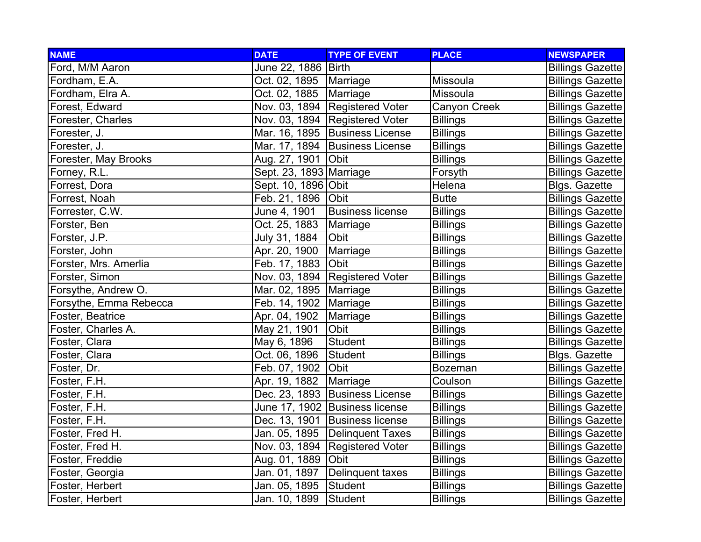| <b>NAME</b>            | <b>DATE</b>              | <b>TYPE OF EVENT</b>             | <b>PLACE</b>    | <b>NEWSPAPER</b>        |
|------------------------|--------------------------|----------------------------------|-----------------|-------------------------|
| Ford, M/M Aaron        | June 22, 1886   Birth    |                                  |                 | <b>Billings Gazette</b> |
| Fordham, E.A.          | Oct. 02, 1895   Marriage |                                  | Missoula        | <b>Billings Gazette</b> |
| Fordham, Elra A.       | Oct. 02, 1885            | Marriage                         | Missoula        | <b>Billings Gazette</b> |
| Forest, Edward         |                          | Nov. 03, 1894 Registered Voter   | Canyon Creek    | <b>Billings Gazette</b> |
| Forester, Charles      |                          | Nov. 03, 1894   Registered Voter | <b>Billings</b> | <b>Billings Gazette</b> |
| Forester, J.           |                          | Mar. 16, 1895   Business License | <b>Billings</b> | <b>Billings Gazette</b> |
| Forester, J.           |                          | Mar. 17, 1894 Business License   | <b>Billings</b> | <b>Billings Gazette</b> |
| Forester, May Brooks   | Aug. 27, 1901 Obit       |                                  | <b>Billings</b> | <b>Billings Gazette</b> |
| Forney, R.L.           | Sept. 23, 1893 Marriage  |                                  | Forsyth         | <b>Billings Gazette</b> |
| Forrest, Dora          | Sept. 10, 1896 Obit      |                                  | Helena          | <b>Blgs. Gazette</b>    |
| Forrest, Noah          | Feb. 21, 1896 Obit       |                                  | <b>Butte</b>    | <b>Billings Gazette</b> |
| Forrester, C.W.        | June 4, 1901             | <b>Business license</b>          | <b>Billings</b> | <b>Billings Gazette</b> |
| Forster, Ben           | Oct. 25, 1883            | Marriage                         | <b>Billings</b> | <b>Billings Gazette</b> |
| Forster, J.P.          | July 31, 1884            | Obit                             | <b>Billings</b> | <b>Billings Gazette</b> |
| Forster, John          | Apr. 20, 1900            | Marriage                         | <b>Billings</b> | <b>Billings Gazette</b> |
| Forster, Mrs. Amerlia  | Feb. 17, 1883            | Obit                             | <b>Billings</b> | <b>Billings Gazette</b> |
| Forster, Simon         |                          | Nov. 03, 1894 Registered Voter   | <b>Billings</b> | <b>Billings Gazette</b> |
| Forsythe, Andrew O.    | Mar. 02, 1895   Marriage |                                  | <b>Billings</b> | <b>Billings Gazette</b> |
| Forsythe, Emma Rebecca | Feb. 14, 1902   Marriage |                                  | <b>Billings</b> | <b>Billings Gazette</b> |
| Foster, Beatrice       | Apr. 04, 1902            | Marriage                         | <b>Billings</b> | <b>Billings Gazette</b> |
| Foster, Charles A.     | May 21, 1901             | Obit                             | <b>Billings</b> | <b>Billings Gazette</b> |
| Foster, Clara          | May 6, 1896              | <b>Student</b>                   | <b>Billings</b> | <b>Billings Gazette</b> |
| Foster, Clara          | Oct. 06, 1896            | Student                          | <b>Billings</b> | <b>Blgs. Gazette</b>    |
| Foster, Dr.            | Feb. 07, 1902            | Obit                             | <b>Bozeman</b>  | <b>Billings Gazette</b> |
| Foster, F.H.           | Apr. 19, 1882            | Marriage                         | Coulson         | <b>Billings Gazette</b> |
| Foster, F.H.           |                          | Dec. 23, 1893 Business License   | <b>Billings</b> | <b>Billings Gazette</b> |
| Foster, F.H.           |                          | June 17, 1902  Business license  | <b>Billings</b> | <b>Billings Gazette</b> |
| Foster, F.H.           |                          | Dec. 13, 1901 Business license   | <b>Billings</b> | <b>Billings Gazette</b> |
| Foster, Fred H.        |                          | Jan. 05, 1895 Delinquent Taxes   | <b>Billings</b> | <b>Billings Gazette</b> |
| Foster, Fred H.        |                          | Nov. 03, 1894 Registered Voter   | <b>Billings</b> | <b>Billings Gazette</b> |
| Foster, Freddie        | Aug. 01, 1889            | <b>Obit</b>                      | <b>Billings</b> | <b>Billings Gazette</b> |
| Foster, Georgia        | Jan. 01, 1897            | Delinquent taxes                 | <b>Billings</b> | <b>Billings Gazette</b> |
| Foster, Herbert        | Jan. 05, 1895            | Student                          | <b>Billings</b> | <b>Billings Gazette</b> |
| Foster, Herbert        | Jan. 10, 1899            | Student                          | <b>Billings</b> | <b>Billings Gazette</b> |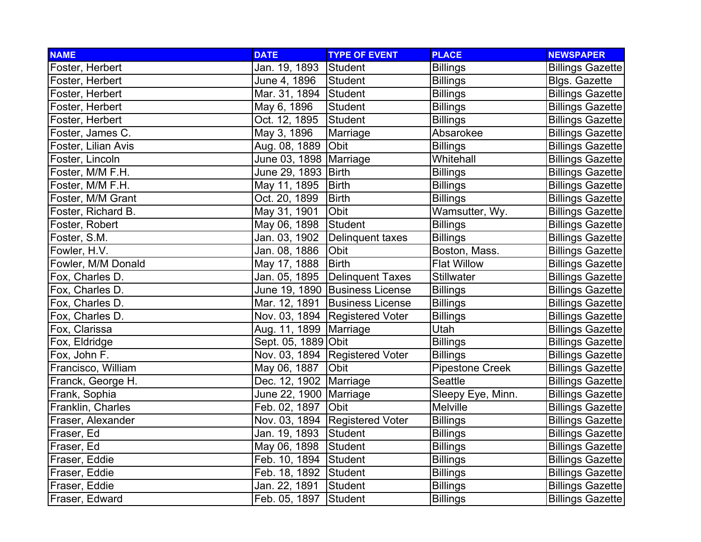| <b>NAME</b>         | <b>DATE</b>              | <b>TYPE OF EVENT</b>           | <b>PLACE</b>           | <b>NEWSPAPER</b>        |
|---------------------|--------------------------|--------------------------------|------------------------|-------------------------|
| Foster, Herbert     | Jan. 19, 1893            | Student                        | <b>Billings</b>        | <b>Billings Gazette</b> |
| Foster, Herbert     | June 4, 1896             | Student                        | <b>Billings</b>        | <b>Blgs. Gazette</b>    |
| Foster, Herbert     | Mar. 31, 1894 Student    |                                | <b>Billings</b>        | <b>Billings Gazette</b> |
| Foster, Herbert     | May 6, 1896              | <b>Student</b>                 | <b>Billings</b>        | <b>Billings Gazette</b> |
| Foster, Herbert     | Oct. 12, 1895            | Student                        | <b>Billings</b>        | <b>Billings Gazette</b> |
| Foster, James C.    | May 3, 1896              | Marriage                       | Absarokee              | <b>Billings Gazette</b> |
| Foster, Lilian Avis | Aug. 08, 1889            | Obit                           | <b>Billings</b>        | <b>Billings Gazette</b> |
| Foster, Lincoln     | June 03, 1898   Marriage |                                | Whitehall              | <b>Billings Gazette</b> |
| Foster, M/M F.H.    | June 29, 1893 Birth      |                                | <b>Billings</b>        | <b>Billings Gazette</b> |
| Foster, M/M F.H.    | May 11, 1895             | <b>Birth</b>                   | <b>Billings</b>        | <b>Billings Gazette</b> |
| Foster, M/M Grant   | Oct. 20, 1899            | <b>Birth</b>                   | <b>Billings</b>        | <b>Billings Gazette</b> |
| Foster, Richard B.  | May 31, 1901             | Obit                           | Wamsutter, Wy.         | <b>Billings Gazette</b> |
| Foster, Robert      | May 06, 1898             | Student                        | <b>Billings</b>        | <b>Billings Gazette</b> |
| Foster, S.M.        | Jan. 03, 1902            | Delinquent taxes               | <b>Billings</b>        | <b>Billings Gazette</b> |
| Fowler, H.V.        | Jan. 08, 1886            | Obit                           | Boston, Mass.          | <b>Billings Gazette</b> |
| Fowler, M/M Donald  | May 17, 1888             | Birth                          | <b>Flat Willow</b>     | <b>Billings Gazette</b> |
| Fox, Charles D.     | Jan. 05, 1895            | Delinquent Taxes               | <b>Stillwater</b>      | <b>Billings Gazette</b> |
| Fox, Charles D.     |                          | June 19, 1890 Business License | <b>Billings</b>        | <b>Billings Gazette</b> |
| Fox, Charles D.     |                          | Mar. 12, 1891 Business License | <b>Billings</b>        | <b>Billings Gazette</b> |
| Fox, Charles D.     |                          | Nov. 03, 1894 Registered Voter | <b>Billings</b>        | <b>Billings Gazette</b> |
| Fox, Clarissa       | Aug. 11, 1899   Marriage |                                | Utah                   | <b>Billings Gazette</b> |
| Fox, Eldridge       | Sept. 05, 1889 Obit      |                                | <b>Billings</b>        | <b>Billings Gazette</b> |
| Fox, John F.        |                          | Nov. 03, 1894 Registered Voter | <b>Billings</b>        | <b>Billings Gazette</b> |
| Francisco, William  | May 06, 1887             | Obit                           | <b>Pipestone Creek</b> | <b>Billings Gazette</b> |
| Franck, George H.   | Dec. 12, 1902 Marriage   |                                | Seattle                | <b>Billings Gazette</b> |
| Frank, Sophia       | June 22, 1900 Marriage   |                                | Sleepy Eye, Minn.      | <b>Billings Gazette</b> |
| Franklin, Charles   | Feb. 02, 1897            | Obit                           | Melville               | <b>Billings Gazette</b> |
| Fraser, Alexander   |                          | Nov. 03, 1894 Registered Voter | <b>Billings</b>        | <b>Billings Gazette</b> |
| Fraser, Ed          | Jan. 19, 1893            | Student                        | <b>Billings</b>        | <b>Billings Gazette</b> |
| Fraser, Ed          | May 06, 1898             | Student                        | <b>Billings</b>        | <b>Billings Gazette</b> |
| Fraser, Eddie       | Feb. 10, 1894            | Student                        | <b>Billings</b>        | <b>Billings Gazette</b> |
| Fraser, Eddie       | Feb. 18, 1892            | Student                        | <b>Billings</b>        | <b>Billings Gazette</b> |
| Fraser, Eddie       | Jan. 22, 1891            | Student                        | <b>Billings</b>        | <b>Billings Gazette</b> |
| Fraser, Edward      | Feb. 05, 1897            | Student                        | <b>Billings</b>        | <b>Billings Gazette</b> |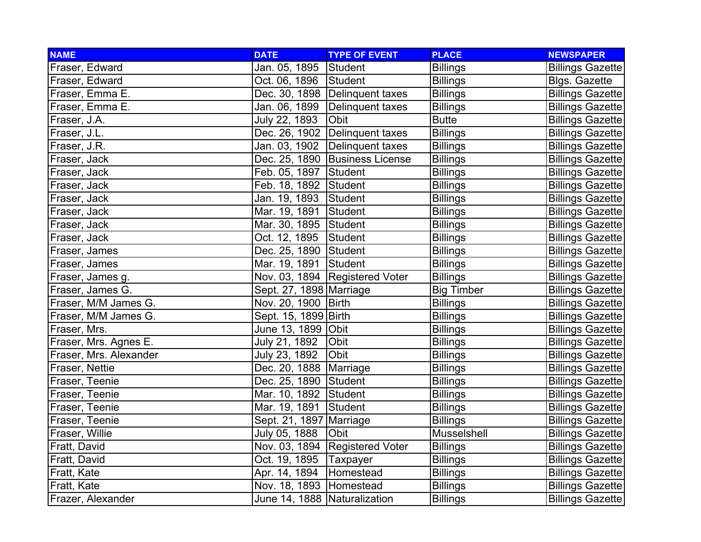| <b>NAME</b>            | <b>DATE</b>                  | <b>TYPE OF EVENT</b>             | <b>PLACE</b>      | <b>NEWSPAPER</b>        |
|------------------------|------------------------------|----------------------------------|-------------------|-------------------------|
| Fraser, Edward         | Jan. 05, 1895                | Student                          | <b>Billings</b>   | <b>Billings Gazette</b> |
| Fraser, Edward         | Oct. 06, 1896                | Student                          | <b>Billings</b>   | <b>Blgs. Gazette</b>    |
| Fraser, Emma E.        |                              | Dec. 30, 1898 Delinquent taxes   | <b>Billings</b>   | <b>Billings Gazette</b> |
| Fraser, Emma E.        |                              | Jan. 06, 1899 Delinquent taxes   | <b>Billings</b>   | <b>Billings Gazette</b> |
| Fraser, J.A.           | July 22, 1893                | Obit                             | <b>Butte</b>      | <b>Billings Gazette</b> |
| Fraser, J.L.           |                              | Dec. 26, 1902 Delinquent taxes   | <b>Billings</b>   | <b>Billings Gazette</b> |
| Fraser, J.R.           | Jan. 03, 1902                | Delinquent taxes                 | <b>Billings</b>   | <b>Billings Gazette</b> |
| Fraser, Jack           |                              | Dec. 25, 1890   Business License | <b>Billings</b>   | <b>Billings Gazette</b> |
| Fraser, Jack           | Feb. 05, 1897 Student        |                                  | <b>Billings</b>   | <b>Billings Gazette</b> |
| Fraser, Jack           | Feb. 18, 1892 Student        |                                  | <b>Billings</b>   | <b>Billings Gazette</b> |
| Fraser, Jack           | Jan. 19, 1893                | Student                          | <b>Billings</b>   | <b>Billings Gazette</b> |
| Fraser, Jack           | Mar. 19, 1891                | Student                          | <b>Billings</b>   | <b>Billings Gazette</b> |
| Fraser, Jack           | Mar. 30, 1895 Student        |                                  | <b>Billings</b>   | <b>Billings Gazette</b> |
| Fraser, Jack           | Oct. 12, 1895                | Student                          | <b>Billings</b>   | <b>Billings Gazette</b> |
| Fraser, James          | Dec. 25, 1890 Student        |                                  | <b>Billings</b>   | <b>Billings Gazette</b> |
| Fraser, James          | Mar. 19, 1891 Student        |                                  | <b>Billings</b>   | <b>Billings Gazette</b> |
| Fraser, James g.       |                              | Nov. 03, 1894 Registered Voter   | <b>Billings</b>   | <b>Billings Gazette</b> |
| Fraser, James G.       | Sept. 27, 1898   Marriage    |                                  | <b>Big Timber</b> | <b>Billings Gazette</b> |
| Fraser, M/M James G.   | Nov. 20, 1900   Birth        |                                  | <b>Billings</b>   | <b>Billings Gazette</b> |
| Fraser, M/M James G.   | Sept. 15, 1899 Birth         |                                  | <b>Billings</b>   | <b>Billings Gazette</b> |
| Fraser, Mrs.           | June 13, 1899 Obit           |                                  | <b>Billings</b>   | <b>Billings Gazette</b> |
| Fraser, Mrs. Agnes E.  | July 21, 1892                | Obit                             | <b>Billings</b>   | <b>Billings Gazette</b> |
| Fraser, Mrs. Alexander | July 23, 1892                | Obit                             | <b>Billings</b>   | <b>Billings Gazette</b> |
| Fraser, Nettie         | Dec. 20, 1888   Marriage     |                                  | <b>Billings</b>   | <b>Billings Gazette</b> |
| Fraser, Teenie         | Dec. 25, 1890 Student        |                                  | <b>Billings</b>   | <b>Billings Gazette</b> |
| Fraser, Teenie         | Mar. 10, 1892 Student        |                                  | <b>Billings</b>   | <b>Billings Gazette</b> |
| Fraser, Teenie         | Mar. 19, 1891                | Student                          | <b>Billings</b>   | <b>Billings Gazette</b> |
| Fraser, Teenie         | Sept. 21, 1897   Marriage    |                                  | <b>Billings</b>   | <b>Billings Gazette</b> |
| Fraser, Willie         | July 05, 1888                | Obit                             | Musselshell       | <b>Billings Gazette</b> |
| Fratt, David           |                              | Nov. 03, 1894 Registered Voter   | <b>Billings</b>   | <b>Billings Gazette</b> |
| Fratt, David           | Oct. 19, 1895                | Taxpayer                         | <b>Billings</b>   | <b>Billings Gazette</b> |
| Fratt, Kate            | Apr. 14, 1894                | Homestead                        | <b>Billings</b>   | <b>Billings Gazette</b> |
| Fratt, Kate            | Nov. 18, 1893 Homestead      |                                  | <b>Billings</b>   | <b>Billings Gazette</b> |
| Frazer, Alexander      | June 14, 1888 Naturalization |                                  | <b>Billings</b>   | <b>Billings Gazette</b> |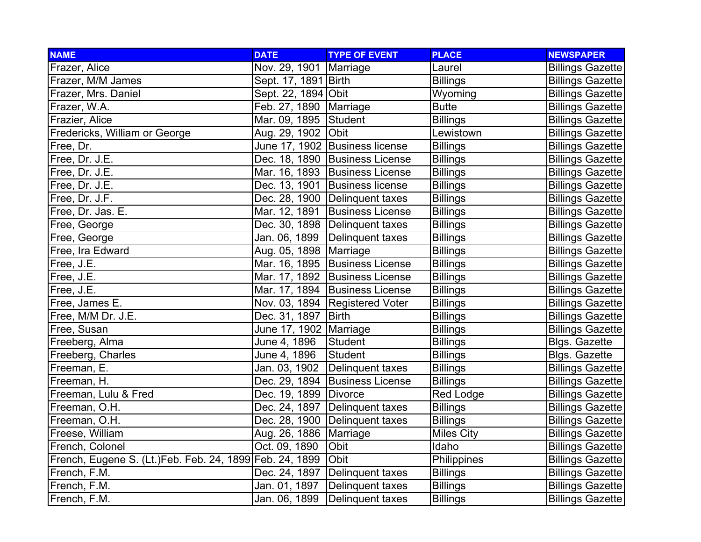| <b>NAME</b>                                             | <b>DATE</b>              | <b>TYPE OF EVENT</b>             | <b>PLACE</b>      | <b>NEWSPAPER</b>        |
|---------------------------------------------------------|--------------------------|----------------------------------|-------------------|-------------------------|
| Frazer, Alice                                           | Nov. 29, 1901            | Marriage                         | Laurel            | <b>Billings Gazette</b> |
| Frazer, M/M James                                       | Sept. 17, 1891 Birth     |                                  | <b>Billings</b>   | <b>Billings Gazette</b> |
| Frazer, Mrs. Daniel                                     | Sept. 22, 1894 Obit      |                                  | Wyoming           | <b>Billings Gazette</b> |
| Frazer, W.A.                                            | Feb. 27, 1890   Marriage |                                  | <b>Butte</b>      | <b>Billings Gazette</b> |
| Frazier, Alice                                          | Mar. 09, 1895 Student    |                                  | <b>Billings</b>   | <b>Billings Gazette</b> |
| Fredericks, William or George                           | Aug. 29, 1902            | Obit                             | Lewistown         | <b>Billings Gazette</b> |
| Free, Dr.                                               |                          | June 17, 1902 Business license   | <b>Billings</b>   | <b>Billings Gazette</b> |
| Free, Dr. J.E.                                          |                          | Dec. 18, 1890 Business License   | <b>Billings</b>   | <b>Billings Gazette</b> |
| Free, Dr. J.E.                                          |                          | Mar. 16, 1893 Business License   | <b>Billings</b>   | <b>Billings Gazette</b> |
| Free, Dr. J.E.                                          |                          | Dec. 13, 1901 Business license   | <b>Billings</b>   | <b>Billings Gazette</b> |
| Free, Dr. J.F.                                          |                          | Dec. 28, 1900 Delinquent taxes   | <b>Billings</b>   | <b>Billings Gazette</b> |
| Free, Dr. Jas. E.                                       | Mar. 12, 1891            | <b>Business License</b>          | <b>Billings</b>   | <b>Billings Gazette</b> |
| Free, George                                            |                          | Dec. 30, 1898 Delinquent taxes   | <b>Billings</b>   | <b>Billings Gazette</b> |
| Free, George                                            | Jan. 06, 1899            | Delinquent taxes                 | <b>Billings</b>   | <b>Billings Gazette</b> |
| Free, Ira Edward                                        | Aug. 05, 1898   Marriage |                                  | <b>Billings</b>   | <b>Billings Gazette</b> |
| Free, J.E.                                              |                          | Mar. 16, 1895 Business License   | <b>Billings</b>   | <b>Billings Gazette</b> |
| Free, J.E.                                              |                          | Mar. 17, 1892 Business License   | <b>Billings</b>   | <b>Billings Gazette</b> |
| Free, J.E.                                              |                          | Mar. 17, 1894 Business License   | <b>Billings</b>   | <b>Billings Gazette</b> |
| Free, James E.                                          |                          | Nov. 03, 1894   Registered Voter | <b>Billings</b>   | <b>Billings Gazette</b> |
| Free, M/M Dr. J.E.                                      | Dec. 31, 1897            | <b>Birth</b>                     | <b>Billings</b>   | <b>Billings Gazette</b> |
| Free, Susan                                             | June 17, 1902   Marriage |                                  | <b>Billings</b>   | <b>Billings Gazette</b> |
| Freeberg, Alma                                          | June 4, 1896             | <b>Student</b>                   | <b>Billings</b>   | <b>Blgs. Gazette</b>    |
| Freeberg, Charles                                       | June 4, 1896             | <b>Student</b>                   | <b>Billings</b>   | <b>Blgs. Gazette</b>    |
| Freeman, E.                                             | Jan. 03, 1902            | Delinquent taxes                 | <b>Billings</b>   | <b>Billings Gazette</b> |
| Freeman, H.                                             |                          | Dec. 29, 1894 Business License   | <b>Billings</b>   | <b>Billings Gazette</b> |
| Freeman, Lulu & Fred                                    | Dec. 19, 1899 Divorce    |                                  | <b>Red Lodge</b>  | <b>Billings Gazette</b> |
| Freeman, O.H.                                           |                          | Dec. 24, 1897 Delinquent taxes   | <b>Billings</b>   | <b>Billings Gazette</b> |
| Freeman, O.H.                                           | Dec. 28, 1900            | Delinquent taxes                 | <b>Billings</b>   | <b>Billings Gazette</b> |
| Freese, William                                         | Aug. 26, 1886   Marriage |                                  | <b>Miles City</b> | <b>Billings Gazette</b> |
| French, Colonel                                         | Oct. 09, 1890            | Obit                             | Idaho             | <b>Billings Gazette</b> |
| French, Eugene S. (Lt.)Feb. Feb. 24, 1899 Feb. 24, 1899 |                          | Obit                             | Philippines       | <b>Billings Gazette</b> |
| French, F.M.                                            | Dec. 24, 1897            | Delinquent taxes                 | <b>Billings</b>   | <b>Billings Gazette</b> |
| French, F.M.                                            | Jan. 01, 1897            | Delinquent taxes                 | <b>Billings</b>   | <b>Billings Gazette</b> |
| French, F.M.                                            | Jan. 06, 1899            | <b>Delinquent taxes</b>          | <b>Billings</b>   | <b>Billings Gazette</b> |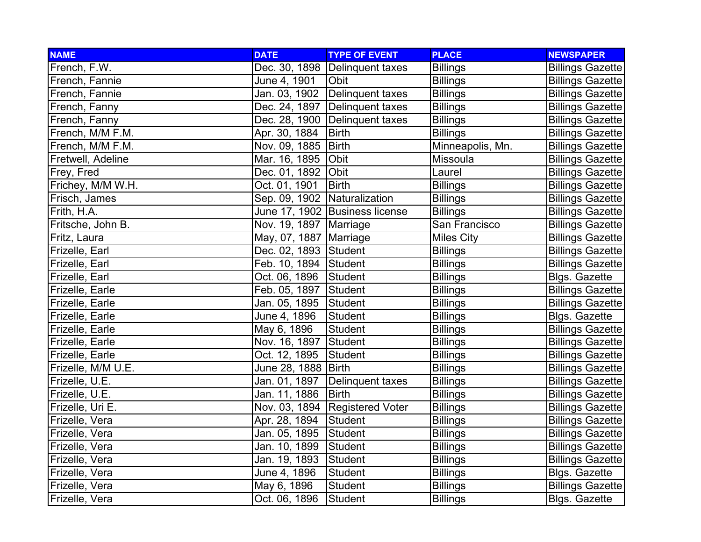| <b>NAME</b>        | <b>DATE</b>                  | <b>TYPE OF EVENT</b>             | <b>PLACE</b>      | <b>NEWSPAPER</b>        |
|--------------------|------------------------------|----------------------------------|-------------------|-------------------------|
| French, F.W.       |                              | Dec. 30, 1898   Delinquent taxes | <b>Billings</b>   | <b>Billings Gazette</b> |
| French, Fannie     | June 4, 1901                 | Obit                             | <b>Billings</b>   | <b>Billings Gazette</b> |
| French, Fannie     | Jan. 03, 1902                | Delinquent taxes                 | <b>Billings</b>   | <b>Billings Gazette</b> |
| French, Fanny      |                              | Dec. 24, 1897   Delinquent taxes | <b>Billings</b>   | <b>Billings Gazette</b> |
| French, Fanny      |                              | Dec. 28, 1900 Delinquent taxes   | <b>Billings</b>   | <b>Billings Gazette</b> |
| French, M/M F.M.   | Apr. 30, 1884                | <b>Birth</b>                     | <b>Billings</b>   | <b>Billings Gazette</b> |
| French, M/M F.M.   | Nov. 09, 1885                | <b>Birth</b>                     | Minneapolis, Mn.  | <b>Billings Gazette</b> |
| Fretwell, Adeline  | Mar. 16, 1895                | Obit                             | Missoula          | <b>Billings Gazette</b> |
| Frey, Fred         | Dec. 01, 1892                | Obit                             | Laurel            | <b>Billings Gazette</b> |
| Frichey, M/M W.H.  | Oct. 01, 1901                | <b>Birth</b>                     | <b>Billings</b>   | <b>Billings Gazette</b> |
| Frisch, James      | Sep. 09, 1902 Naturalization |                                  | <b>Billings</b>   | <b>Billings Gazette</b> |
| Frith, H.A.        |                              | June 17, 1902 Business license   | <b>Billings</b>   | <b>Billings Gazette</b> |
| Fritsche, John B.  | Nov. 19, 1897   Marriage     |                                  | San Francisco     | <b>Billings Gazette</b> |
| Fritz, Laura       | May, 07, 1887   Marriage     |                                  | <b>Miles City</b> | <b>Billings Gazette</b> |
| Frizelle, Earl     | Dec. 02, 1893 Student        |                                  | <b>Billings</b>   | <b>Billings Gazette</b> |
| Frizelle, Earl     | Feb. 10, 1894 Student        |                                  | <b>Billings</b>   | <b>Billings Gazette</b> |
| Frizelle, Earl     | Oct. 06, 1896                | Student                          | <b>Billings</b>   | <b>Blgs. Gazette</b>    |
| Frizelle, Earle    | Feb. 05, 1897 Student        |                                  | <b>Billings</b>   | <b>Billings Gazette</b> |
| Frizelle, Earle    | Jan. 05, 1895                | Student                          | <b>Billings</b>   | <b>Billings Gazette</b> |
| Frizelle, Earle    | June 4, 1896                 | Student                          | <b>Billings</b>   | <b>Blgs. Gazette</b>    |
| Frizelle, Earle    | May 6, 1896                  | Student                          | <b>Billings</b>   | <b>Billings Gazette</b> |
| Frizelle, Earle    | Nov. 16, 1897                | Student                          | <b>Billings</b>   | <b>Billings Gazette</b> |
| Frizelle, Earle    | Oct. 12, 1895                | Student                          | <b>Billings</b>   | <b>Billings Gazette</b> |
| Frizelle, M/M U.E. | June 28, 1888 Birth          |                                  | <b>Billings</b>   | <b>Billings Gazette</b> |
| Frizelle, U.E.     | Jan. 01, 1897                | Delinquent taxes                 | <b>Billings</b>   | <b>Billings Gazette</b> |
| Frizelle, U.E.     | Jan. 11, 1886                | <b>Birth</b>                     | <b>Billings</b>   | <b>Billings Gazette</b> |
| Frizelle, Uri E.   |                              | Nov. 03, 1894   Registered Voter | <b>Billings</b>   | <b>Billings Gazette</b> |
| Frizelle, Vera     | Apr. 28, 1894                | Student                          | <b>Billings</b>   | <b>Billings Gazette</b> |
| Frizelle, Vera     | Jan. 05, 1895                | <b>Student</b>                   | <b>Billings</b>   | <b>Billings Gazette</b> |
| Frizelle, Vera     | Jan. 10, 1899                | Student                          | <b>Billings</b>   | <b>Billings Gazette</b> |
| Frizelle, Vera     | Jan. 19, 1893                | Student                          | <b>Billings</b>   | <b>Billings Gazette</b> |
| Frizelle, Vera     | June 4, 1896                 | <b>Student</b>                   | <b>Billings</b>   | <b>Blgs. Gazette</b>    |
| Frizelle, Vera     | May 6, 1896                  | Student                          | <b>Billings</b>   | <b>Billings Gazette</b> |
| Frizelle, Vera     | Oct. 06, 1896                | Student                          | <b>Billings</b>   | <b>Blgs. Gazette</b>    |